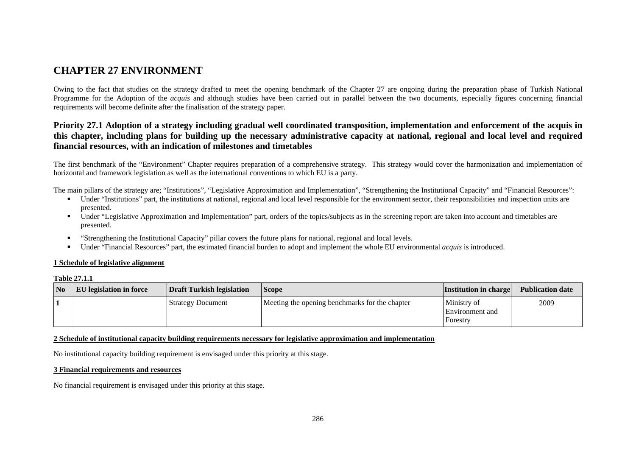# **CHAPTER 27 ENVIRONMENT**

Owing to the fact that studies on the strategy drafted to meet the opening benchmark of the Chapter 27 are ongoing during the preparation phase of Turkish National Programme for the Adoption of the *acquis* and although studies have been carried out in parallel between the two documents, especially figures concerning financial requirements will become definite after the finalisation of the strategy paper.

## **Priority 27.1 Adoption of a strategy including gradual well coordinated transposition, implementation and enforcement of the acquis in this chapter, including plans for building up the necessary administrative capacity at national, regional and local level and required financial resources, with an indication of milestones and timetables**

The first benchmark of the "Environment" Chapter requires preparation of a comprehensive strategy. This strategy would cover the harmonization and implementation of horizontal and framework legislation as well as the international conventions to which EU is a party.

The main pillars of the strategy are; "Institutions", "Legislative Approximation and Implementation", "Strengthening the Institutional Capacity" and "Financial Resources":

- Under "Institutions" part, the institutions at national, regional and local level responsible for the environment sector, their responsibilities and inspection units are presented.
- **IDED** Under "Legislative Approximation and Implementation" part, orders of the topics/subjects as in the screening report are taken into account and timetables are presented.
- $\mathbf{u}$  . "Strengthening the Institutional Capacity" pillar covers the future plans for national, regional and local levels.
- Under "Financial Resources" part, the estimated financial burden to adopt and implement the whole EU environmental *acquis* is introduced.

### **1 Schedule of legislative alignment**

### **Table 27.1.1**

| No | <b>EU</b> legislation in force | Draft Turkish legislation | <b>Scope</b>                                   | <b>Institution in charge</b>                      | <b>Publication date</b> |
|----|--------------------------------|---------------------------|------------------------------------------------|---------------------------------------------------|-------------------------|
|    |                                | <b>Strategy Document</b>  | Meeting the opening benchmarks for the chapter | Ministry of<br><b>Environment</b> and<br>Forestry | 2009                    |

### **2 Schedule of institutional capacity building requirements necessary for legislative approximation and implementation**

No institutional capacity building requirement is envisaged under this priority at this stage.

### **3 Financial requirements and resources**

No financial requirement is envisaged under this priority at this stage.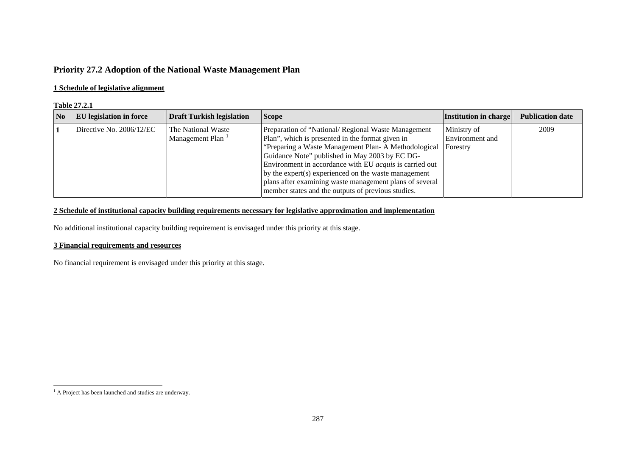# **Priority 27.2 Adoption of the National Waste Management Plan**

### **1 Schedule of legislative alignment**

#### **Table 27.2.1**

| $\overline{\mathbf{N}}$ | <b>EU</b> legislation in force | <b>Draft Turkish legislation</b>      | <b>Scope</b>                                                                                                                                                                                                                                                                                                                                                                                                                                                | <b>Institution in charge</b>               | <b>Publication date</b> |
|-------------------------|--------------------------------|---------------------------------------|-------------------------------------------------------------------------------------------------------------------------------------------------------------------------------------------------------------------------------------------------------------------------------------------------------------------------------------------------------------------------------------------------------------------------------------------------------------|--------------------------------------------|-------------------------|
|                         | Directive No. $2006/12/EC$     | The National Waste<br>Management Plan | Preparation of "National/ Regional Waste Management<br>Plan", which is presented in the format given in<br>"Preparing a Waste Management Plan-A Methodological<br>Guidance Note" published in May 2003 by EC DG-<br>Environment in accordance with EU <i>acquis</i> is carried out<br>by the expert(s) experienced on the waste management<br>plans after examining waste management plans of several<br>member states and the outputs of previous studies. | Ministry of<br>Environment and<br>Forestry | 2009                    |

### **2 Schedule of institutional capacity building requirements necessary for legislative approximation and implementation**

No additional institutional capacity building requirement is envisaged under this priority at this stage.

### **3 Financial requirements and resources**

No financial requirement is envisaged under this priority at this stage.

<span id="page-1-0"></span><sup>&</sup>lt;sup>1</sup> A Project has been launched and studies are underway.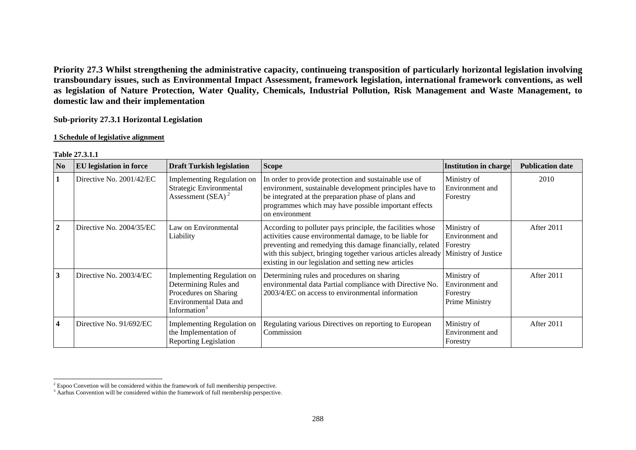**Priority 27.3 Whilst strengthening the administrative capacity, continueing transposition of particularly horizontal legislation involving transboundary issues, such as Environmental Impact Assessment, framework legislation, international framework conventions, as well as legislation of Nature Protection, Water Quality, Chemicals, Industrial Pollution, Risk Management and Waste Management, to domestic law and their implementation** 

**Sub-priority 27.3.1 Horizontal Legislation** 

#### **1 Schedule of legislative alignment**

| N <sub>0</sub> | <b>EU</b> legislation in force | <b>Draft Turkish legislation</b>                                                                                                   | <b>Scope</b>                                                                                                                                                                                                                                                                                                | <b>Institution in charge</b>                                      | <b>Publication date</b> |
|----------------|--------------------------------|------------------------------------------------------------------------------------------------------------------------------------|-------------------------------------------------------------------------------------------------------------------------------------------------------------------------------------------------------------------------------------------------------------------------------------------------------------|-------------------------------------------------------------------|-------------------------|
|                | Directive No. 2001/42/EC       | Implementing Regulation on<br>Strategic Environmental<br>Assessment (SEA) $2$                                                      | In order to provide protection and sustainable use of<br>environment, sustainable development principles have to<br>be integrated at the preparation phase of plans and<br>programmes which may have possible important effects<br>on environment                                                           | Ministry of<br>Environment and<br>Forestry                        | 2010                    |
| $\overline{2}$ | Directive No. 2004/35/EC       | Law on Environmental<br>Liability                                                                                                  | According to polluter pays principle, the facilities whose<br>activities cause environmental damage, to be liable for<br>preventing and remedying this damage financially, related<br>with this subject, bringing together various articles already<br>existing in our legislation and setting new articles | Ministry of<br>Environment and<br>Forestry<br>Ministry of Justice | After 2011              |
| 3              | Directive No. 2003/4/EC        | Implementing Regulation on<br>Determining Rules and<br>Procedures on Sharing<br>Environmental Data and<br>Information <sup>3</sup> | Determining rules and procedures on sharing<br>environmental data Partial compliance with Directive No.<br>2003/4/EC on access to environmental information                                                                                                                                                 | Ministry of<br>Environment and<br>Forestry<br>Prime Ministry      | After 2011              |
| $\overline{4}$ | Directive No. 91/692/EC        | Implementing Regulation on<br>the Implementation of<br><b>Reporting Legislation</b>                                                | Regulating various Directives on reporting to European<br>Commission                                                                                                                                                                                                                                        | Ministry of<br>Environment and<br>Forestry                        | After 2011              |

### **Table 27.3.1.1**

<span id="page-2-0"></span> $2^2$  Espoo Convetion will be considered within the framework of full membership perspective.

<span id="page-2-1"></span> $3$  Aarhus Convention will be considered within the framework of full membership perspective.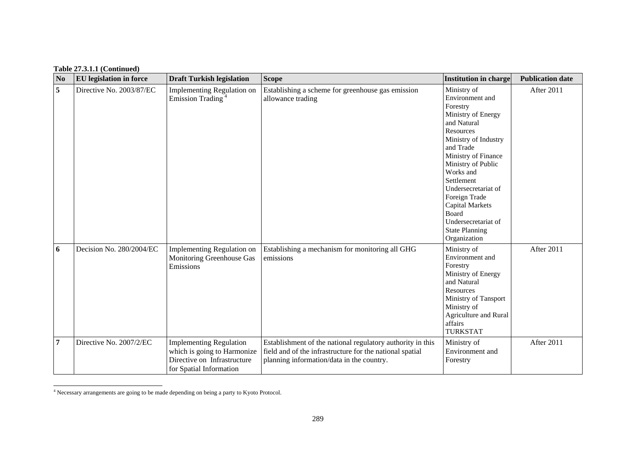| N <sub>o</sub> | <b>EU</b> legislation in force | <b>Draft Turkish legislation</b>                                                                                        | <b>Scope</b>                                                                                                                                                        | <b>Institution in charge</b>                                                                                                                                                                                                                                                                                                                         | <b>Publication date</b> |
|----------------|--------------------------------|-------------------------------------------------------------------------------------------------------------------------|---------------------------------------------------------------------------------------------------------------------------------------------------------------------|------------------------------------------------------------------------------------------------------------------------------------------------------------------------------------------------------------------------------------------------------------------------------------------------------------------------------------------------------|-------------------------|
| 5              | Directive No. 2003/87/EC       | Implementing Regulation on<br>Emission Trading <sup>4</sup>                                                             | Establishing a scheme for greenhouse gas emission<br>allowance trading                                                                                              | Ministry of<br>Environment and<br>Forestry<br>Ministry of Energy<br>and Natural<br>Resources<br>Ministry of Industry<br>and Trade<br>Ministry of Finance<br>Ministry of Public<br>Works and<br>Settlement<br>Undersecretariat of<br>Foreign Trade<br><b>Capital Markets</b><br>Board<br>Undersecretariat of<br><b>State Planning</b><br>Organization | After 2011              |
| 6              | Decision No. 280/2004/EC       | Implementing Regulation on<br>Monitoring Greenhouse Gas<br>Emissions                                                    | Establishing a mechanism for monitoring all GHG<br>emissions                                                                                                        | Ministry of<br>Environment and<br>Forestry<br>Ministry of Energy<br>and Natural<br>Resources<br>Ministry of Tansport<br>Ministry of<br>Agriculture and Rural<br>affairs<br><b>TURKSTAT</b>                                                                                                                                                           | After 2011              |
| $\overline{7}$ | Directive No. 2007/2/EC        | <b>Implementing Regulation</b><br>which is going to Harmonize<br>Directive on Infrastructure<br>for Spatial Information | Establishment of the national regulatory authority in this<br>field and of the infrastructure for the national spatial<br>planning information/data in the country. | Ministry of<br>Environment and<br>Forestry                                                                                                                                                                                                                                                                                                           | After 2011              |

<span id="page-3-0"></span><sup>4</sup> Necessary arrangements are going to be made depending on being a party to Kyoto Protocol.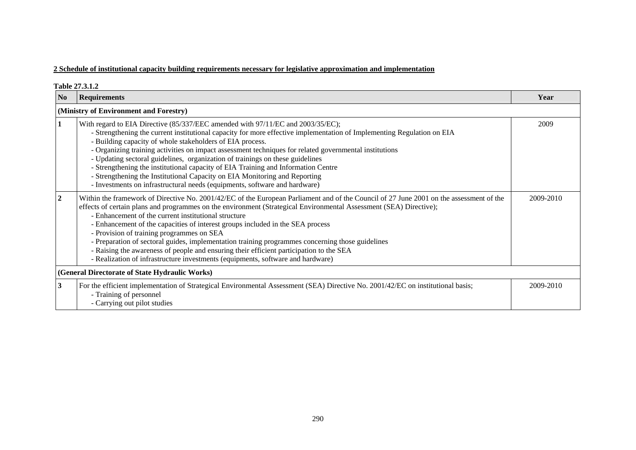|                                                | Table 27.3.1.2                                                                                                                                                                                                                                                                                                                                                                                                                                                                                                                                                                                                                                                                                                                         |           |  |  |  |  |
|------------------------------------------------|----------------------------------------------------------------------------------------------------------------------------------------------------------------------------------------------------------------------------------------------------------------------------------------------------------------------------------------------------------------------------------------------------------------------------------------------------------------------------------------------------------------------------------------------------------------------------------------------------------------------------------------------------------------------------------------------------------------------------------------|-----------|--|--|--|--|
| N <sub>0</sub>                                 | <b>Requirements</b>                                                                                                                                                                                                                                                                                                                                                                                                                                                                                                                                                                                                                                                                                                                    | Year      |  |  |  |  |
|                                                | (Ministry of Environment and Forestry)                                                                                                                                                                                                                                                                                                                                                                                                                                                                                                                                                                                                                                                                                                 |           |  |  |  |  |
|                                                | With regard to EIA Directive (85/337/EEC amended with 97/11/EC and 2003/35/EC);<br>- Strengthening the current institutional capacity for more effective implementation of Implementing Regulation on EIA<br>- Building capacity of whole stakeholders of EIA process.<br>- Organizing training activities on impact assessment techniques for related governmental institutions<br>- Updating sectoral guidelines, organization of trainings on these guidelines<br>- Strengthening the institutional capacity of EIA Training and Information Centre<br>- Strengthening the Institutional Capacity on EIA Monitoring and Reporting<br>- Investments on infrastructural needs (equipments, software and hardware)                     | 2009      |  |  |  |  |
| $\mathbf{2}$                                   | Within the framework of Directive No. 2001/42/EC of the European Parliament and of the Council of 27 June 2001 on the assessment of the<br>effects of certain plans and programmes on the environment (Strategical Environmental Assessment (SEA) Directive);<br>- Enhancement of the current institutional structure<br>- Enhancement of the capacities of interest groups included in the SEA process<br>- Provision of training programmes on SEA<br>- Preparation of sectoral guides, implementation training programmes concerning those guidelines<br>- Raising the awareness of people and ensuring their efficient participation to the SEA<br>- Realization of infrastructure investments (equipments, software and hardware) | 2009-2010 |  |  |  |  |
| (General Directorate of State Hydraulic Works) |                                                                                                                                                                                                                                                                                                                                                                                                                                                                                                                                                                                                                                                                                                                                        |           |  |  |  |  |
| 3                                              | For the efficient implementation of Strategical Environmental Assessment (SEA) Directive No. 2001/42/EC on institutional basis;<br>- Training of personnel<br>- Carrying out pilot studies                                                                                                                                                                                                                                                                                                                                                                                                                                                                                                                                             | 2009-2010 |  |  |  |  |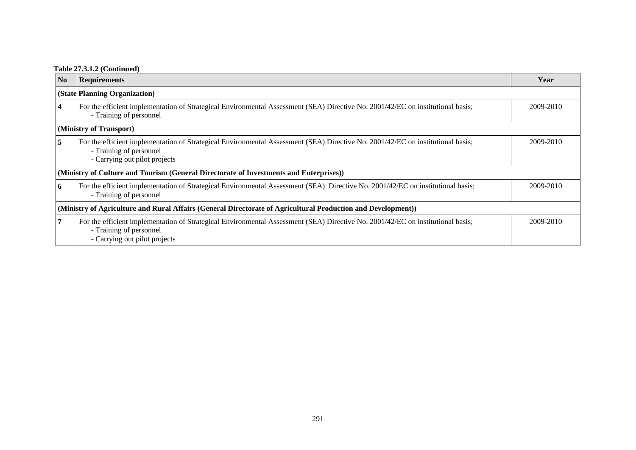### **Table 27.3.1.2 (Continued)**

| N <sub>0</sub>                                                                                               | <b>Requirements</b>                                                                                                                                                                         | Year      |  |  |  |  |
|--------------------------------------------------------------------------------------------------------------|---------------------------------------------------------------------------------------------------------------------------------------------------------------------------------------------|-----------|--|--|--|--|
|                                                                                                              | (State Planning Organization)                                                                                                                                                               |           |  |  |  |  |
|                                                                                                              | For the efficient implementation of Strategical Environmental Assessment (SEA) Directive No. 2001/42/EC on institutional basis;<br>- Training of personnel                                  | 2009-2010 |  |  |  |  |
|                                                                                                              | (Ministry of Transport)                                                                                                                                                                     |           |  |  |  |  |
| 5                                                                                                            | For the efficient implementation of Strategical Environmental Assessment (SEA) Directive No. 2001/42/EC on institutional basis;<br>- Training of personnel<br>- Carrying out pilot projects | 2009-2010 |  |  |  |  |
|                                                                                                              | (Ministry of Culture and Tourism (General Directorate of Investments and Enterprises))                                                                                                      |           |  |  |  |  |
| 6                                                                                                            | For the efficient implementation of Strategical Environmental Assessment (SEA) Directive No. 2001/42/EC on institutional basis;<br>- Training of personnel                                  | 2009-2010 |  |  |  |  |
| (Ministry of Agriculture and Rural Affairs (General Directorate of Agricultural Production and Development)) |                                                                                                                                                                                             |           |  |  |  |  |
|                                                                                                              | For the efficient implementation of Strategical Environmental Assessment (SEA) Directive No. 2001/42/EC on institutional basis;<br>- Training of personnel<br>- Carrying out pilot projects | 2009-2010 |  |  |  |  |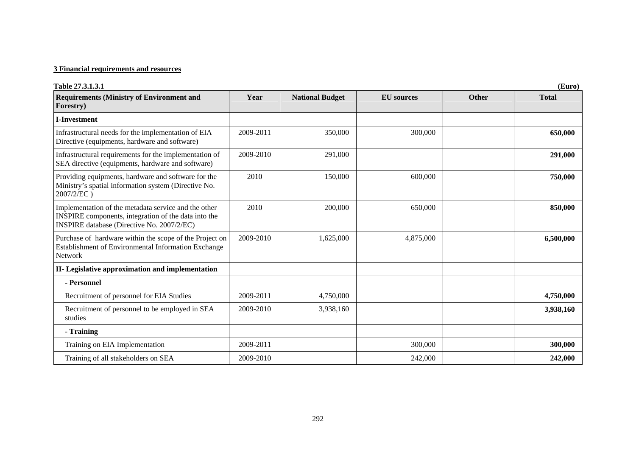| Table 27.3.1.3.1                                                                                                                                                  | (Euro)    |                        |                   |       |              |  |  |
|-------------------------------------------------------------------------------------------------------------------------------------------------------------------|-----------|------------------------|-------------------|-------|--------------|--|--|
| <b>Requirements (Ministry of Environment and</b><br>Forestry)                                                                                                     | Year      | <b>National Budget</b> | <b>EU</b> sources | Other | <b>Total</b> |  |  |
| <b>I-Investment</b>                                                                                                                                               |           |                        |                   |       |              |  |  |
| Infrastructural needs for the implementation of EIA<br>Directive (equipments, hardware and software)                                                              | 2009-2011 | 350,000                | 300,000           |       | 650,000      |  |  |
| Infrastructural requirements for the implementation of<br>SEA directive (equipments, hardware and software)                                                       | 2009-2010 | 291,000                |                   |       | 291,000      |  |  |
| Providing equipments, hardware and software for the<br>Ministry's spatial information system (Directive No.<br>2007/2/EC)                                         | 2010      | 150,000                | 600,000           |       | 750,000      |  |  |
| Implementation of the metadata service and the other<br>INSPIRE components, integration of the data into the<br><b>INSPIRE</b> database (Directive No. 2007/2/EC) | 2010      | 200,000                | 650,000           |       | 850,000      |  |  |
| Purchase of hardware within the scope of the Project on<br>Establishment of Environmental Information Exchange<br><b>Network</b>                                  | 2009-2010 | 1,625,000              | 4,875,000         |       | 6,500,000    |  |  |
| II- Legislative approximation and implementation                                                                                                                  |           |                        |                   |       |              |  |  |
| - Personnel                                                                                                                                                       |           |                        |                   |       |              |  |  |
| Recruitment of personnel for EIA Studies                                                                                                                          | 2009-2011 | 4,750,000              |                   |       | 4,750,000    |  |  |
| Recruitment of personnel to be employed in SEA<br>studies                                                                                                         | 2009-2010 | 3,938,160              |                   |       | 3,938,160    |  |  |
| - Training                                                                                                                                                        |           |                        |                   |       |              |  |  |
| Training on EIA Implementation                                                                                                                                    | 2009-2011 |                        | 300,000           |       | 300,000      |  |  |
| Training of all stakeholders on SEA                                                                                                                               | 2009-2010 |                        | 242,000           |       | 242,000      |  |  |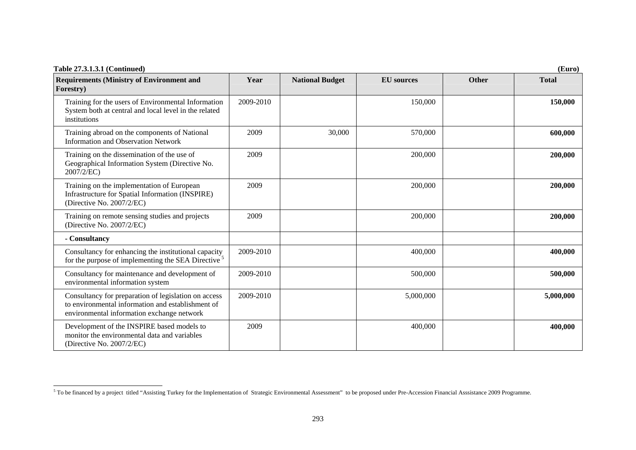| Table 27.3.1.3.1 (Continued)                                                                                                                            | (Euro)    |                        |                   |              |              |  |  |
|---------------------------------------------------------------------------------------------------------------------------------------------------------|-----------|------------------------|-------------------|--------------|--------------|--|--|
| <b>Requirements (Ministry of Environment and</b><br>Forestry)                                                                                           | Year      | <b>National Budget</b> | <b>EU</b> sources | <b>Other</b> | <b>Total</b> |  |  |
| Training for the users of Environmental Information<br>System both at central and local level in the related<br>institutions                            | 2009-2010 |                        | 150,000           |              | 150,000      |  |  |
| Training abroad on the components of National<br><b>Information and Observation Network</b>                                                             | 2009      | 30,000                 | 570,000           |              | 600,000      |  |  |
| Training on the dissemination of the use of<br>Geographical Information System (Directive No.<br>2007/2/EC)                                             | 2009      |                        | 200,000           |              | 200,000      |  |  |
| Training on the implementation of European<br>Infrastructure for Spatial Information (INSPIRE)<br>(Directive No. 2007/2/EC)                             | 2009      |                        | 200,000           |              | 200,000      |  |  |
| Training on remote sensing studies and projects<br>(Directive No. 2007/2/EC)                                                                            | 2009      |                        | 200,000           |              | 200,000      |  |  |
| - Consultancy                                                                                                                                           |           |                        |                   |              |              |  |  |
| Consultancy for enhancing the institutional capacity<br>for the purpose of implementing the SEA Directive <sup>5</sup>                                  | 2009-2010 |                        | 400,000           |              | 400,000      |  |  |
| Consultancy for maintenance and development of<br>environmental information system                                                                      | 2009-2010 |                        | 500,000           |              | 500,000      |  |  |
| Consultancy for preparation of legislation on access<br>to environmental information and establishment of<br>environmental information exchange network | 2009-2010 |                        | 5,000,000         |              | 5,000,000    |  |  |
| Development of the INSPIRE based models to<br>monitor the environmental data and variables<br>(Directive No. 2007/2/EC)                                 | 2009      |                        | 400,000           |              | 400,000      |  |  |

<span id="page-7-0"></span><sup>&</sup>lt;sup>5</sup> To be financed by a project titled "Assisting Turkey for the Implementation of Strategic Environmental Assessment" to be proposed under Pre-Accession Financial Asssistance 2009 Programme.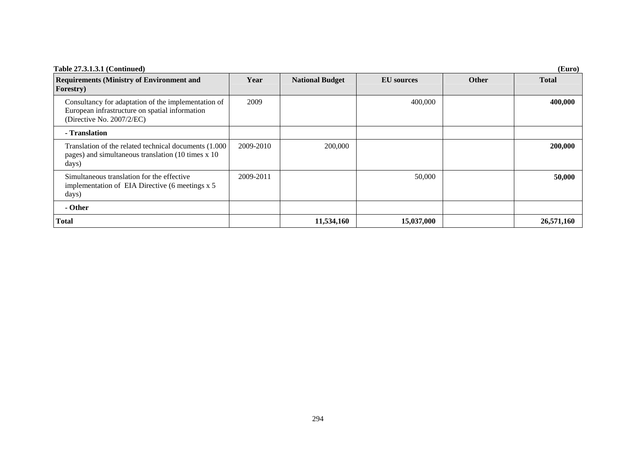| Table 27.3.1.3.1 (Continued)                                                                                                       | (Euro)    |                        |                   |       |              |  |  |
|------------------------------------------------------------------------------------------------------------------------------------|-----------|------------------------|-------------------|-------|--------------|--|--|
| <b>Requirements (Ministry of Environment and</b><br>Forestry)                                                                      | Year      | <b>National Budget</b> | <b>EU</b> sources | Other | <b>Total</b> |  |  |
| Consultancy for adaptation of the implementation of<br>European infrastructure on spatial information<br>(Directive No. 2007/2/EC) | 2009      |                        | 400,000           |       | 400,000      |  |  |
| - Translation                                                                                                                      |           |                        |                   |       |              |  |  |
| Translation of the related technical documents (1.000)<br>pages) and simultaneous translation (10 times x 10<br>days)              | 2009-2010 | 200,000                |                   |       | 200,000      |  |  |
| Simultaneous translation for the effective<br>implementation of EIA Directive (6 meetings x 5)<br>days)                            | 2009-2011 |                        | 50,000            |       | 50,000       |  |  |
| - Other                                                                                                                            |           |                        |                   |       |              |  |  |
| Total                                                                                                                              |           | 11,534,160             | 15,037,000        |       | 26,571,160   |  |  |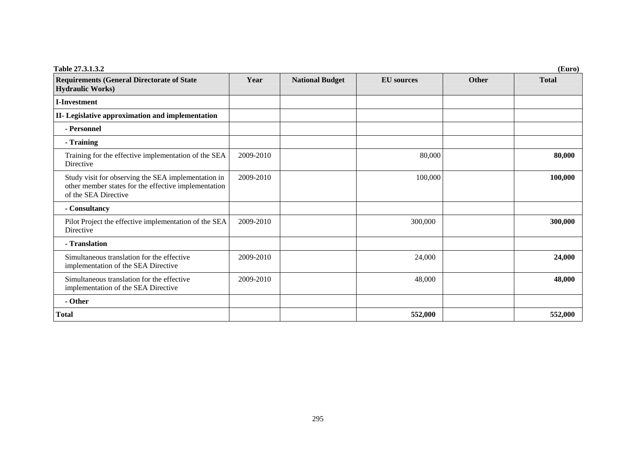| Table 27.3.1.3.2                                                                                                                    | (Euro)    |                        |                   |              |              |  |  |
|-------------------------------------------------------------------------------------------------------------------------------------|-----------|------------------------|-------------------|--------------|--------------|--|--|
| <b>Requirements (General Directorate of State</b><br><b>Hydraulic Works)</b>                                                        | Year      | <b>National Budget</b> | <b>EU</b> sources | <b>Other</b> | <b>Total</b> |  |  |
| <b>I-Investment</b>                                                                                                                 |           |                        |                   |              |              |  |  |
| II- Legislative approximation and implementation                                                                                    |           |                        |                   |              |              |  |  |
| - Personnel                                                                                                                         |           |                        |                   |              |              |  |  |
| - Training                                                                                                                          |           |                        |                   |              |              |  |  |
| Training for the effective implementation of the SEA<br>Directive                                                                   | 2009-2010 |                        | 80,000            |              | 80,000       |  |  |
| Study visit for observing the SEA implementation in<br>other member states for the effective implementation<br>of the SEA Directive | 2009-2010 |                        | 100,000           |              | 100,000      |  |  |
| - Consultancy                                                                                                                       |           |                        |                   |              |              |  |  |
| Pilot Project the effective implementation of the SEA<br>Directive                                                                  | 2009-2010 |                        | 300,000           |              | 300,000      |  |  |
| - Translation                                                                                                                       |           |                        |                   |              |              |  |  |
| Simultaneous translation for the effective<br>implementation of the SEA Directive                                                   | 2009-2010 |                        | 24,000            |              | 24,000       |  |  |
| Simultaneous translation for the effective<br>implementation of the SEA Directive                                                   | 2009-2010 |                        | 48,000            |              | 48,000       |  |  |
| - Other                                                                                                                             |           |                        |                   |              |              |  |  |
| <b>Total</b>                                                                                                                        |           |                        | 552,000           |              | 552,000      |  |  |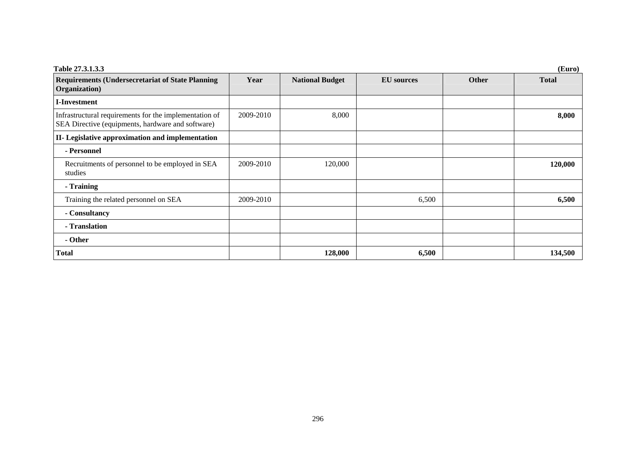| <b>Table 27.3.1.3.3</b><br>(Euro)                                                                           |           |                        |                   |              |              |  |
|-------------------------------------------------------------------------------------------------------------|-----------|------------------------|-------------------|--------------|--------------|--|
| <b>Requirements (Undersecretariat of State Planning)</b><br>Organization)                                   | Year      | <b>National Budget</b> | <b>EU</b> sources | <b>Other</b> | <b>Total</b> |  |
| <b>I-Investment</b>                                                                                         |           |                        |                   |              |              |  |
| Infrastructural requirements for the implementation of<br>SEA Directive (equipments, hardware and software) | 2009-2010 | 8,000                  |                   |              | 8,000        |  |
| II- Legislative approximation and implementation                                                            |           |                        |                   |              |              |  |
| - Personnel                                                                                                 |           |                        |                   |              |              |  |
| Recruitments of personnel to be employed in SEA<br>studies                                                  | 2009-2010 | 120,000                |                   |              | 120,000      |  |
| - Training                                                                                                  |           |                        |                   |              |              |  |
| Training the related personnel on SEA                                                                       | 2009-2010 |                        | 6,500             |              | 6,500        |  |
| - Consultancy                                                                                               |           |                        |                   |              |              |  |
| - Translation                                                                                               |           |                        |                   |              |              |  |
| - Other                                                                                                     |           |                        |                   |              |              |  |
| <b>Total</b>                                                                                                |           | 128,000                | 6,500             |              | 134,500      |  |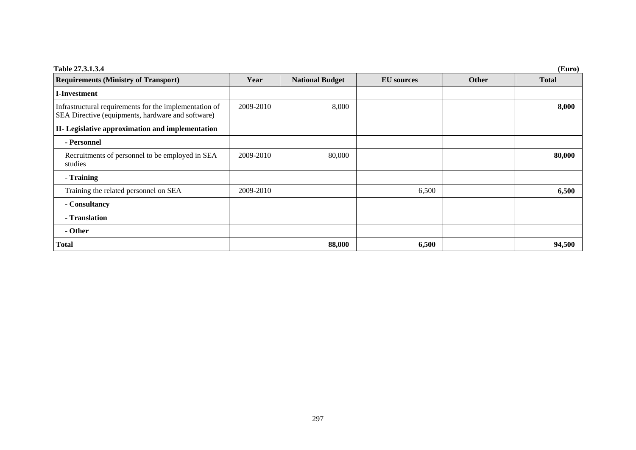| Table 27.3.1.3.4                                                                                            |           |                        |                   |              | (Euro)       |
|-------------------------------------------------------------------------------------------------------------|-----------|------------------------|-------------------|--------------|--------------|
| <b>Requirements (Ministry of Transport)</b>                                                                 | Year      | <b>National Budget</b> | <b>EU</b> sources | <b>Other</b> | <b>Total</b> |
| I-Investment                                                                                                |           |                        |                   |              |              |
| Infrastructural requirements for the implementation of<br>SEA Directive (equipments, hardware and software) | 2009-2010 | 8,000                  |                   |              | 8,000        |
| II- Legislative approximation and implementation                                                            |           |                        |                   |              |              |
| - Personnel                                                                                                 |           |                        |                   |              |              |
| Recruitments of personnel to be employed in SEA<br>studies                                                  | 2009-2010 | 80,000                 |                   |              | 80,000       |
| - Training                                                                                                  |           |                        |                   |              |              |
| Training the related personnel on SEA                                                                       | 2009-2010 |                        | 6,500             |              | 6,500        |
| - Consultancy                                                                                               |           |                        |                   |              |              |
| - Translation                                                                                               |           |                        |                   |              |              |
| - Other                                                                                                     |           |                        |                   |              |              |
| Total                                                                                                       |           | 88,000                 | 6,500             |              | 94,500       |

### 297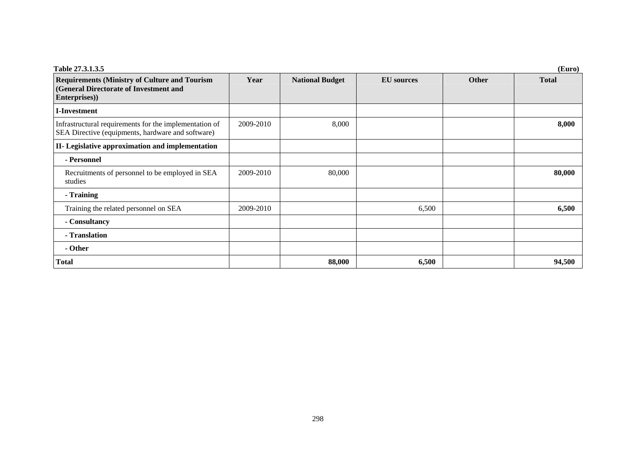| Table 27.3.1.3.5                                                                                                |           |                        |                   |              | (Euro)       |
|-----------------------------------------------------------------------------------------------------------------|-----------|------------------------|-------------------|--------------|--------------|
| <b>Requirements (Ministry of Culture and Tourism</b><br>(General Directorate of Investment and<br>Enterprises)) | Year      | <b>National Budget</b> | <b>EU</b> sources | <b>Other</b> | <b>Total</b> |
| <b>I-Investment</b>                                                                                             |           |                        |                   |              |              |
| Infrastructural requirements for the implementation of<br>SEA Directive (equipments, hardware and software)     | 2009-2010 | 8,000                  |                   |              | 8,000        |
| II- Legislative approximation and implementation                                                                |           |                        |                   |              |              |
| - Personnel                                                                                                     |           |                        |                   |              |              |
| Recruitments of personnel to be employed in SEA<br>studies                                                      | 2009-2010 | 80,000                 |                   |              | 80,000       |
| - Training                                                                                                      |           |                        |                   |              |              |
| Training the related personnel on SEA                                                                           | 2009-2010 |                        | 6,500             |              | 6,500        |
| - Consultancy                                                                                                   |           |                        |                   |              |              |
| - Translation                                                                                                   |           |                        |                   |              |              |
| - Other                                                                                                         |           |                        |                   |              |              |
| <b>Total</b>                                                                                                    |           | 88,000                 | 6,500             |              | 94,500       |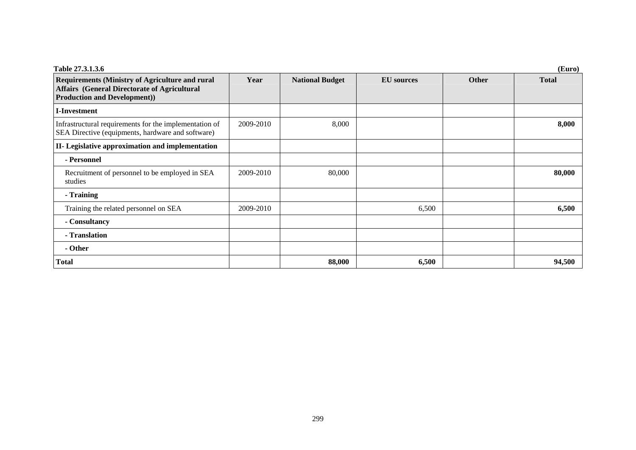| Table 27.3.1.3.6                                                                                                                                     |           |                        |                   |              | (Euro)       |
|------------------------------------------------------------------------------------------------------------------------------------------------------|-----------|------------------------|-------------------|--------------|--------------|
| <b>Requirements (Ministry of Agriculture and rural</b><br><b>Affairs (General Directorate of Agricultural</b><br><b>Production and Development))</b> | Year      | <b>National Budget</b> | <b>EU</b> sources | <b>Other</b> | <b>Total</b> |
| <b>I-Investment</b>                                                                                                                                  |           |                        |                   |              |              |
| Infrastructural requirements for the implementation of<br>SEA Directive (equipments, hardware and software)                                          | 2009-2010 | 8,000                  |                   |              | 8,000        |
| II- Legislative approximation and implementation                                                                                                     |           |                        |                   |              |              |
| - Personnel                                                                                                                                          |           |                        |                   |              |              |
| Recruitment of personnel to be employed in SEA<br>studies                                                                                            | 2009-2010 | 80,000                 |                   |              | 80,000       |
| - Training                                                                                                                                           |           |                        |                   |              |              |
| Training the related personnel on SEA                                                                                                                | 2009-2010 |                        | 6,500             |              | 6,500        |
| - Consultancy                                                                                                                                        |           |                        |                   |              |              |
| - Translation                                                                                                                                        |           |                        |                   |              |              |
| - Other                                                                                                                                              |           |                        |                   |              |              |
| <b>Total</b>                                                                                                                                         |           | 88,000                 | 6,500             |              | 94,500       |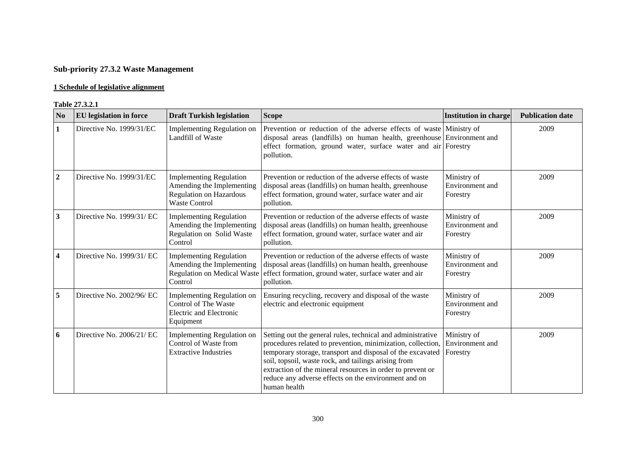# **Sub-priority 27.3.2 Waste Management**

### **1 Schedule of legislative alignment**

#### **Table 27.3.2.1**

| N <sub>0</sub>          | <b>EU</b> legislation in force | <b>Draft Turkish legislation</b>                                                                                      | <b>Scope</b>                                                                                                                                                                                                                                                                                                                                                                           | <b>Institution in charge</b>               | <b>Publication date</b> |
|-------------------------|--------------------------------|-----------------------------------------------------------------------------------------------------------------------|----------------------------------------------------------------------------------------------------------------------------------------------------------------------------------------------------------------------------------------------------------------------------------------------------------------------------------------------------------------------------------------|--------------------------------------------|-------------------------|
| 1                       | Directive No. 1999/31/EC       | Implementing Regulation on<br>Landfill of Waste                                                                       | Prevention or reduction of the adverse effects of waste Ministry of<br>disposal areas (landfills) on human health, greenhouse Environment and<br>effect formation, ground water, surface water and air Forestry<br>pollution.                                                                                                                                                          |                                            | 2009                    |
| $\boldsymbol{2}$        | Directive No. 1999/31/EC       | <b>Implementing Regulation</b><br>Amending the Implementing<br><b>Regulation on Hazardous</b><br><b>Waste Control</b> | Prevention or reduction of the adverse effects of waste<br>disposal areas (landfills) on human health, greenhouse<br>effect formation, ground water, surface water and air<br>pollution.                                                                                                                                                                                               | Ministry of<br>Environment and<br>Forestry | 2009                    |
| 3                       | Directive No. 1999/31/ EC      | <b>Implementing Regulation</b><br>Amending the Implementing<br>Regulation on Solid Waste<br>Control                   | Prevention or reduction of the adverse effects of waste<br>disposal areas (landfills) on human health, greenhouse<br>effect formation, ground water, surface water and air<br>pollution.                                                                                                                                                                                               | Ministry of<br>Environment and<br>Forestry | 2009                    |
| $\overline{\mathbf{4}}$ | Directive No. 1999/31/ EC      | <b>Implementing Regulation</b><br>Amending the Implementing<br><b>Regulation on Medical Waste</b><br>Control          | Prevention or reduction of the adverse effects of waste<br>disposal areas (landfills) on human health, greenhouse<br>effect formation, ground water, surface water and air<br>pollution.                                                                                                                                                                                               | Ministry of<br>Environment and<br>Forestry | 2009                    |
| $\overline{5}$          | Directive No. 2002/96/ EC      | Implementing Regulation on<br>Control of The Waste<br><b>Electric and Electronic</b><br>Equipment                     | Ensuring recycling, recovery and disposal of the waste<br>electric and electronic equipment                                                                                                                                                                                                                                                                                            | Ministry of<br>Environment and<br>Forestry | 2009                    |
| 6                       | Directive No. 2006/21/ EC      | Implementing Regulation on<br>Control of Waste from<br><b>Extractive Industries</b>                                   | Setting out the general rules, technical and administrative<br>procedures related to prevention, minimization, collection,<br>temporary storage, transport and disposal of the excavated<br>soil, topsoil, waste rock, and tailings arising from<br>extraction of the mineral resources in order to prevent or<br>reduce any adverse effects on the environment and on<br>human health | Ministry of<br>Environment and<br>Forestry | 2009                    |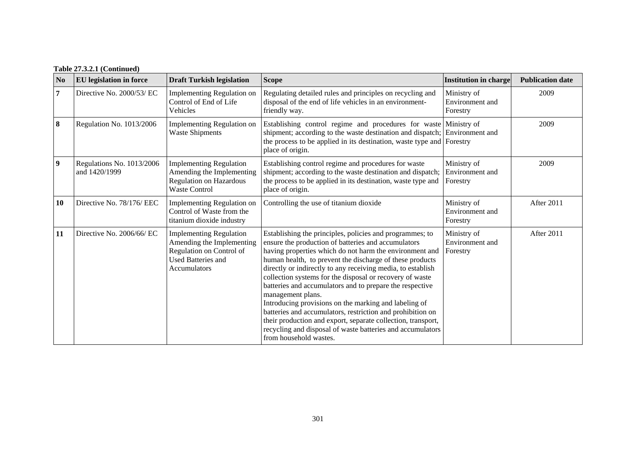### **Table 27.3.2.1 (Continued)**

| N <sub>0</sub>          | EU legislation in force                    | <b>Draft Turkish legislation</b>                                                                                                     | <b>Scope</b>                                                                                                                                                                                                                                                                                                                                                                                                                                                                                                                                                                                                                                                                                                                      | <b>Institution in charge</b>               | <b>Publication date</b> |
|-------------------------|--------------------------------------------|--------------------------------------------------------------------------------------------------------------------------------------|-----------------------------------------------------------------------------------------------------------------------------------------------------------------------------------------------------------------------------------------------------------------------------------------------------------------------------------------------------------------------------------------------------------------------------------------------------------------------------------------------------------------------------------------------------------------------------------------------------------------------------------------------------------------------------------------------------------------------------------|--------------------------------------------|-------------------------|
| 7                       | Directive No. 2000/53/ EC                  | Implementing Regulation on<br>Control of End of Life<br>Vehicles                                                                     | Regulating detailed rules and principles on recycling and<br>disposal of the end of life vehicles in an environment-<br>friendly way.                                                                                                                                                                                                                                                                                                                                                                                                                                                                                                                                                                                             | Ministry of<br>Environment and<br>Forestry | 2009                    |
| 8                       | Regulation No. 1013/2006                   | <b>Implementing Regulation on</b><br><b>Waste Shipments</b>                                                                          | Establishing control regime and procedures for waste<br>shipment; according to the waste destination and dispatch;<br>the process to be applied in its destination, waste type and Forestry<br>place of origin.                                                                                                                                                                                                                                                                                                                                                                                                                                                                                                                   | Ministry of<br>Environment and             | 2009                    |
| $\overline{\mathbf{9}}$ | Regulations No. 1013/2006<br>and 1420/1999 | <b>Implementing Regulation</b><br>Amending the Implementing<br><b>Regulation on Hazardous</b><br><b>Waste Control</b>                | Establishing control regime and procedures for waste<br>shipment; according to the waste destination and dispatch;<br>the process to be applied in its destination, waste type and<br>place of origin.                                                                                                                                                                                                                                                                                                                                                                                                                                                                                                                            | Ministry of<br>Environment and<br>Forestry | 2009                    |
| 10                      | Directive No. 78/176/ EEC                  | Implementing Regulation on<br>Control of Waste from the<br>titanium dioxide industry                                                 | Controlling the use of titanium dioxide                                                                                                                                                                                                                                                                                                                                                                                                                                                                                                                                                                                                                                                                                           | Ministry of<br>Environment and<br>Forestry | After 2011              |
| 11                      | Directive No. 2006/66/ EC                  | <b>Implementing Regulation</b><br>Amending the Implementing<br>Regulation on Control of<br><b>Used Batteries and</b><br>Accumulators | Establishing the principles, policies and programmes; to<br>ensure the production of batteries and accumulators<br>having properties which do not harm the environment and<br>human health, to prevent the discharge of these products<br>directly or indirectly to any receiving media, to establish<br>collection systems for the disposal or recovery of waste<br>batteries and accumulators and to prepare the respective<br>management plans.<br>Introducing provisions on the marking and labeling of<br>batteries and accumulators, restriction and prohibition on<br>their production and export, separate collection, transport,<br>recycling and disposal of waste batteries and accumulators<br>from household wastes. | Ministry of<br>Environment and<br>Forestry | After 2011              |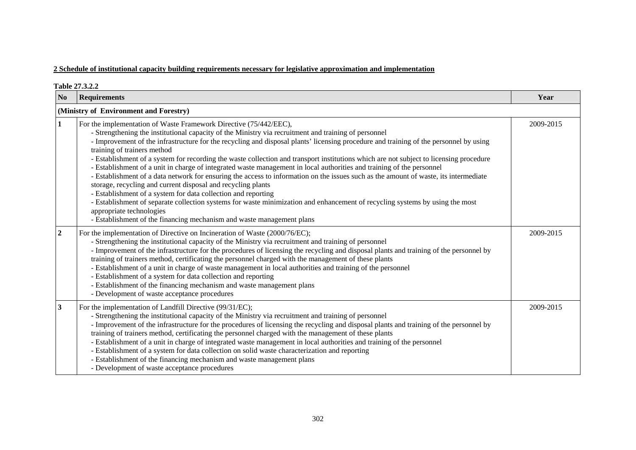|                         | Table 27.3.2.2                                                                                                                                                                                                                                                                                                                                                                                                                                                                                                                                                                                                                                                                                                                                                                                                                                                                                                                                                                                                                                                                                                                     |           |
|-------------------------|------------------------------------------------------------------------------------------------------------------------------------------------------------------------------------------------------------------------------------------------------------------------------------------------------------------------------------------------------------------------------------------------------------------------------------------------------------------------------------------------------------------------------------------------------------------------------------------------------------------------------------------------------------------------------------------------------------------------------------------------------------------------------------------------------------------------------------------------------------------------------------------------------------------------------------------------------------------------------------------------------------------------------------------------------------------------------------------------------------------------------------|-----------|
| N <sub>0</sub>          | <b>Requirements</b>                                                                                                                                                                                                                                                                                                                                                                                                                                                                                                                                                                                                                                                                                                                                                                                                                                                                                                                                                                                                                                                                                                                | Year      |
|                         | (Ministry of Environment and Forestry)                                                                                                                                                                                                                                                                                                                                                                                                                                                                                                                                                                                                                                                                                                                                                                                                                                                                                                                                                                                                                                                                                             |           |
| 1                       | For the implementation of Waste Framework Directive (75/442/EEC),<br>- Strengthening the institutional capacity of the Ministry via recruitment and training of personnel<br>- Improvement of the infrastructure for the recycling and disposal plants' licensing procedure and training of the personnel by using<br>training of trainers method<br>- Establishment of a system for recording the waste collection and transport institutions which are not subject to licensing procedure<br>- Establishment of a unit in charge of integrated waste management in local authorities and training of the personnel<br>- Establishment of a data network for ensuring the access to information on the issues such as the amount of waste, its intermediate<br>storage, recycling and current disposal and recycling plants<br>- Establishment of a system for data collection and reporting<br>- Establishment of separate collection systems for waste minimization and enhancement of recycling systems by using the most<br>appropriate technologies<br>- Establishment of the financing mechanism and waste management plans | 2009-2015 |
| $\boldsymbol{2}$        | For the implementation of Directive on Incineration of Waste (2000/76/EC);<br>- Strengthening the institutional capacity of the Ministry via recruitment and training of personnel<br>- Improvement of the infrastructure for the procedures of licensing the recycling and disposal plants and training of the personnel by<br>training of trainers method, certificating the personnel charged with the management of these plants<br>- Establishment of a unit in charge of waste management in local authorities and training of the personnel<br>- Establishment of a system for data collection and reporting<br>- Establishment of the financing mechanism and waste management plans<br>- Development of waste acceptance procedures                                                                                                                                                                                                                                                                                                                                                                                       | 2009-2015 |
| $\overline{\mathbf{3}}$ | For the implementation of Landfill Directive (99/31/EC);<br>- Strengthening the institutional capacity of the Ministry via recruitment and training of personnel<br>- Improvement of the infrastructure for the procedures of licensing the recycling and disposal plants and training of the personnel by<br>training of trainers method, certificating the personnel charged with the management of these plants<br>- Establishment of a unit in charge of integrated waste management in local authorities and training of the personnel<br>- Establishment of a system for data collection on solid waste characterization and reporting<br>- Establishment of the financing mechanism and waste management plans<br>- Development of waste acceptance procedures                                                                                                                                                                                                                                                                                                                                                              | 2009-2015 |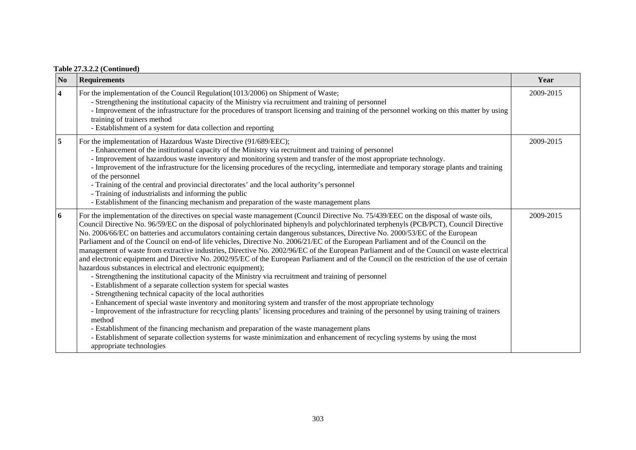| N <sub>0</sub>          | <b>Requirements</b>                                                                                                                                                                                                                                                                                                                                                                                                                                                                                                                                                                                                                                                                                                                                                                                                                                                                                                                                                                                                                                                                                                                                                                                                                                                                                                                                                                                                                                                                                                                                                                                                                                                                                      | Year      |
|-------------------------|----------------------------------------------------------------------------------------------------------------------------------------------------------------------------------------------------------------------------------------------------------------------------------------------------------------------------------------------------------------------------------------------------------------------------------------------------------------------------------------------------------------------------------------------------------------------------------------------------------------------------------------------------------------------------------------------------------------------------------------------------------------------------------------------------------------------------------------------------------------------------------------------------------------------------------------------------------------------------------------------------------------------------------------------------------------------------------------------------------------------------------------------------------------------------------------------------------------------------------------------------------------------------------------------------------------------------------------------------------------------------------------------------------------------------------------------------------------------------------------------------------------------------------------------------------------------------------------------------------------------------------------------------------------------------------------------------------|-----------|
| $\overline{\mathbf{4}}$ | For the implementation of the Council Regulation(1013/2006) on Shipment of Waste;<br>- Strengthening the institutional capacity of the Ministry via recruitment and training of personnel<br>- Improvement of the infrastructure for the procedures of transport licensing and training of the personnel working on this matter by using<br>training of trainers method<br>- Establishment of a system for data collection and reporting                                                                                                                                                                                                                                                                                                                                                                                                                                                                                                                                                                                                                                                                                                                                                                                                                                                                                                                                                                                                                                                                                                                                                                                                                                                                 | 2009-2015 |
| 5                       | For the implementation of Hazardous Waste Directive (91/689/EEC);<br>- Enhancement of the institutional capacity of the Ministry via recruitment and training of personnel<br>- Improvement of hazardous waste inventory and monitoring system and transfer of the most appropriate technology.<br>- Improvement of the infrastructure for the licensing procedures of the recycling, intermediate and temporary storage plants and training<br>of the personnel<br>- Training of the central and provincial directorates' and the local authority's personnel<br>- Training of industrialists and informing the public<br>- Establishment of the financing mechanism and preparation of the waste management plans                                                                                                                                                                                                                                                                                                                                                                                                                                                                                                                                                                                                                                                                                                                                                                                                                                                                                                                                                                                      | 2009-2015 |
| 6                       | For the implementation of the directives on special waste management (Council Directive No. 75/439/EEC on the disposal of waste oils,<br>Council Directive No. 96/59/EC on the disposal of polychlorinated biphenyls and polychlorinated terphenyls (PCB/PCT), Council Directive<br>No. 2006/66/EC on batteries and accumulators containing certain dangerous substances, Directive No. 2000/53/EC of the European<br>Parliament and of the Council on end-of life vehicles, Directive No. 2006/21/EC of the European Parliament and of the Council on the<br>management of waste from extractive industries, Directive No. 2002/96/EC of the European Parliament and of the Council on waste electrical<br>and electronic equipment and Directive No. 2002/95/EC of the European Parliament and of the Council on the restriction of the use of certain<br>hazardous substances in electrical and electronic equipment);<br>- Strengthening the institutional capacity of the Ministry via recruitment and training of personnel<br>- Establishment of a separate collection system for special wastes<br>- Strengthening technical capacity of the local authorities<br>- Enhancement of special waste inventory and monitoring system and transfer of the most appropriate technology<br>- Improvement of the infrastructure for recycling plants' licensing procedures and training of the personnel by using training of trainers<br>method<br>- Establishment of the financing mechanism and preparation of the waste management plans<br>- Establishment of separate collection systems for waste minimization and enhancement of recycling systems by using the most<br>appropriate technologies | 2009-2015 |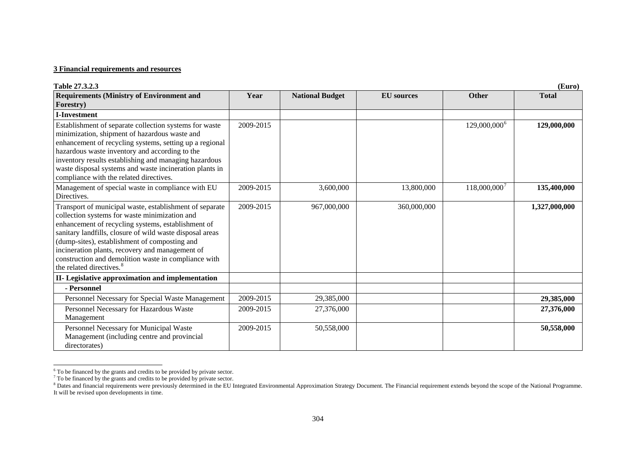| Table 27.3.2.3                                                                                                                                                                                                                                                                                                                                                                                                                 |           |                        |                   |                          | (Euro)        |
|--------------------------------------------------------------------------------------------------------------------------------------------------------------------------------------------------------------------------------------------------------------------------------------------------------------------------------------------------------------------------------------------------------------------------------|-----------|------------------------|-------------------|--------------------------|---------------|
| <b>Requirements (Ministry of Environment and</b>                                                                                                                                                                                                                                                                                                                                                                               | Year      | <b>National Budget</b> | <b>EU</b> sources | <b>Other</b>             | <b>Total</b>  |
| Forestry)                                                                                                                                                                                                                                                                                                                                                                                                                      |           |                        |                   |                          |               |
| <b>I-Investment</b>                                                                                                                                                                                                                                                                                                                                                                                                            |           |                        |                   |                          |               |
| Establishment of separate collection systems for waste<br>minimization, shipment of hazardous waste and<br>enhancement of recycling systems, setting up a regional<br>hazardous waste inventory and according to the<br>inventory results establishing and managing hazardous<br>waste disposal systems and waste incineration plants in<br>compliance with the related directives.                                            | 2009-2015 |                        |                   | $129,000,000^6$          | 129,000,000   |
| Management of special waste in compliance with EU<br>Directives.                                                                                                                                                                                                                                                                                                                                                               | 2009-2015 | 3,600,000              | 13,800,000        | 118,000,000 <sup>7</sup> | 135,400,000   |
| Transport of municipal waste, establishment of separate<br>collection systems for waste minimization and<br>enhancement of recycling systems, establishment of<br>sanitary landfills, closure of wild waste disposal areas<br>(dump-sites), establishment of composting and<br>incineration plants, recovery and management of<br>construction and demolition waste in compliance with<br>the related directives. <sup>8</sup> | 2009-2015 | 967,000,000            | 360,000,000       |                          | 1,327,000,000 |
| II- Legislative approximation and implementation                                                                                                                                                                                                                                                                                                                                                                               |           |                        |                   |                          |               |
| - Personnel                                                                                                                                                                                                                                                                                                                                                                                                                    |           |                        |                   |                          |               |
| Personnel Necessary for Special Waste Management                                                                                                                                                                                                                                                                                                                                                                               | 2009-2015 | 29,385,000             |                   |                          | 29,385,000    |
| Personnel Necessary for Hazardous Waste<br>Management                                                                                                                                                                                                                                                                                                                                                                          | 2009-2015 | 27,376,000             |                   |                          | 27,376,000    |
| Personnel Necessary for Municipal Waste<br>Management (including centre and provincial<br>directorates)                                                                                                                                                                                                                                                                                                                        | 2009-2015 | 50,558,000             |                   |                          | 50,558,000    |

<span id="page-18-0"></span> $6$ <sup>6</sup> To be financed by the grants and credits to be provided by private sector.

<span id="page-18-1"></span> $<sup>7</sup>$  To be financed by the grants and credits to be provided by private sector.</sup>

<span id="page-18-2"></span><sup>&</sup>lt;sup>8</sup> Dates and financial requirements were previously determined in the EU Integrated Environmental Approximation Strategy Document. The Financial requirement extends beyond the scope of the National Programme. It will be revised upon developments in time.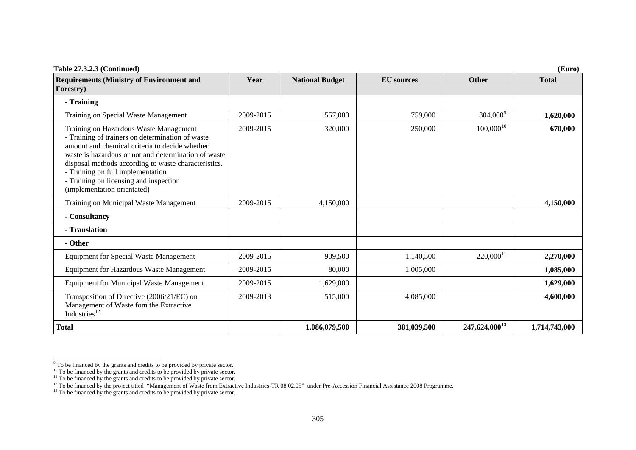| Table 27.3.2.3 (Continued)<br>(Euro)                                                                                                                                                                                                                                                                                                                                       |           |                        |                   |                           |               |
|----------------------------------------------------------------------------------------------------------------------------------------------------------------------------------------------------------------------------------------------------------------------------------------------------------------------------------------------------------------------------|-----------|------------------------|-------------------|---------------------------|---------------|
| <b>Requirements (Ministry of Environment and</b><br>Forestry)                                                                                                                                                                                                                                                                                                              | Year      | <b>National Budget</b> | <b>EU</b> sources | <b>Other</b>              | <b>Total</b>  |
| - Training                                                                                                                                                                                                                                                                                                                                                                 |           |                        |                   |                           |               |
| Training on Special Waste Management                                                                                                                                                                                                                                                                                                                                       | 2009-2015 | 557,000                | 759,000           | $304,000^9$               | 1,620,000     |
| Training on Hazardous Waste Management<br>- Training of trainers on determination of waste<br>amount and chemical criteria to decide whether<br>waste is hazardous or not and determination of waste<br>disposal methods according to waste characteristics.<br>- Training on full implementation<br>- Training on licensing and inspection<br>(implementation orientated) | 2009-2015 | 320,000                | 250,000           | $100,000^{10}$            | 670,000       |
| Training on Municipal Waste Management                                                                                                                                                                                                                                                                                                                                     | 2009-2015 | 4,150,000              |                   |                           | 4,150,000     |
| - Consultancy                                                                                                                                                                                                                                                                                                                                                              |           |                        |                   |                           |               |
| - Translation                                                                                                                                                                                                                                                                                                                                                              |           |                        |                   |                           |               |
| - Other                                                                                                                                                                                                                                                                                                                                                                    |           |                        |                   |                           |               |
| <b>Equipment for Special Waste Management</b>                                                                                                                                                                                                                                                                                                                              | 2009-2015 | 909,500                | 1,140,500         | $220,000$ <sup>11</sup>   | 2,270,000     |
| <b>Equipment for Hazardous Waste Management</b>                                                                                                                                                                                                                                                                                                                            | 2009-2015 | 80,000                 | 1,005,000         |                           | 1,085,000     |
| <b>Equipment for Municipal Waste Management</b>                                                                                                                                                                                                                                                                                                                            | 2009-2015 | 1,629,000              |                   |                           | 1,629,000     |
| Transposition of Directive (2006/21/EC) on<br>Management of Waste fom the Extractive<br>Industries <sup>12</sup>                                                                                                                                                                                                                                                           | 2009-2013 | 515,000                | 4,085,000         |                           | 4,600,000     |
| <b>Total</b>                                                                                                                                                                                                                                                                                                                                                               |           | 1,086,079,500          | 381,039,500       | 247,624,000 <sup>13</sup> | 1,714,743,000 |

<span id="page-19-0"></span> $9^9$  To be financed by the grants and credits to be provided by private sector.

<span id="page-19-1"></span><sup>&</sup>lt;sup>10</sup> To be financed by the grants and credits to be provided by private sector.

<span id="page-19-2"></span> $11$ <sup>11</sup> To be financed by the grants and credits to be provided by private sector.

<span id="page-19-3"></span> $^{12}$  To be financed by the project titled "Management of Waste from Extractive Industries-TR  $08.02.05$ " under Pre-Accession Financial Assistance 2008 Programme.

<span id="page-19-4"></span> $^{13}$  To be financed by the grants and credits to be provided by private sector.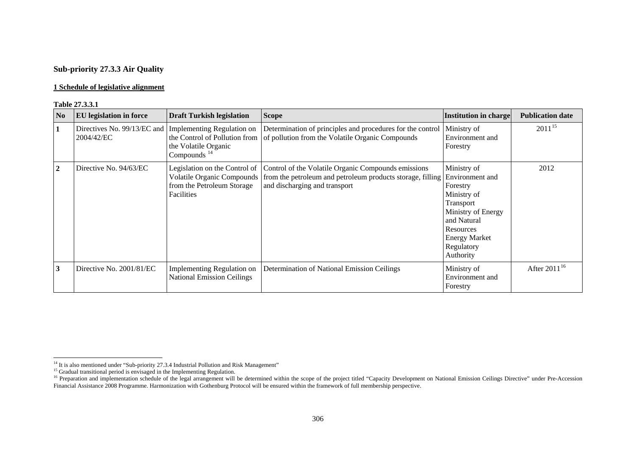## **Sub-priority 27.3.3 Air Quality**

#### **1 Schedule of legislative alignment**

#### **Table 27.3.3.1**

| No             | <b>EU</b> legislation in force            | <b>Draft Turkish legislation</b>                                                                               | <b>Scope</b>                                                                                                                                                                                                    | <b>Institution in charge</b>                                                                                                                                                | <b>Publication date</b> |
|----------------|-------------------------------------------|----------------------------------------------------------------------------------------------------------------|-----------------------------------------------------------------------------------------------------------------------------------------------------------------------------------------------------------------|-----------------------------------------------------------------------------------------------------------------------------------------------------------------------------|-------------------------|
|                | Directives No. 99/13/EC and<br>2004/42/EC | Implementing Regulation on<br>the Control of Pollution from<br>the Volatile Organic<br>Compounds <sup>14</sup> | Determination of principles and procedures for the control<br>of pollution from the Volatile Organic Compounds                                                                                                  | Ministry of<br>Environment and<br>Forestry                                                                                                                                  | $2011^{15}$             |
| $\overline{2}$ | Directive No. 94/63/EC                    | from the Petroleum Storage<br>Facilities                                                                       | Legislation on the Control of   Control of the Volatile Organic Compounds emissions<br>Volatile Organic Compounds   from the petroleum and petroleum products storage, filling<br>and discharging and transport | Ministry of<br>Environment and<br>Forestry<br>Ministry of<br>Transport<br>Ministry of Energy<br>and Natural<br>Resources<br><b>Energy Market</b><br>Regulatory<br>Authority | 2012                    |
| 3              | Directive No. 2001/81/EC                  | Implementing Regulation on<br><b>National Emission Ceilings</b>                                                | Determination of National Emission Ceilings                                                                                                                                                                     | Ministry of<br>Environment and<br>Forestry                                                                                                                                  | After $2011^{16}$       |

 $14$  It is also mentioned under "Sub-priority 27.3.4 Industrial Pollution and Risk Management"

<sup>&</sup>lt;sup>15</sup> Gradual transitional period is envisaged in the Implementing Regulation.

<span id="page-20-2"></span><span id="page-20-1"></span><span id="page-20-0"></span><sup>&</sup>lt;sup>16</sup> Preparation and implementation schedule of the legal arrangement will be determined within the scope of the project titled "Capacity Development on National Emission Ceilings Directive" under Pre-Accession Financial Assistance 2008 Programme. Harmonization with Gothenburg Protocol will be ensured within the framework of full membership perspective.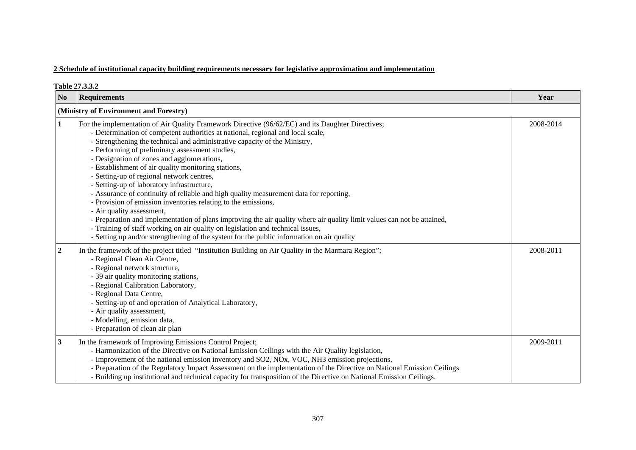|                  | Table 27.3.3.2                                                                                                                                                                                                                                                                                                                                                                                                                                                                                                                                                                                                                                                                                                                                                                                                                                                                                                                                                                                                            |           |
|------------------|---------------------------------------------------------------------------------------------------------------------------------------------------------------------------------------------------------------------------------------------------------------------------------------------------------------------------------------------------------------------------------------------------------------------------------------------------------------------------------------------------------------------------------------------------------------------------------------------------------------------------------------------------------------------------------------------------------------------------------------------------------------------------------------------------------------------------------------------------------------------------------------------------------------------------------------------------------------------------------------------------------------------------|-----------|
| N <sub>0</sub>   | <b>Requirements</b>                                                                                                                                                                                                                                                                                                                                                                                                                                                                                                                                                                                                                                                                                                                                                                                                                                                                                                                                                                                                       | Year      |
|                  | (Ministry of Environment and Forestry)                                                                                                                                                                                                                                                                                                                                                                                                                                                                                                                                                                                                                                                                                                                                                                                                                                                                                                                                                                                    |           |
| 1                | For the implementation of Air Quality Framework Directive (96/62/EC) and its Daughter Directives;<br>- Determination of competent authorities at national, regional and local scale,<br>- Strengthening the technical and administrative capacity of the Ministry,<br>- Performing of preliminary assessment studies,<br>- Designation of zones and agglomerations,<br>- Establishment of air quality monitoring stations,<br>- Setting-up of regional network centres,<br>- Setting-up of laboratory infrastructure,<br>- Assurance of continuity of reliable and high quality measurement data for reporting,<br>- Provision of emission inventories relating to the emissions,<br>- Air quality assessment,<br>- Preparation and implementation of plans improving the air quality where air quality limit values can not be attained,<br>- Training of staff working on air quality on legislation and technical issues,<br>- Setting up and/or strengthening of the system for the public information on air quality | 2008-2014 |
| $\boldsymbol{2}$ | In the framework of the project titled "Institution Building on Air Quality in the Marmara Region";<br>- Regional Clean Air Centre,<br>- Regional network structure,<br>- 39 air quality monitoring stations,<br>- Regional Calibration Laboratory,<br>- Regional Data Centre,<br>- Setting-up of and operation of Analytical Laboratory,<br>- Air quality assessment,<br>- Modelling, emission data,<br>- Preparation of clean air plan                                                                                                                                                                                                                                                                                                                                                                                                                                                                                                                                                                                  | 2008-2011 |
| $\mathbf{3}$     | In the framework of Improving Emissions Control Project;<br>- Harmonization of the Directive on National Emission Ceilings with the Air Quality legislation,<br>- Improvement of the national emission inventory and SO2, NOx, VOC, NH3 emission projections,<br>- Preparation of the Regulatory Impact Assessment on the implementation of the Directive on National Emission Ceilings<br>- Building up institutional and technical capacity for transposition of the Directive on National Emission Ceilings.                                                                                                                                                                                                                                                                                                                                                                                                                                                                                                           | 2009-2011 |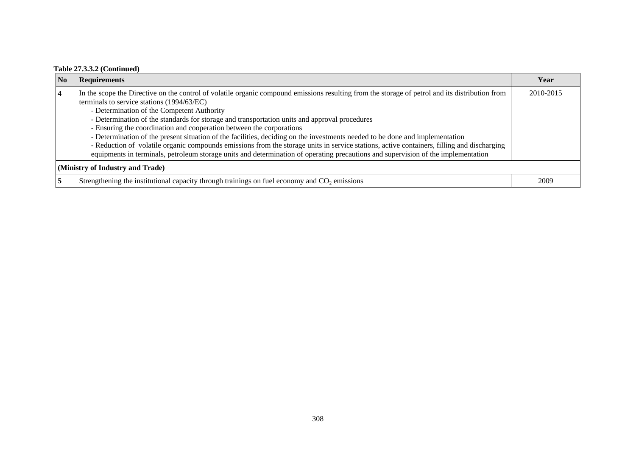### **Table 27.3.3.2 (Continued)**

| <b>No</b>                        | <b>Requirements</b>                                                                                                                                                                                                                                                                                                                                                                                                                                                                                                                                                                                                                                                                                                                                                                                                                     | Year      |  |
|----------------------------------|-----------------------------------------------------------------------------------------------------------------------------------------------------------------------------------------------------------------------------------------------------------------------------------------------------------------------------------------------------------------------------------------------------------------------------------------------------------------------------------------------------------------------------------------------------------------------------------------------------------------------------------------------------------------------------------------------------------------------------------------------------------------------------------------------------------------------------------------|-----------|--|
|                                  | In the scope the Directive on the control of volatile organic compound emissions resulting from the storage of petrol and its distribution from<br>terminals to service stations (1994/63/EC)<br>- Determination of the Competent Authority<br>- Determination of the standards for storage and transportation units and approval procedures<br>- Ensuring the coordination and cooperation between the corporations<br>- Determination of the present situation of the facilities, deciding on the investments needed to be done and implementation<br>- Reduction of volatile organic compounds emissions from the storage units in service stations, active containers, filling and discharging<br>equipments in terminals, petroleum storage units and determination of operating precautions and supervision of the implementation | 2010-2015 |  |
| (Ministry of Industry and Trade) |                                                                                                                                                                                                                                                                                                                                                                                                                                                                                                                                                                                                                                                                                                                                                                                                                                         |           |  |
|                                  | Strengthening the institutional capacity through trainings on fuel economy and $CO2$ emissions                                                                                                                                                                                                                                                                                                                                                                                                                                                                                                                                                                                                                                                                                                                                          | 2009      |  |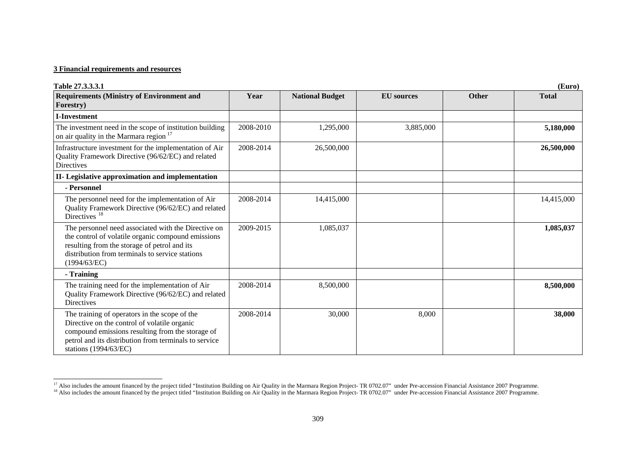| Table 27.3.3.3.1                                                                                                                                                                                                                    |           |                        |                   |              | (Euro)       |
|-------------------------------------------------------------------------------------------------------------------------------------------------------------------------------------------------------------------------------------|-----------|------------------------|-------------------|--------------|--------------|
| <b>Requirements (Ministry of Environment and</b><br>Forestry)                                                                                                                                                                       | Year      | <b>National Budget</b> | <b>EU</b> sources | <b>Other</b> | <b>Total</b> |
| <b>I-Investment</b>                                                                                                                                                                                                                 |           |                        |                   |              |              |
| The investment need in the scope of institution building<br>on air quality in the Marmara region <sup>17</sup>                                                                                                                      | 2008-2010 | 1,295,000              | 3,885,000         |              | 5,180,000    |
| Infrastructure investment for the implementation of Air<br>Quality Framework Directive (96/62/EC) and related<br>Directives                                                                                                         | 2008-2014 | 26,500,000             |                   |              | 26,500,000   |
| II- Legislative approximation and implementation                                                                                                                                                                                    |           |                        |                   |              |              |
| - Personnel                                                                                                                                                                                                                         |           |                        |                   |              |              |
| The personnel need for the implementation of Air<br>Quality Framework Directive (96/62/EC) and related<br>Directives <sup>18</sup>                                                                                                  | 2008-2014 | 14,415,000             |                   |              | 14,415,000   |
| The personnel need associated with the Directive on<br>the control of volatile organic compound emissions<br>resulting from the storage of petrol and its<br>distribution from terminals to service stations<br>(1994/63/EC)        | 2009-2015 | 1,085,037              |                   |              | 1,085,037    |
| - Training                                                                                                                                                                                                                          |           |                        |                   |              |              |
| The training need for the implementation of Air<br>Quality Framework Directive (96/62/EC) and related<br>Directives                                                                                                                 | 2008-2014 | 8,500,000              |                   |              | 8,500,000    |
| The training of operators in the scope of the<br>Directive on the control of volatile organic<br>compound emissions resulting from the storage of<br>petrol and its distribution from terminals to service<br>stations (1994/63/EC) | 2008-2014 | 30,000                 | 8,000             |              | 38,000       |

<sup>&</sup>lt;sup>17</sup> Also includes the amount financed by the project titled "Institution Building on Air Quality in the Marmara Region Project- TR 0702.07" under Pre-accession Financial Assistance 2007 Programme.

<span id="page-23-1"></span><span id="page-23-0"></span><sup>&</sup>lt;sup>18</sup> Also includes the amount financed by the project titled "Institution Building on Air Quality in the Marmara Region Project- TR 0702.07" under Pre-accession Financial Assistance 2007 Programme.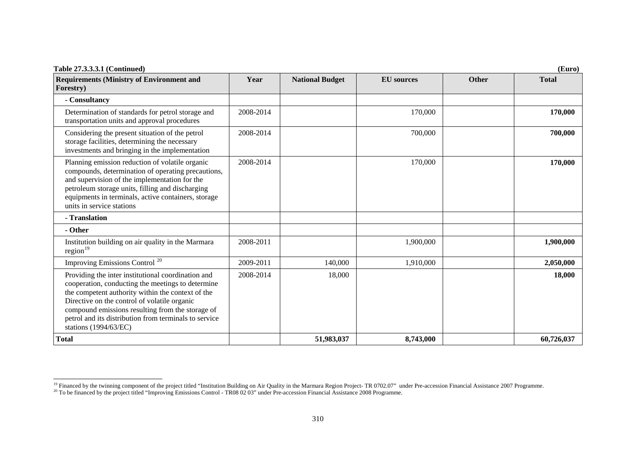| <b>Table 27.3.3.3.1 (Continued)</b>                                                                                                                                                                                                                                                                                                                |           |                        |                   |       | (Euro)       |
|----------------------------------------------------------------------------------------------------------------------------------------------------------------------------------------------------------------------------------------------------------------------------------------------------------------------------------------------------|-----------|------------------------|-------------------|-------|--------------|
| <b>Requirements (Ministry of Environment and</b><br>Forestry)                                                                                                                                                                                                                                                                                      | Year      | <b>National Budget</b> | <b>EU</b> sources | Other | <b>Total</b> |
| - Consultancy                                                                                                                                                                                                                                                                                                                                      |           |                        |                   |       |              |
| Determination of standards for petrol storage and<br>transportation units and approval procedures                                                                                                                                                                                                                                                  | 2008-2014 |                        | 170,000           |       | 170,000      |
| Considering the present situation of the petrol<br>storage facilities, determining the necessary<br>investments and bringing in the implementation                                                                                                                                                                                                 | 2008-2014 |                        | 700,000           |       | 700,000      |
| Planning emission reduction of volatile organic<br>compounds, determination of operating precautions,<br>and supervision of the implementation for the<br>petroleum storage units, filling and discharging<br>equipments in terminals, active containers, storage<br>units in service stations                                                     | 2008-2014 |                        | 170,000           |       | 170,000      |
| - Translation                                                                                                                                                                                                                                                                                                                                      |           |                        |                   |       |              |
| - Other                                                                                                                                                                                                                                                                                                                                            |           |                        |                   |       |              |
| Institution building on air quality in the Marmara<br>region <sup>19</sup>                                                                                                                                                                                                                                                                         | 2008-2011 |                        | 1,900,000         |       | 1,900,000    |
| Improving Emissions Control <sup>20</sup>                                                                                                                                                                                                                                                                                                          | 2009-2011 | 140,000                | 1,910,000         |       | 2,050,000    |
| Providing the inter institutional coordination and<br>cooperation, conducting the meetings to determine<br>the competent authority within the context of the<br>Directive on the control of volatile organic<br>compound emissions resulting from the storage of<br>petrol and its distribution from terminals to service<br>stations (1994/63/EC) | 2008-2014 | 18,000                 |                   |       | 18,000       |
| <b>Total</b>                                                                                                                                                                                                                                                                                                                                       |           | 51,983,037             | 8,743,000         |       | 60,726,037   |

<span id="page-24-0"></span><sup>&</sup>lt;sup>19</sup> Financed by the twinning component of the project titled "Institution Building on Air Quality in the Marmara Region Project- TR 0702.07" under Pre-accession Financial Assistance 2007 Programme.

<span id="page-24-1"></span> $^{20}$  To be financed by the project titled "Improving Emissions Control - TR08 02 03" under Pre-accession Financial Assistance 2008 Programme.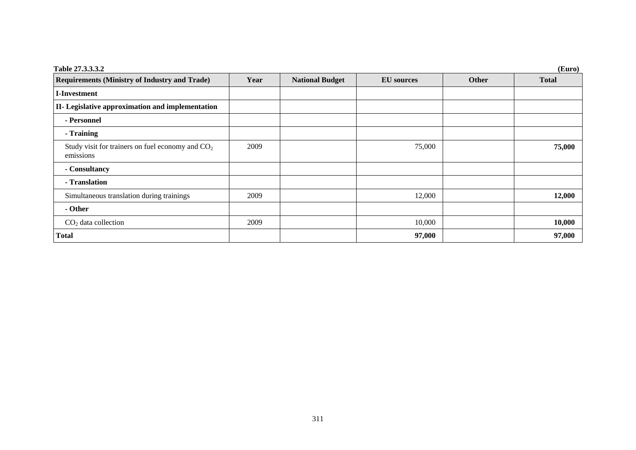| Table 27.3.3.3.2                                                |      |                        |                   |       | (Euro)       |
|-----------------------------------------------------------------|------|------------------------|-------------------|-------|--------------|
| <b>Requirements (Ministry of Industry and Trade)</b>            | Year | <b>National Budget</b> | <b>EU</b> sources | Other | <b>Total</b> |
| <b>I-Investment</b>                                             |      |                        |                   |       |              |
| II- Legislative approximation and implementation                |      |                        |                   |       |              |
| - Personnel                                                     |      |                        |                   |       |              |
| - Training                                                      |      |                        |                   |       |              |
| Study visit for trainers on fuel economy and $CO2$<br>emissions | 2009 |                        | 75,000            |       | 75,000       |
| - Consultancy                                                   |      |                        |                   |       |              |
| - Translation                                                   |      |                        |                   |       |              |
| Simultaneous translation during trainings                       | 2009 |                        | 12,000            |       | 12,000       |
| - Other                                                         |      |                        |                   |       |              |
| $CO2$ data collection                                           | 2009 |                        | 10,000            |       | 10,000       |
| <b>Total</b>                                                    |      |                        | 97,000            |       | 97,000       |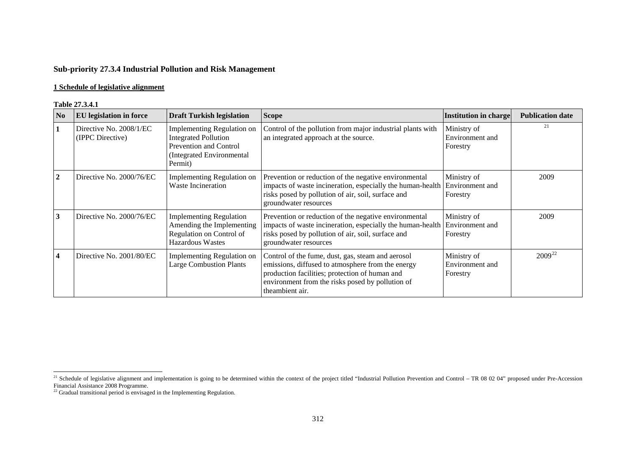# **Sub-priority 27.3.4 Industrial Pollution and Risk Management**

#### **1 Schedule of legislative alignment**

#### **Table 27.3.4.1**

|                        | 1 adie <i>41</i> .9.4.1                     |                                                                                                                                   |                                                                                                                                                                                                                                 |                                            |                         |
|------------------------|---------------------------------------------|-----------------------------------------------------------------------------------------------------------------------------------|---------------------------------------------------------------------------------------------------------------------------------------------------------------------------------------------------------------------------------|--------------------------------------------|-------------------------|
| $\overline{\text{No}}$ | <b>EU</b> legislation in force              | <b>Draft Turkish legislation</b>                                                                                                  | <b>Scope</b>                                                                                                                                                                                                                    | Institution in charge                      | <b>Publication date</b> |
| 1                      | Directive No. 2008/1/EC<br>(IPPC Directive) | <b>Implementing Regulation on</b><br><b>Integrated Pollution</b><br>Prevention and Control<br>Integrated Environmental<br>Permit) | Control of the pollution from major industrial plants with<br>an integrated approach at the source.                                                                                                                             | Ministry of<br>Environment and<br>Forestry | 21                      |
| $\overline{2}$         | Directive No. 2000/76/EC                    | <b>Implementing Regulation on</b><br><b>Waste Incineration</b>                                                                    | Prevention or reduction of the negative environmental<br>impacts of waste incineration, especially the human-health<br>risks posed by pollution of air, soil, surface and<br>groundwater resources                              | Ministry of<br>Environment and<br>Forestry | 2009                    |
| 3                      | Directive No. 2000/76/EC                    | <b>Implementing Regulation</b><br>Amending the Implementing<br>Regulation on Control of<br><b>Hazardous Wastes</b>                | Prevention or reduction of the negative environmental<br>impacts of waste incineration, especially the human-health<br>risks posed by pollution of air, soil, surface and<br>groundwater resources                              | Ministry of<br>Environment and<br>Forestry | 2009                    |
| $\overline{4}$         | Directive No. 2001/80/EC                    | Implementing Regulation on<br><b>Large Combustion Plants</b>                                                                      | Control of the fume, dust, gas, steam and aerosol<br>emissions, diffused to atmosphere from the energy<br>production facilities; protection of human and<br>environment from the risks posed by pollution of<br>theambient air. | Ministry of<br>Environment and<br>Forestry | $2009^{22}$             |

<span id="page-26-0"></span><sup>&</sup>lt;sup>21</sup> Schedule of legislative alignment and implementation is going to be determined within the context of the project titled "Industrial Pollution Prevention and Control – TR 08 02 04" proposed under Pre-Accession

<span id="page-26-1"></span>Financial Assistance 2008 Programme. 22 Gradual transitional period is envisaged in the Implementing Regulation.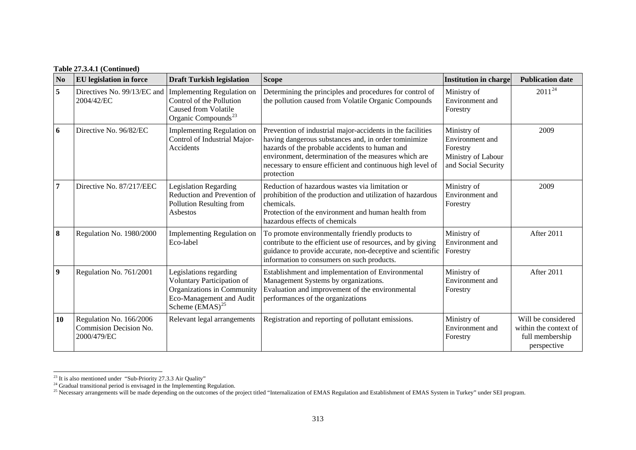| <b>Table 27.3.4.1 (Continued)</b> |  |
|-----------------------------------|--|
|-----------------------------------|--|

| N <sub>0</sub>   | <b>EU</b> legislation in force                                   | <b>Draft Turkish legislation</b>                                                                                                                   | <b>Scope</b>                                                                                                                                                                                                                                                                                             | <b>Institution in charge</b>                                                            | <b>Publication date</b>                                                       |
|------------------|------------------------------------------------------------------|----------------------------------------------------------------------------------------------------------------------------------------------------|----------------------------------------------------------------------------------------------------------------------------------------------------------------------------------------------------------------------------------------------------------------------------------------------------------|-----------------------------------------------------------------------------------------|-------------------------------------------------------------------------------|
| 5                | Directives No. 99/13/EC and<br>2004/42/EC                        | <b>Implementing Regulation on</b><br>Control of the Pollution<br><b>Caused from Volatile</b><br>Organic Compounds <sup>23</sup>                    | Determining the principles and procedures for control of<br>the pollution caused from Volatile Organic Compounds                                                                                                                                                                                         | Ministry of<br>Environment and<br>Forestry                                              | $2011^{24}$                                                                   |
| 6                | Directive No. 96/82/EC                                           | Implementing Regulation on<br>Control of Industrial Major-<br>Accidents                                                                            | Prevention of industrial major-accidents in the facilities<br>having dangerous substances and, in order tominimize<br>hazards of the probable accidents to human and<br>environment, determination of the measures which are<br>necessary to ensure efficient and continuous high level of<br>protection | Ministry of<br>Environment and<br>Forestry<br>Ministry of Labour<br>and Social Security | 2009                                                                          |
| 7                | Directive No. 87/217/EEC                                         | <b>Legislation Regarding</b><br>Reduction and Prevention of<br>Pollution Resulting from<br>Asbestos                                                | Reduction of hazardous wastes via limitation or<br>prohibition of the production and utilization of hazardous<br>chemicals.<br>Protection of the environment and human health from<br>hazardous effects of chemicals                                                                                     | Ministry of<br>Environment and<br>Forestry                                              | 2009                                                                          |
| 8                | Regulation No. 1980/2000                                         | Implementing Regulation on<br>Eco-label                                                                                                            | To promote environmentally friendly products to<br>contribute to the efficient use of resources, and by giving<br>guidance to provide accurate, non-deceptive and scientific<br>information to consumers on such products.                                                                               | Ministry of<br>Environment and<br>Forestry                                              | After 2011                                                                    |
| $\boldsymbol{9}$ | Regulation No. 761/2001                                          | Legislations regarding<br>Voluntary Participation of<br>Organizations in Community<br>Eco-Management and Audit<br>Scheme $(\widetilde{EMAS})^{25}$ | Establishment and implementation of Environmental<br>Management Systems by organizations.<br>Evaluation and improvement of the environmental<br>performances of the organizations                                                                                                                        | Ministry of<br>Environment and<br>Forestry                                              | After 2011                                                                    |
| 10               | Regulation No. 166/2006<br>Commision Decision No.<br>2000/479/EC | Relevant legal arrangements                                                                                                                        | Registration and reporting of pollutant emissions.                                                                                                                                                                                                                                                       | Ministry of<br>Environment and<br>Forestry                                              | Will be considered<br>within the context of<br>full membership<br>perspective |

<span id="page-27-0"></span> $^{23}$  It is also mentioned under "Sub-Priority 27.3.3 Air Quality"

<span id="page-27-1"></span> $24$  Gradual transitional period is envisaged in the Implementing Regulation.

<span id="page-27-2"></span><sup>&</sup>lt;sup>25</sup> Necessary arrangements will be made depending on the outcomes of the project titled "Internalization of EMAS Regulation and Establishment of EMAS System in Turkey" under SEI program.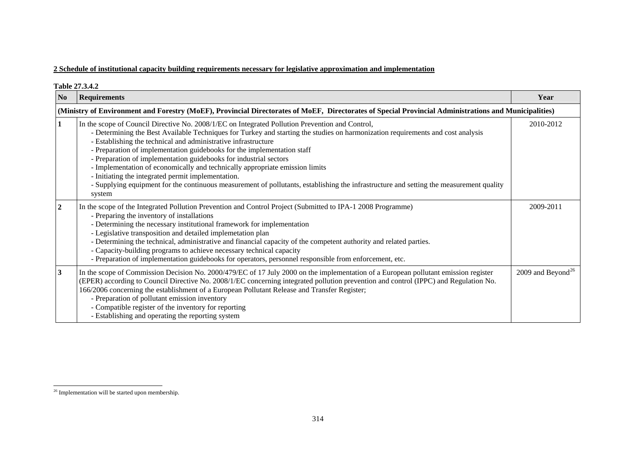| <b>Table 27.3.4.2</b> |                                                                                                                                                                                                                                                                                                                                                                                                                                                                                                                                                                                                                                                                                                                                                 |                               |  |
|-----------------------|-------------------------------------------------------------------------------------------------------------------------------------------------------------------------------------------------------------------------------------------------------------------------------------------------------------------------------------------------------------------------------------------------------------------------------------------------------------------------------------------------------------------------------------------------------------------------------------------------------------------------------------------------------------------------------------------------------------------------------------------------|-------------------------------|--|
| N <sub>0</sub>        | <b>Requirements</b>                                                                                                                                                                                                                                                                                                                                                                                                                                                                                                                                                                                                                                                                                                                             | Year                          |  |
|                       | (Ministry of Environment and Forestry (MoEF), Provincial Directorates of MoEF, Directorates of Special Provincial Administrations and Municipalities)                                                                                                                                                                                                                                                                                                                                                                                                                                                                                                                                                                                           |                               |  |
| $\mathbf{1}$          | In the scope of Council Directive No. 2008/1/EC on Integrated Pollution Prevention and Control,<br>- Determining the Best Available Techniques for Turkey and starting the studies on harmonization requirements and cost analysis<br>- Establishing the technical and administrative infrastructure<br>- Preparation of implementation guidebooks for the implementation staff<br>- Preparation of implementation guidebooks for industrial sectors<br>- Implementation of economically and technically appropriate emission limits<br>- Initiating the integrated permit implementation.<br>- Supplying equipment for the continuous measurement of pollutants, establishing the infrastructure and setting the measurement quality<br>system | 2010-2012                     |  |
| $\boldsymbol{2}$      | In the scope of the Integrated Pollution Prevention and Control Project (Submitted to IPA-1 2008 Programme)<br>- Preparing the inventory of installations<br>- Determining the necessary institutional framework for implementation<br>- Legislative transposition and detailed implemetation plan<br>- Determining the technical, administrative and financial capacity of the competent authority and related parties.<br>- Capacity-building programs to achieve necessary technical capacity<br>- Preparation of implementation guidebooks for operators, personnel responsible from enforcement, etc.                                                                                                                                      | 2009-2011                     |  |
| $\mathbf{3}$          | In the scope of Commission Decision No. 2000/479/EC of 17 July 2000 on the implementation of a European pollutant emission register<br>(EPER) according to Council Directive No. 2008/1/EC concerning integrated pollution prevention and control (IPPC) and Regulation No.<br>166/2006 concerning the establishment of a European Pollutant Release and Transfer Register;<br>- Preparation of pollutant emission inventory<br>- Compatible register of the inventory for reporting<br>- Establishing and operating the reporting system                                                                                                                                                                                                       | 2009 and Beyond <sup>26</sup> |  |

<span id="page-28-0"></span><sup>&</sup>lt;sup>26</sup> Implementation will be started upon membership.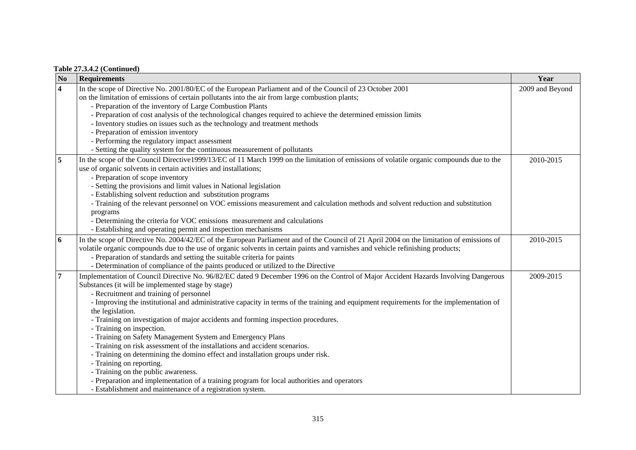|  |  | <b>Table 27.3.4.2 (Continued)</b> |
|--|--|-----------------------------------|
|--|--|-----------------------------------|

| $\mathbf{N}\mathbf{o}$  | <b>Requirements</b>                                                                                                                       | Year            |
|-------------------------|-------------------------------------------------------------------------------------------------------------------------------------------|-----------------|
| $\overline{\mathbf{4}}$ | In the scope of Directive No. 2001/80/EC of the European Parliament and of the Council of 23 October 2001                                 | 2009 and Beyond |
|                         | on the limitation of emissions of certain pollutants into the air from large combustion plants;                                           |                 |
|                         | - Preparation of the inventory of Large Combustion Plants                                                                                 |                 |
|                         | - Preparation of cost analysis of the technological changes required to achieve the determined emission limits                            |                 |
|                         | - Inventory studies on issues such as the technology and treatment methods                                                                |                 |
|                         | - Preparation of emission inventory                                                                                                       |                 |
|                         | - Performing the regulatory impact assessment                                                                                             |                 |
|                         | - Setting the quality system for the continuous measurement of pollutants                                                                 |                 |
| 5                       | In the scope of the Council Directive1999/13/EC of 11 March 1999 on the limitation of emissions of volatile organic compounds due to the  | 2010-2015       |
|                         | use of organic solvents in certain activities and installations;                                                                          |                 |
|                         | - Preparation of scope inventory                                                                                                          |                 |
|                         | - Setting the provisions and limit values in National legislation                                                                         |                 |
|                         | - Establishing solvent reduction and substitution programs                                                                                |                 |
|                         | - Training of the relevant personnel on VOC emissions measurement and calculation methods and solvent reduction and substitution          |                 |
|                         | programs                                                                                                                                  |                 |
|                         | - Determining the criteria for VOC emissions measurement and calculations                                                                 |                 |
|                         | - Establishing and operating permit and inspection mechanisms                                                                             |                 |
| 6                       | In the scope of Directive No. 2004/42/EC of the European Parliament and of the Council of 21 April 2004 on the limitation of emissions of | 2010-2015       |
|                         | volatile organic compounds due to the use of organic solvents in certain paints and varnishes and vehicle refinishing products;           |                 |
|                         | - Preparation of standards and setting the suitable criteria for paints                                                                   |                 |
|                         | - Determination of compliance of the paints produced or utilized to the Directive                                                         |                 |
| 7                       | Implementation of Council Directive No. 96/82/EC dated 9 December 1996 on the Control of Major Accident Hazards Involving Dangerous       | 2009-2015       |
|                         | Substances (it will be implemented stage by stage)                                                                                        |                 |
|                         | - Recruitment and training of personnel                                                                                                   |                 |
|                         | - Improving the institutional and administrative capacity in terms of the training and equipment requirements for the implementation of   |                 |
|                         | the legislation.                                                                                                                          |                 |
|                         | - Training on investigation of major accidents and forming inspection procedures.                                                         |                 |
|                         | - Training on inspection.                                                                                                                 |                 |
|                         | - Training on Safety Management System and Emergency Plans                                                                                |                 |
|                         | - Training on risk assessment of the installations and accident scenarios.                                                                |                 |
|                         | - Training on determining the domino effect and installation groups under risk.                                                           |                 |
|                         | - Training on reporting.                                                                                                                  |                 |
|                         | - Training on the public awareness.                                                                                                       |                 |
|                         | - Preparation and implementation of a training program for local authorities and operators                                                |                 |
|                         | - Establishment and maintenance of a registration system.                                                                                 |                 |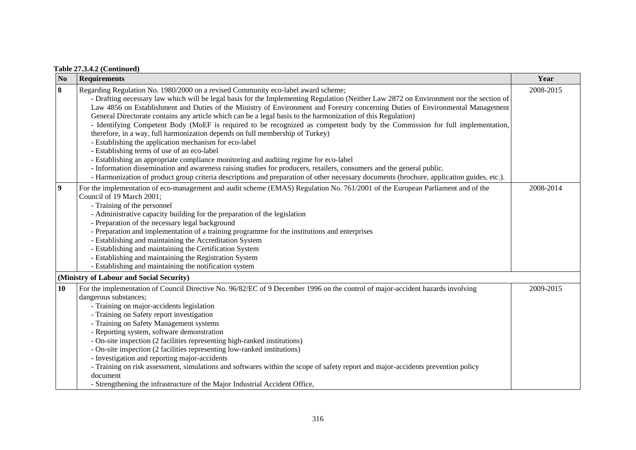| N <sub>0</sub>   | <b>Requirements</b>                                                                                                                                                                                                                                                                                                                                                                                                                                                                                                                                                                                                                                                                                                                                                                                                                                                                                                                                                                                                                                                                                                                                                    | Year      |
|------------------|------------------------------------------------------------------------------------------------------------------------------------------------------------------------------------------------------------------------------------------------------------------------------------------------------------------------------------------------------------------------------------------------------------------------------------------------------------------------------------------------------------------------------------------------------------------------------------------------------------------------------------------------------------------------------------------------------------------------------------------------------------------------------------------------------------------------------------------------------------------------------------------------------------------------------------------------------------------------------------------------------------------------------------------------------------------------------------------------------------------------------------------------------------------------|-----------|
| $\bf{8}$         | Regarding Regulation No. 1980/2000 on a revised Community eco-label award scheme;<br>- Drafting necessary law which will be legal basis for the Implementing Regulation (Neither Law 2872 on Environment nor the section of<br>Law 4856 on Establishment and Duties of the Ministry of Environment and Forestry concerning Duties of Environmental Management<br>General Directorate contains any article which can be a legal basis to the harmonization of this Regulation)<br>- Identifying Competent Body (MoEF is required to be recognized as competent body by the Commission for full implementation,<br>therefore, in a way, full harmonization depends on full membership of Turkey)<br>- Establishing the application mechanism for eco-label<br>- Establishing terms of use of an eco-label<br>- Establishing an appropriate compliance monitoring and auditing regime for eco-label<br>- Information dissemination and awareness raising studies for producers, retailers, consumers and the general public.<br>- Harmonization of product group criteria descriptions and preparation of other necessary documents (brochure, application guides, etc.). | 2008-2015 |
| $\boldsymbol{9}$ | For the implementation of eco-management and audit scheme (EMAS) Regulation No. 761/2001 of the European Parliament and of the<br>Council of 19 March 2001;<br>- Training of the personnel<br>- Administrative capacity building for the preparation of the legislation<br>- Preparation of the necessary legal background<br>- Preparation and implementation of a training programme for the institutions and enterprises<br>- Establishing and maintaining the Accreditation System<br>- Establishing and maintaining the Certification System<br>- Establishing and maintaining the Registration System<br>- Establishing and maintaining the notification system                                                                                                                                                                                                                                                                                                                                                                                                                                                                                                  | 2008-2014 |
|                  | (Ministry of Labour and Social Security)                                                                                                                                                                                                                                                                                                                                                                                                                                                                                                                                                                                                                                                                                                                                                                                                                                                                                                                                                                                                                                                                                                                               |           |
| 10               | For the implementation of Council Directive No. 96/82/EC of 9 December 1996 on the control of major-accident hazards involving<br>dangerous substances;<br>- Training on major-accidents legislation<br>- Training on Safety report investigation<br>- Training on Safety Management systems<br>- Reporting system, software demonstration<br>- On-site inspection (2 facilities representing high-ranked institutions)<br>- On-site inspection (2 facilities representing low-ranked institutions)<br>- Investigation and reporting major-accidents<br>- Training on risk assessment, simulations and softwares within the scope of safety report and major-accidents prevention policy<br>document<br>- Strengthening the infrastructure of the Major Industrial Accident Office,                                                                                                                                                                                                                                                                                                                                                                                    | 2009-2015 |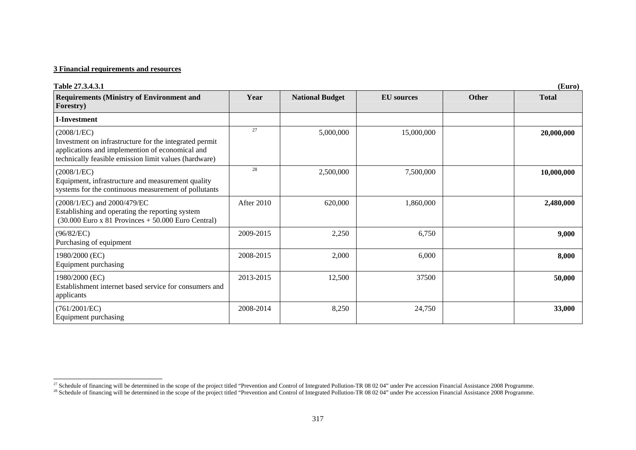| Table 27.3.4.3.1<br>(Euro)                                                                                                                                                        |            |                        |                   |              |              |
|-----------------------------------------------------------------------------------------------------------------------------------------------------------------------------------|------------|------------------------|-------------------|--------------|--------------|
| <b>Requirements (Ministry of Environment and</b><br><b>Forestry</b> )                                                                                                             | Year       | <b>National Budget</b> | <b>EU</b> sources | <b>Other</b> | <b>Total</b> |
| <b>I-Investment</b>                                                                                                                                                               |            |                        |                   |              |              |
| (2008/1/EC)<br>Investment on infrastructure for the integrated permit<br>applications and implemention of economical and<br>technically feasible emission limit values (hardware) | 27         | 5,000,000              | 15,000,000        |              | 20,000,000   |
| (2008/1/EC)<br>Equipment, infrastructure and measurement quality<br>systems for the continuous measurement of pollutants                                                          | 28         | 2,500,000              | 7,500,000         |              | 10,000,000   |
| (2008/1/EC) and 2000/479/EC<br>Establishing and operating the reporting system<br>$(30.000$ Euro x 81 Provinces + 50.000 Euro Central)                                            | After 2010 | 620,000                | 1,860,000         |              | 2,480,000    |
| (96/82/EC)<br>Purchasing of equipment                                                                                                                                             | 2009-2015  | 2,250                  | 6,750             |              | 9,000        |
| 1980/2000 (EC)<br>Equipment purchasing                                                                                                                                            | 2008-2015  | 2,000                  | 6,000             |              | 8,000        |
| 1980/2000 (EC)<br>Establishment internet based service for consumers and<br>applicants                                                                                            | 2013-2015  | 12,500                 | 37500             |              | 50,000       |
| (761/2001/EC)<br>Equipment purchasing                                                                                                                                             | 2008-2014  | 8,250                  | 24,750            |              | 33,000       |

<sup>&</sup>lt;sup>27</sup> Schedule of financing will be determined in the scope of the project titled "Prevention and Control of Integrated Pollution-TR 08 02 04" under Pre accession Financial Assistance 2008 Programme.

<sup>&</sup>lt;sup>28</sup> Schedule of financing will be determined in the scope of the project titled "Prevention and Control of Integrated Pollution-TR 08 02 04" under Pre accession Financial Assistance 2008 Programme.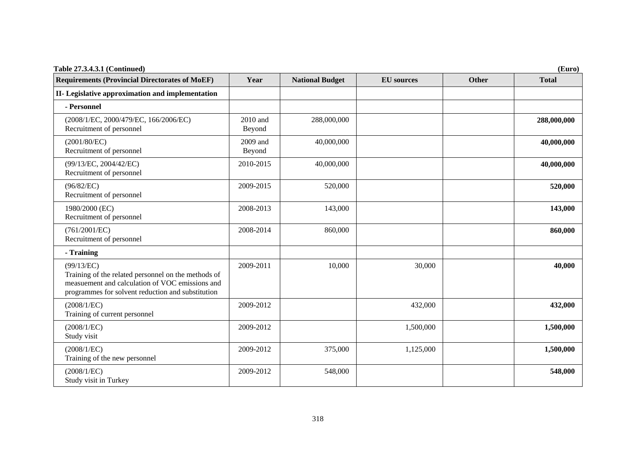| Table 27.3.4.3.1 (Continued)<br>(Euro)                                                                                                                                    |                      |                        |                   |              |              |
|---------------------------------------------------------------------------------------------------------------------------------------------------------------------------|----------------------|------------------------|-------------------|--------------|--------------|
| <b>Requirements (Provincial Directorates of MoEF)</b>                                                                                                                     | Year                 | <b>National Budget</b> | <b>EU</b> sources | <b>Other</b> | <b>Total</b> |
| II- Legislative approximation and implementation                                                                                                                          |                      |                        |                   |              |              |
| - Personnel                                                                                                                                                               |                      |                        |                   |              |              |
| (2008/1/EC, 2000/479/EC, 166/2006/EC)<br>Recruitment of personnel                                                                                                         | $2010$ and<br>Beyond | 288,000,000            |                   |              | 288,000,000  |
| (2001/80/EC)<br>Recruitment of personnel                                                                                                                                  | 2009 and<br>Beyond   | 40,000,000             |                   |              | 40,000,000   |
| (99/13/EC, 2004/42/EC)<br>Recruitment of personnel                                                                                                                        | 2010-2015            | 40,000,000             |                   |              | 40,000,000   |
| (96/82/EC)<br>Recruitment of personnel                                                                                                                                    | 2009-2015            | 520,000                |                   |              | 520,000      |
| 1980/2000 (EC)<br>Recruitment of personnel                                                                                                                                | 2008-2013            | 143,000                |                   |              | 143,000      |
| (761/2001/EC)<br>Recruitment of personnel                                                                                                                                 | 2008-2014            | 860,000                |                   |              | 860,000      |
| - Training                                                                                                                                                                |                      |                        |                   |              |              |
| (99/13/EC)<br>Training of the related personnel on the methods of<br>measuement and calculation of VOC emissions and<br>programmes for solvent reduction and substitution | 2009-2011            | 10,000                 | 30,000            |              | 40,000       |
| (2008/1/EC)<br>Training of current personnel                                                                                                                              | 2009-2012            |                        | 432,000           |              | 432,000      |
| (2008/1/EC)<br>Study visit                                                                                                                                                | 2009-2012            |                        | 1,500,000         |              | 1,500,000    |
| (2008/1/EC)<br>Training of the new personnel                                                                                                                              | 2009-2012            | 375,000                | 1,125,000         |              | 1,500,000    |
| (2008/1/EC)<br>Study visit in Turkey                                                                                                                                      | 2009-2012            | 548,000                |                   |              | 548,000      |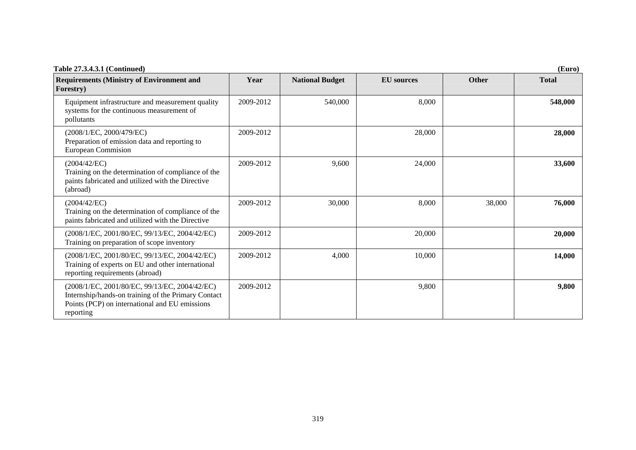| Table 27.3.4.3.1 (Continued)<br>(Euro)                                                                                                                              |           |                        |                   |        |              |
|---------------------------------------------------------------------------------------------------------------------------------------------------------------------|-----------|------------------------|-------------------|--------|--------------|
| <b>Requirements (Ministry of Environment and</b><br><b>Forestry</b> )                                                                                               | Year      | <b>National Budget</b> | <b>EU</b> sources | Other  | <b>Total</b> |
| Equipment infrastructure and measurement quality<br>systems for the continuous measurement of<br>pollutants                                                         | 2009-2012 | 540,000                | 8,000             |        | 548,000      |
| (2008/1/EC, 2000/479/EC)<br>Preparation of emission data and reporting to<br><b>European Commision</b>                                                              | 2009-2012 |                        | 28,000            |        | 28,000       |
| (2004/42/EC)<br>Training on the determination of compliance of the<br>paints fabricated and utilized with the Directive<br>(abroad)                                 | 2009-2012 | 9,600                  | 24,000            |        | 33,600       |
| (2004/42/EC)<br>Training on the determination of compliance of the<br>paints fabricated and utilized with the Directive                                             | 2009-2012 | 30,000                 | 8,000             | 38,000 | 76,000       |
| (2008/1/EC, 2001/80/EC, 99/13/EC, 2004/42/EC)<br>Training on preparation of scope inventory                                                                         | 2009-2012 |                        | 20,000            |        | 20,000       |
| (2008/1/EC, 2001/80/EC, 99/13/EC, 2004/42/EC)<br>Training of experts on EU and other international<br>reporting requirements (abroad)                               | 2009-2012 | 4,000                  | 10,000            |        | 14,000       |
| (2008/1/EC, 2001/80/EC, 99/13/EC, 2004/42/EC)<br>Internship/hands-on training of the Primary Contact<br>Points (PCP) on international and EU emissions<br>reporting | 2009-2012 |                        | 9,800             |        | 9,800        |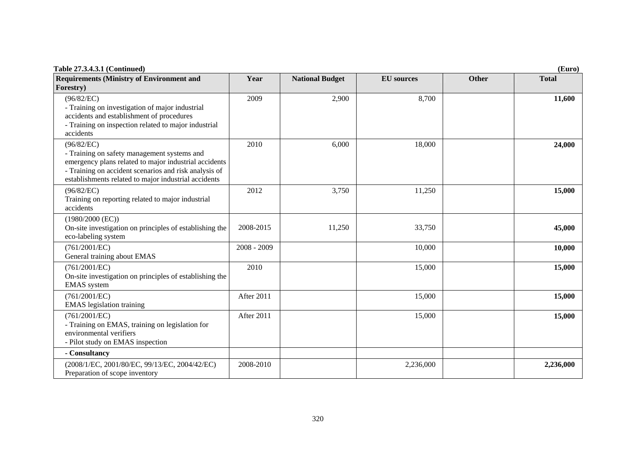| <b>Table 27.3.4.3.1 (Continued)</b><br>(Euro)                                                                                                                                                                                       |               |                        |                   |              |              |
|-------------------------------------------------------------------------------------------------------------------------------------------------------------------------------------------------------------------------------------|---------------|------------------------|-------------------|--------------|--------------|
| <b>Requirements (Ministry of Environment and</b><br>Forestry)                                                                                                                                                                       | Year          | <b>National Budget</b> | <b>EU</b> sources | <b>Other</b> | <b>Total</b> |
| (96/82/EC)<br>- Training on investigation of major industrial<br>accidents and establishment of procedures<br>- Training on inspection related to major industrial<br>accidents                                                     | 2009          | 2,900                  | 8,700             |              | 11,600       |
| (96/82/EC)<br>- Training on safety management systems and<br>emergency plans related to major industrial accidents<br>- Training on accident scenarios and risk analysis of<br>establishments related to major industrial accidents | 2010          | 6,000                  | 18,000            |              | 24,000       |
| (96/82/EC)<br>Training on reporting related to major industrial<br>accidents                                                                                                                                                        | 2012          | 3,750                  | 11,250            |              | 15,000       |
| $(1980/2000$ (EC))<br>On-site investigation on principles of establishing the<br>eco-labeling system                                                                                                                                | 2008-2015     | 11,250                 | 33,750            |              | 45,000       |
| (761/2001/EC)<br>General training about EMAS                                                                                                                                                                                        | $2008 - 2009$ |                        | 10,000            |              | 10,000       |
| (761/2001/EC)<br>On-site investigation on principles of establishing the<br><b>EMAS</b> system                                                                                                                                      | 2010          |                        | 15,000            |              | 15,000       |
| (761/2001/EC)<br><b>EMAS</b> legislation training                                                                                                                                                                                   | After 2011    |                        | 15,000            |              | 15,000       |
| (761/2001/EC)<br>- Training on EMAS, training on legislation for<br>environmental verifiers<br>- Pilot study on EMAS inspection                                                                                                     | After 2011    |                        | 15,000            |              | 15,000       |
| - Consultancy                                                                                                                                                                                                                       |               |                        |                   |              |              |
| (2008/1/EC, 2001/80/EC, 99/13/EC, 2004/42/EC)<br>Preparation of scope inventory                                                                                                                                                     | 2008-2010     |                        | 2,236,000         |              | 2,236,000    |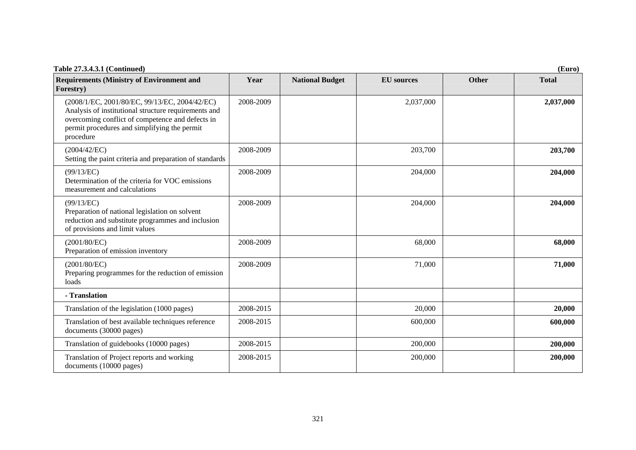| Table 27.3.4.3.1 (Continued)<br>(Euro)                                                                                                                                                                                 |           |                        |                   |              |              |
|------------------------------------------------------------------------------------------------------------------------------------------------------------------------------------------------------------------------|-----------|------------------------|-------------------|--------------|--------------|
| <b>Requirements (Ministry of Environment and</b><br>Forestry)                                                                                                                                                          | Year      | <b>National Budget</b> | <b>EU</b> sources | <b>Other</b> | <b>Total</b> |
| (2008/1/EC, 2001/80/EC, 99/13/EC, 2004/42/EC)<br>Analysis of institutional structure requirements and<br>overcoming conflict of competence and defects in<br>permit procedures and simplifying the permit<br>procedure | 2008-2009 |                        | 2,037,000         |              | 2,037,000    |
| (2004/42/EC)<br>Setting the paint criteria and preparation of standards                                                                                                                                                | 2008-2009 |                        | 203,700           |              | 203,700      |
| (99/13/EC)<br>Determination of the criteria for VOC emissions<br>measurement and calculations                                                                                                                          | 2008-2009 |                        | 204,000           |              | 204,000      |
| (99/13/EC)<br>Preparation of national legislation on solvent<br>reduction and substitute programmes and inclusion<br>of provisions and limit values                                                                    | 2008-2009 |                        | 204,000           |              | 204,000      |
| (2001/80/EC)<br>Preparation of emission inventory                                                                                                                                                                      | 2008-2009 |                        | 68,000            |              | 68,000       |
| (2001/80/EC)<br>Preparing programmes for the reduction of emission<br>loads                                                                                                                                            | 2008-2009 |                        | 71,000            |              | 71,000       |
| - Translation                                                                                                                                                                                                          |           |                        |                   |              |              |
| Translation of the legislation (1000 pages)                                                                                                                                                                            | 2008-2015 |                        | 20,000            |              | 20,000       |
| Translation of best available techniques reference<br>documents (30000 pages)                                                                                                                                          | 2008-2015 |                        | 600,000           |              | 600,000      |
| Translation of guidebooks (10000 pages)                                                                                                                                                                                | 2008-2015 |                        | 200,000           |              | 200,000      |
| Translation of Project reports and working<br>documents (10000 pages)                                                                                                                                                  | 2008-2015 |                        | 200,000           |              | 200,000      |

321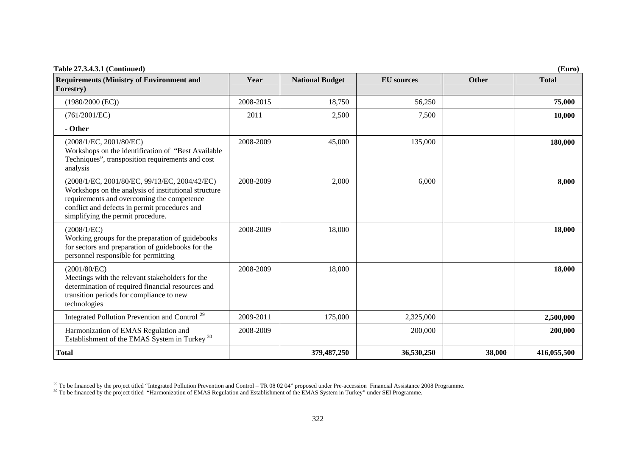| <b>Table 27.3.4.3.1 (Continued)</b>                                                                                                                                                                                                       |           |                        |                   |              | (Euro)       |
|-------------------------------------------------------------------------------------------------------------------------------------------------------------------------------------------------------------------------------------------|-----------|------------------------|-------------------|--------------|--------------|
| <b>Requirements (Ministry of Environment and</b><br>Forestry)                                                                                                                                                                             | Year      | <b>National Budget</b> | <b>EU</b> sources | <b>Other</b> | <b>Total</b> |
| $(1980/2000$ (EC))                                                                                                                                                                                                                        | 2008-2015 | 18,750                 | 56,250            |              | 75,000       |
| (761/2001/EC)                                                                                                                                                                                                                             | 2011      | 2,500                  | 7,500             |              | 10,000       |
| - Other                                                                                                                                                                                                                                   |           |                        |                   |              |              |
| (2008/1/EC, 2001/80/EC)<br>Workshops on the identification of "Best Available<br>Techniques", transposition requirements and cost<br>analysis                                                                                             | 2008-2009 | 45,000                 | 135,000           |              | 180,000      |
| (2008/1/EC, 2001/80/EC, 99/13/EC, 2004/42/EC)<br>Workshops on the analysis of institutional structure<br>requirements and overcoming the competence<br>conflict and defects in permit procedures and<br>simplifying the permit procedure. | 2008-2009 | 2,000                  | 6,000             |              | 8,000        |
| (2008/1/EC)<br>Working groups for the preparation of guidebooks<br>for sectors and preparation of guidebooks for the<br>personnel responsible for permitting                                                                              | 2008-2009 | 18,000                 |                   |              | 18,000       |
| (2001/80/EC)<br>Meetings with the relevant stakeholders for the<br>determination of required financial resources and<br>transition periods for compliance to new<br>technologies                                                          | 2008-2009 | 18,000                 |                   |              | 18,000       |
| Integrated Pollution Prevention and Control <sup>29</sup>                                                                                                                                                                                 | 2009-2011 | 175,000                | 2,325,000         |              | 2,500,000    |
| Harmonization of EMAS Regulation and<br>Establishment of the EMAS System in Turkey <sup>30</sup>                                                                                                                                          | 2008-2009 |                        | 200,000           |              | 200,000      |
| <b>Total</b>                                                                                                                                                                                                                              |           | 379,487,250            | 36,530,250        | 38,000       | 416,055,500  |

<span id="page-36-1"></span><span id="page-36-0"></span><sup>&</sup>lt;sup>29</sup> To be financed by the project titled "Integrated Pollution Prevention and Control – TR 08 02 04" proposed under Pre-accession Financial Assistance 2008 Programme.

<sup>&</sup>lt;sup>30</sup> To be financed by the project titled "Harmonization of EMAS Regulation and Establishment of the EMAS System in Turkey" under SEI Programme.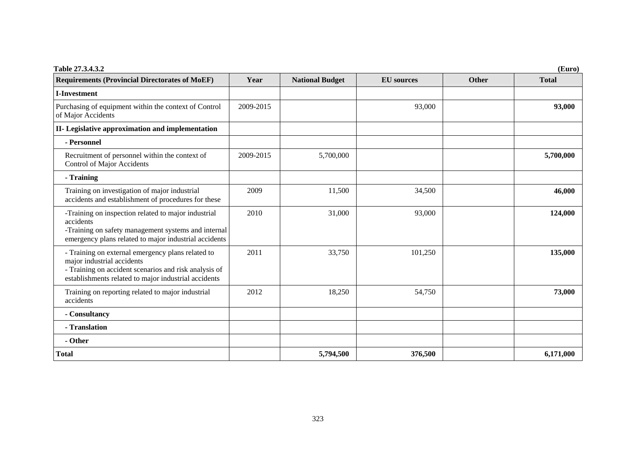| Table 27.3.4.3.2                                                                                                                                                                                 | (Euro)    |                        |                   |              |              |  |  |
|--------------------------------------------------------------------------------------------------------------------------------------------------------------------------------------------------|-----------|------------------------|-------------------|--------------|--------------|--|--|
| <b>Requirements (Provincial Directorates of MoEF)</b>                                                                                                                                            | Year      | <b>National Budget</b> | <b>EU</b> sources | <b>Other</b> | <b>Total</b> |  |  |
| <b>I-Investment</b>                                                                                                                                                                              |           |                        |                   |              |              |  |  |
| Purchasing of equipment within the context of Control<br>of Major Accidents                                                                                                                      | 2009-2015 |                        | 93,000            |              | 93,000       |  |  |
| II- Legislative approximation and implementation                                                                                                                                                 |           |                        |                   |              |              |  |  |
| - Personnel                                                                                                                                                                                      |           |                        |                   |              |              |  |  |
| Recruitment of personnel within the context of<br>Control of Major Accidents                                                                                                                     | 2009-2015 | 5,700,000              |                   |              | 5,700,000    |  |  |
| - Training                                                                                                                                                                                       |           |                        |                   |              |              |  |  |
| Training on investigation of major industrial<br>accidents and establishment of procedures for these                                                                                             | 2009      | 11,500                 | 34,500            |              | 46,000       |  |  |
| -Training on inspection related to major industrial<br>accidents<br>-Training on safety management systems and internal<br>emergency plans related to major industrial accidents                 | 2010      | 31,000                 | 93,000            |              | 124,000      |  |  |
| - Training on external emergency plans related to<br>major industrial accidents<br>- Training on accident scenarios and risk analysis of<br>establishments related to major industrial accidents | 2011      | 33,750                 | 101,250           |              | 135,000      |  |  |
| Training on reporting related to major industrial<br>accidents                                                                                                                                   | 2012      | 18,250                 | 54,750            |              | 73,000       |  |  |
| - Consultancy                                                                                                                                                                                    |           |                        |                   |              |              |  |  |
| - Translation                                                                                                                                                                                    |           |                        |                   |              |              |  |  |
| - Other                                                                                                                                                                                          |           |                        |                   |              |              |  |  |
| <b>Total</b>                                                                                                                                                                                     |           | 5,794,500              | 376,500           |              | 6,171,000    |  |  |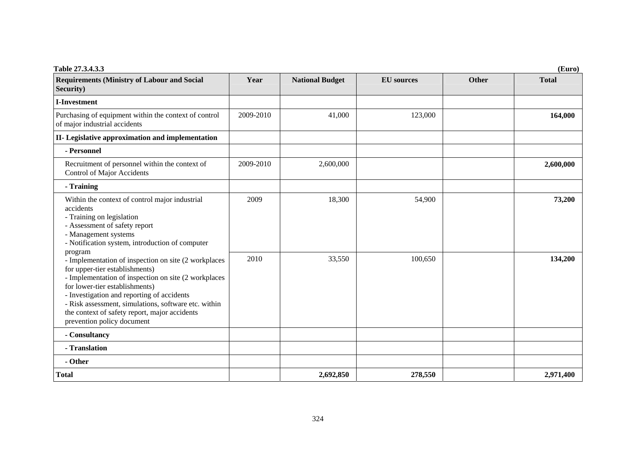| Table 27.3.4.3.3                                                                                                                                                                                                                                                                                                                                                                 |           |                        |                   |              | (Euro)       |
|----------------------------------------------------------------------------------------------------------------------------------------------------------------------------------------------------------------------------------------------------------------------------------------------------------------------------------------------------------------------------------|-----------|------------------------|-------------------|--------------|--------------|
| <b>Requirements (Ministry of Labour and Social</b><br>Security)                                                                                                                                                                                                                                                                                                                  | Year      | <b>National Budget</b> | <b>EU</b> sources | <b>Other</b> | <b>Total</b> |
| <b>I-Investment</b>                                                                                                                                                                                                                                                                                                                                                              |           |                        |                   |              |              |
| Purchasing of equipment within the context of control<br>of major industrial accidents                                                                                                                                                                                                                                                                                           | 2009-2010 | 41,000                 | 123,000           |              | 164,000      |
| II- Legislative approximation and implementation                                                                                                                                                                                                                                                                                                                                 |           |                        |                   |              |              |
| - Personnel                                                                                                                                                                                                                                                                                                                                                                      |           |                        |                   |              |              |
| Recruitment of personnel within the context of<br><b>Control of Major Accidents</b>                                                                                                                                                                                                                                                                                              | 2009-2010 | 2,600,000              |                   |              | 2,600,000    |
| - Training                                                                                                                                                                                                                                                                                                                                                                       |           |                        |                   |              |              |
| Within the context of control major industrial<br>accidents<br>- Training on legislation<br>- Assessment of safety report<br>- Management systems<br>- Notification system, introduction of computer                                                                                                                                                                             | 2009      | 18,300                 | 54,900            |              | 73,200       |
| program<br>- Implementation of inspection on site (2 workplaces<br>for upper-tier establishments)<br>- Implementation of inspection on site (2 workplaces<br>for lower-tier establishments)<br>- Investigation and reporting of accidents<br>- Risk assessment, simulations, software etc. within<br>the context of safety report, major accidents<br>prevention policy document | 2010      | 33,550                 | 100,650           |              | 134,200      |
| - Consultancy                                                                                                                                                                                                                                                                                                                                                                    |           |                        |                   |              |              |
| - Translation                                                                                                                                                                                                                                                                                                                                                                    |           |                        |                   |              |              |
| - Other                                                                                                                                                                                                                                                                                                                                                                          |           |                        |                   |              |              |
| <b>Total</b>                                                                                                                                                                                                                                                                                                                                                                     |           | 2,692,850              | 278,550           |              | 2,971,400    |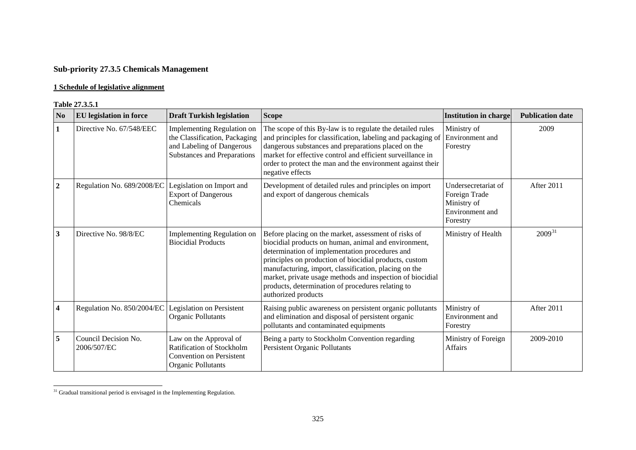# **Sub-priority 27.3.5 Chemicals Management**

## **1 Schedule of legislative alignment**

#### **Table 27.3.5.1**

| N <sub>0</sub>          | 1 adie <i>41</i> .9.9.1<br><b>EU</b> legislation in force | <b>Draft Turkish legislation</b>                                                                                               | <b>Scope</b>                                                                                                                                                                                                                                                                                                                                                                                                               | <b>Institution in charge</b>                                                       | <b>Publication date</b> |
|-------------------------|-----------------------------------------------------------|--------------------------------------------------------------------------------------------------------------------------------|----------------------------------------------------------------------------------------------------------------------------------------------------------------------------------------------------------------------------------------------------------------------------------------------------------------------------------------------------------------------------------------------------------------------------|------------------------------------------------------------------------------------|-------------------------|
| 1                       | Directive No. 67/548/EEC                                  | Implementing Regulation on<br>the Classification, Packaging<br>and Labeling of Dangerous<br><b>Substances and Preparations</b> | The scope of this By-law is to regulate the detailed rules<br>and principles for classification, labeling and packaging of<br>dangerous substances and preparations placed on the<br>market for effective control and efficient surveillance in<br>order to protect the man and the environment against their<br>negative effects                                                                                          | Ministry of<br>Environment and<br>Forestry                                         | 2009                    |
| $\boldsymbol{2}$        | Regulation No. 689/2008/EC                                | Legislation on Import and<br><b>Export of Dangerous</b><br>Chemicals                                                           | Development of detailed rules and principles on import<br>and export of dangerous chemicals                                                                                                                                                                                                                                                                                                                                | Undersecretariat of<br>Foreign Trade<br>Ministry of<br>Environment and<br>Forestry | After 2011              |
| $\mathbf{3}$            | Directive No. 98/8/EC                                     | <b>Implementing Regulation on</b><br><b>Biocidial Products</b>                                                                 | Before placing on the market, assessment of risks of<br>biocidial products on human, animal and environment,<br>determination of implementation procedures and<br>principles on production of biocidial products, custom<br>manufacturing, import, classification, placing on the<br>market, private usage methods and inspection of biocidial<br>products, determination of procedures relating to<br>authorized products | Ministry of Health                                                                 | $2009^{31}$             |
| $\overline{\mathbf{4}}$ | Regulation No. 850/2004/EC                                | Legislation on Persistent<br>Organic Pollutants                                                                                | Raising public awareness on persistent organic pollutants<br>and elimination and disposal of persistent organic<br>pollutants and contaminated equipments                                                                                                                                                                                                                                                                  | Ministry of<br>Environment and<br>Forestry                                         | After 2011              |
| $\overline{5}$          | Council Decision No.<br>2006/507/EC                       | Law on the Approval of<br>Ratification of Stockholm<br><b>Convention on Persistent</b><br>Organic Pollutants                   | Being a party to Stockholm Convention regarding<br>Persistent Organic Pollutants                                                                                                                                                                                                                                                                                                                                           | Ministry of Foreign<br>Affairs                                                     | 2009-2010               |

<span id="page-39-0"></span><sup>&</sup>lt;sup>31</sup> Gradual transitional period is envisaged in the Implementing Regulation.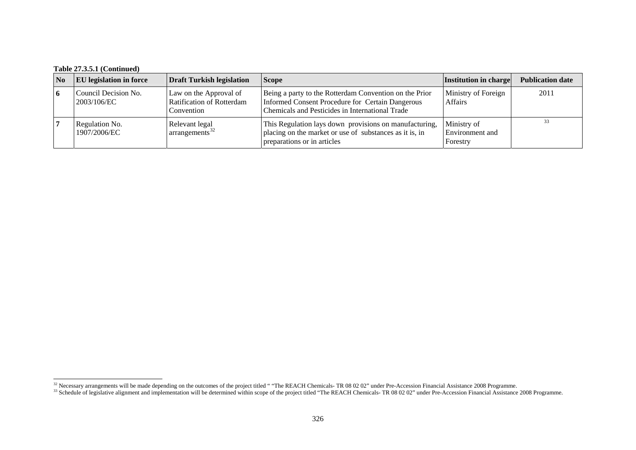| $\overline{\mathbf{N}}$ | <b>EU</b> legislation in force      | <b>Draft Turkish legislation</b>                                         | <b>Scope</b>                                                                                                                                                  | Institution in charge                      | <b>Publication date</b> |
|-------------------------|-------------------------------------|--------------------------------------------------------------------------|---------------------------------------------------------------------------------------------------------------------------------------------------------------|--------------------------------------------|-------------------------|
| 16                      | Council Decision No.<br>2003/106/EC | Law on the Approval of<br><b>Ratification of Rotterdam</b><br>Convention | Being a party to the Rotterdam Convention on the Prior<br>Informed Consent Procedure for Certain Dangerous<br>Chemicals and Pesticides in International Trade | Ministry of Foreign<br><b>Affairs</b>      | 2011                    |
|                         | Regulation No.<br>1907/2006/EC      | Relevant legal<br>arrangements <sup>32</sup>                             | This Regulation lays down provisions on manufacturing,<br>placing on the market or use of substances as it is, in<br>preparations or in articles              | Ministry of<br>Environment and<br>Forestry | 33                      |

<span id="page-40-0"></span><sup>&</sup>lt;sup>32</sup> Necessary arrangements will be made depending on the outcomes of the project titled " "The REACH Chemicals- TR 08 02 02" under Pre-Accession Financial Assistance 2008 Programme.

<span id="page-40-1"></span><sup>&</sup>lt;sup>33</sup> Schedule of legislative alignment and implementation will be determined within scope of the project titled "The REACH Chemicals- TR 08 02 02" under Pre-Accession Financial Assistance 2008 Programme.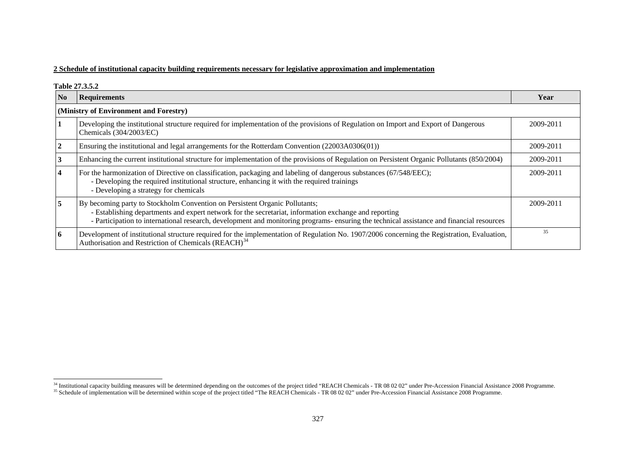### **2 Schedule of institutional capacity building requirements necessary for legislative approximation and implementation**

**Table 27.3.5.2** 

| N <sub>0</sub> | <b>Requirements</b>                                                                                                                                                                                                                                                                                                               | Year      |
|----------------|-----------------------------------------------------------------------------------------------------------------------------------------------------------------------------------------------------------------------------------------------------------------------------------------------------------------------------------|-----------|
|                | (Ministry of Environment and Forestry)                                                                                                                                                                                                                                                                                            |           |
|                | Developing the institutional structure required for implementation of the provisions of Regulation on Import and Export of Dangerous<br>Chemicals (304/2003/EC)                                                                                                                                                                   | 2009-2011 |
|                | Ensuring the institutional and legal arrangements for the Rotterdam Convention (22003A0306(01))                                                                                                                                                                                                                                   | 2009-2011 |
|                | Enhancing the current institutional structure for implementation of the provisions of Regulation on Persistent Organic Pollutants (850/2004)                                                                                                                                                                                      | 2009-2011 |
|                | For the harmonization of Directive on classification, packaging and labeling of dangerous substances (67/548/EEC);<br>- Developing the required institutional structure, enhancing it with the required trainings<br>- Developing a strategy for chemicals                                                                        | 2009-2011 |
| 5              | By becoming party to Stockholm Convention on Persistent Organic Pollutants;<br>- Establishing departments and expert network for the secretariat, information exchange and reporting<br>- Participation to international research, development and monitoring programs- ensuring the technical assistance and financial resources | 2009-2011 |
| O.             | Development of institutional structure required for the implementation of Regulation No. 1907/2006 concerning the Registration, Evaluation,<br>Authorisation and Restriction of Chemicals (REACH) <sup>34</sup>                                                                                                                   | 35        |

<span id="page-41-0"></span><sup>&</sup>lt;sup>34</sup> Institutional capacity building measures will be determined depending on the outcomes of the project titled "REACH Chemicals - TR 08 02 02" under Pre-Accession Financial Assistance 2008 Programme.

<sup>&</sup>lt;sup>35</sup> Schedule of implementation will be determined within scope of the project titled "The REACH Chemicals - TR 08 02 02" under Pre-Accession Financial Assistance 2008 Programme.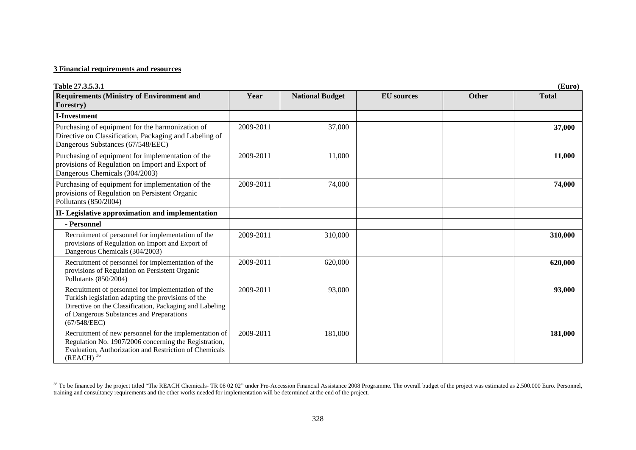#### **3 Financial requirements and resources**

| Table 27.3.5.3.1                                                                                                                                                                                                                |           |                        |                   |              | (Euro)       |
|---------------------------------------------------------------------------------------------------------------------------------------------------------------------------------------------------------------------------------|-----------|------------------------|-------------------|--------------|--------------|
| <b>Requirements (Ministry of Environment and</b><br>Forestry)                                                                                                                                                                   | Year      | <b>National Budget</b> | <b>EU</b> sources | <b>Other</b> | <b>Total</b> |
| <b>I-Investment</b>                                                                                                                                                                                                             |           |                        |                   |              |              |
| Purchasing of equipment for the harmonization of<br>Directive on Classification, Packaging and Labeling of<br>Dangerous Substances (67/548/EEC)                                                                                 | 2009-2011 | 37,000                 |                   |              | 37,000       |
| Purchasing of equipment for implementation of the<br>provisions of Regulation on Import and Export of<br>Dangerous Chemicals (304/2003)                                                                                         | 2009-2011 | 11,000                 |                   |              | 11,000       |
| Purchasing of equipment for implementation of the<br>provisions of Regulation on Persistent Organic<br>Pollutants (850/2004)                                                                                                    | 2009-2011 | 74,000                 |                   |              | 74,000       |
| II- Legislative approximation and implementation                                                                                                                                                                                |           |                        |                   |              |              |
| - Personnel                                                                                                                                                                                                                     |           |                        |                   |              |              |
| Recruitment of personnel for implementation of the<br>provisions of Regulation on Import and Export of<br>Dangerous Chemicals (304/2003)                                                                                        | 2009-2011 | 310,000                |                   |              | 310,000      |
| Recruitment of personnel for implementation of the<br>provisions of Regulation on Persistent Organic<br>Pollutants (850/2004)                                                                                                   | 2009-2011 | 620,000                |                   |              | 620,000      |
| Recruitment of personnel for implementation of the<br>Turkish legislation adapting the provisions of the<br>Directive on the Classification, Packaging and Labeling<br>of Dangerous Substances and Preparations<br>(67/548/EEC) | 2009-2011 | 93,000                 |                   |              | 93,000       |
| Recruitment of new personnel for the implementation of<br>Regulation No. 1907/2006 concerning the Registration,<br>Evaluation, Authorization and Restriction of Chemicals<br>$(REACH)^{36}$                                     | 2009-2011 | 181,000                |                   |              | 181,000      |

<span id="page-42-0"></span><sup>&</sup>lt;sup>36</sup> To be financed by the project titled "The REACH Chemicals- TR 08 02 02" under Pre-Accession Financial Assistance 2008 Programme. The overall budget of the project was estimated as 2.500.000 Euro. Personnel, training and consultancy requirements and the other works needed for implementation will be determined at the end of the project.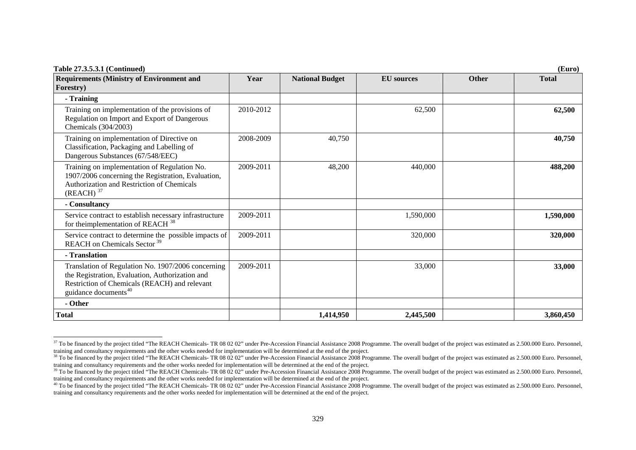| Table 27.3.5.3.1 (Continued)                                                                                                                                                               |           |                        |                   |              | (Euro)       |
|--------------------------------------------------------------------------------------------------------------------------------------------------------------------------------------------|-----------|------------------------|-------------------|--------------|--------------|
| <b>Requirements (Ministry of Environment and</b>                                                                                                                                           | Year      | <b>National Budget</b> | <b>EU</b> sources | <b>Other</b> | <b>Total</b> |
| Forestry)                                                                                                                                                                                  |           |                        |                   |              |              |
| - Training                                                                                                                                                                                 |           |                        |                   |              |              |
| Training on implementation of the provisions of<br>Regulation on Import and Export of Dangerous<br>Chemicals (304/2003)                                                                    | 2010-2012 |                        | 62,500            |              | 62,500       |
| Training on implementation of Directive on<br>Classification, Packaging and Labelling of<br>Dangerous Substances (67/548/EEC)                                                              | 2008-2009 | 40,750                 |                   |              | 40,750       |
| Training on implementation of Regulation No.<br>1907/2006 concerning the Registration, Evaluation,<br>Authorization and Restriction of Chemicals<br>$(REACH)^{37}$                         | 2009-2011 | 48,200                 | 440,000           |              | 488,200      |
| - Consultancy                                                                                                                                                                              |           |                        |                   |              |              |
| Service contract to establish necessary infrastructure<br>for the<br>implementation of REACH <sup>38</sup>                                                                                 | 2009-2011 |                        | 1,590,000         |              | 1,590,000    |
| Service contract to determine the possible impacts of<br>REACH on Chemicals Sector <sup>39</sup>                                                                                           | 2009-2011 |                        | 320,000           |              | 320,000      |
| - Translation                                                                                                                                                                              |           |                        |                   |              |              |
| Translation of Regulation No. 1907/2006 concerning<br>the Registration, Evaluation, Authorization and<br>Restriction of Chemicals (REACH) and relevant<br>guidance documents <sup>40</sup> | 2009-2011 |                        | 33,000            |              | 33,000       |
| - Other                                                                                                                                                                                    |           |                        |                   |              |              |
| <b>Total</b>                                                                                                                                                                               |           | 1,414,950              | 2,445,500         |              | 3,860,450    |

<span id="page-43-0"></span><sup>&</sup>lt;sup>37</sup> To be financed by the project titled "The REACH Chemicals- TR 08 02 02" under Pre-Accession Financial Assistance 2008 Programme. The overall budget of the project was estimated as 2.500.000 Euro. Personnel, training and consultancy requirements and the other works needed for implementation will be determined at the end of the project.

<span id="page-43-1"></span> $38$  To be financed by the project titled "The REACH Chemicals- TR 08 02 02" under Pre-Accession Financial Assistance 2008 Programme. The overall budget of the project was estimated as 2.500.000 Euro. Personnel, training and consultancy requirements and the other works needed for implementation will be determined at the end of the project.

<span id="page-43-2"></span><sup>&</sup>lt;sup>39</sup> To be financed by the project titled "The REACH Chemicals- TR 08 02 02" under Pre-Accession Financial Assistance 2008 Programme. The overall budget of the project was estimated as 2.500.000 Euro. Personnel, training and consultancy requirements and the other works needed for implementation will be determined at the end of the project.

<span id="page-43-3"></span><sup>&</sup>lt;sup>40</sup> To be financed by the project titled "The REACH Chemicals- TR 08 02 02" under Pre-Accession Financial Assistance 2008 Programme. The overall budget of the project was estimated as 2.500.000 Euro. Personnel, training and consultancy requirements and the other works needed for implementation will be determined at the end of the project.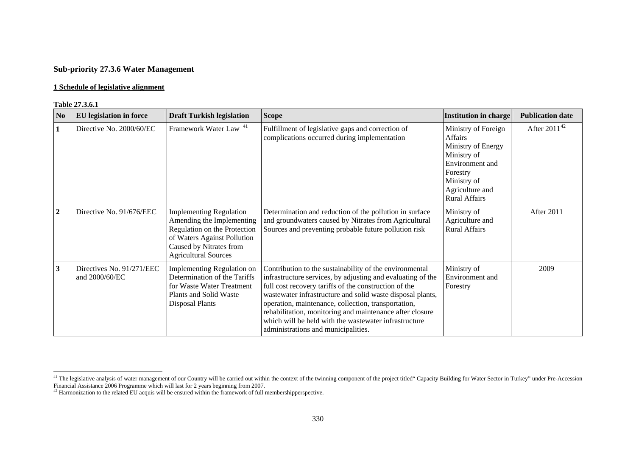## **Sub-priority 27.3.6 Water Management**

#### **1 Schedule of legislative alignment**

#### **Table 27.3.6.1**

| N <sub>0</sub>   | <b>EU</b> legislation in force              | <b>Draft Turkish legislation</b>                                                                                                                                                     | <b>Scope</b>                                                                                                                                                                                                                                                                                                                                                                                                                                                     | <b>Institution in charge</b>                                                                                                                                 | <b>Publication date</b> |
|------------------|---------------------------------------------|--------------------------------------------------------------------------------------------------------------------------------------------------------------------------------------|------------------------------------------------------------------------------------------------------------------------------------------------------------------------------------------------------------------------------------------------------------------------------------------------------------------------------------------------------------------------------------------------------------------------------------------------------------------|--------------------------------------------------------------------------------------------------------------------------------------------------------------|-------------------------|
| $\mathbf{1}$     | Directive No. 2000/60/EC                    | Framework Water Law <sup>41</sup>                                                                                                                                                    | Fulfillment of legislative gaps and correction of<br>complications occurred during implementation                                                                                                                                                                                                                                                                                                                                                                | Ministry of Foreign<br>Affairs<br>Ministry of Energy<br>Ministry of<br>Environment and<br>Forestry<br>Ministry of<br>Agriculture and<br><b>Rural Affairs</b> | After $2011^{42}$       |
| $\boldsymbol{2}$ | Directive No. 91/676/EEC                    | <b>Implementing Regulation</b><br>Amending the Implementing<br>Regulation on the Protection<br>of Waters Against Pollution<br>Caused by Nitrates from<br><b>Agricultural Sources</b> | Determination and reduction of the pollution in surface<br>and groundwaters caused by Nitrates from Agricultural<br>Sources and preventing probable future pollution risk                                                                                                                                                                                                                                                                                        | Ministry of<br>Agriculture and<br><b>Rural Affairs</b>                                                                                                       | After 2011              |
| 3                | Directives No. 91/271/EEC<br>and 2000/60/EC | Implementing Regulation on<br>Determination of the Tariffs<br>for Waste Water Treatment<br>Plants and Solid Waste<br><b>Disposal Plants</b>                                          | Contribution to the sustainability of the environmental<br>infrastructure services, by adjusting and evaluating of the<br>full cost recovery tariffs of the construction of the<br>wastewater infrastructure and solid waste disposal plants,<br>operation, maintenance, collection, transportation,<br>rehabilitation, monitoring and maintenance after closure<br>which will be held with the wastewater infrastructure<br>administrations and municipalities. | Ministry of<br>Environment and<br>Forestry                                                                                                                   | 2009                    |

<span id="page-44-0"></span><sup>&</sup>lt;sup>41</sup> The legislative analysis of water management of our Country will be carried out within the context of the twinning component of the project titled" Capacity Building for Water Sector in Turkey" under Pre-Accession Financial Assistance 2006 Programme which will last for 2 years beginning from 2007.<br><sup>42</sup> Harmonization to the related EU acquis will be ensured within the framework of full membershipperspective.

<span id="page-44-1"></span>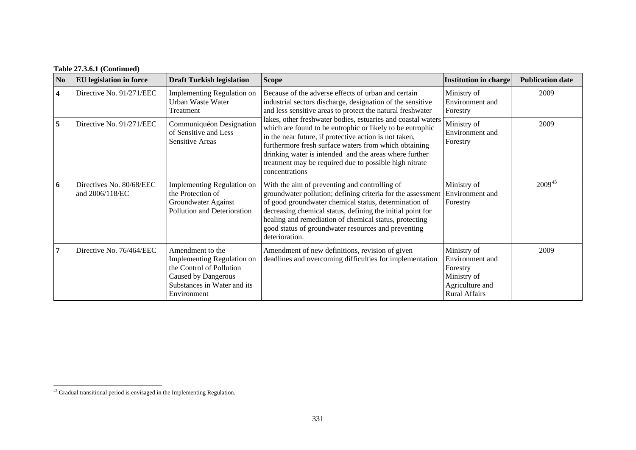| N <sub>0</sub> | <b>EU</b> legislation in force              | <b>Draft Turkish legislation</b>                                                                                                                | <b>Scope</b>                                                                                                                                                                                                                                                                                                                                                                       | <b>Institution in charge</b>                                                                         | <b>Publication date</b> |
|----------------|---------------------------------------------|-------------------------------------------------------------------------------------------------------------------------------------------------|------------------------------------------------------------------------------------------------------------------------------------------------------------------------------------------------------------------------------------------------------------------------------------------------------------------------------------------------------------------------------------|------------------------------------------------------------------------------------------------------|-------------------------|
| $\overline{4}$ | Directive No. 91/271/EEC                    | Implementing Regulation on<br>Urban Waste Water<br>Treatment                                                                                    | Because of the adverse effects of urban and certain<br>industrial sectors discharge, designation of the sensitive<br>and less sensitive areas to protect the natural freshwater                                                                                                                                                                                                    | Ministry of<br>Environment and<br>Forestry                                                           | 2009                    |
| 5              | Directive No. 91/271/EEC                    | Communiquéon Designation<br>of Sensitive and Less<br><b>Sensitive Areas</b>                                                                     | lakes, other freshwater bodies, estuaries and coastal waters<br>which are found to be eutrophic or likely to be eutrophic<br>in the near future, if protective action is not taken,<br>furthermore fresh surface waters from which obtaining<br>drinking water is intended and the areas where further<br>treatment may be required due to possible high nitrate<br>concentrations | Ministry of<br>Environment and<br>Forestry                                                           | 2009                    |
| 6              | Directives No. 80/68/EEC<br>and 2006/118/EC | <b>Implementing Regulation on</b><br>the Protection of<br>Groundwater Against<br>Pollution and Deterioration                                    | With the aim of preventing and controlling of<br>groundwater pollution; defining criteria for the assessment<br>of good groundwater chemical status, determination of<br>decreasing chemical status, defining the initial point for<br>healing and remediation of chemical status, protecting<br>good status of groundwater resources and preventing<br>deterioration.             | Ministry of<br>Environment and<br>Forestry                                                           | $2009^{43}$             |
| $\overline{7}$ | Directive No. 76/464/EEC                    | Amendment to the<br>Implementing Regulation on<br>the Control of Pollution<br>Caused by Dangerous<br>Substances in Water and its<br>Environment | Amendment of new definitions, revision of given<br>deadlines and overcoming difficulties for implementation                                                                                                                                                                                                                                                                        | Ministry of<br>Environment and<br>Forestry<br>Ministry of<br>Agriculture and<br><b>Rural Affairs</b> | 2009                    |

<span id="page-45-0"></span><sup>43</sup> Gradual transitional period is envisaged in the Implementing Regulation.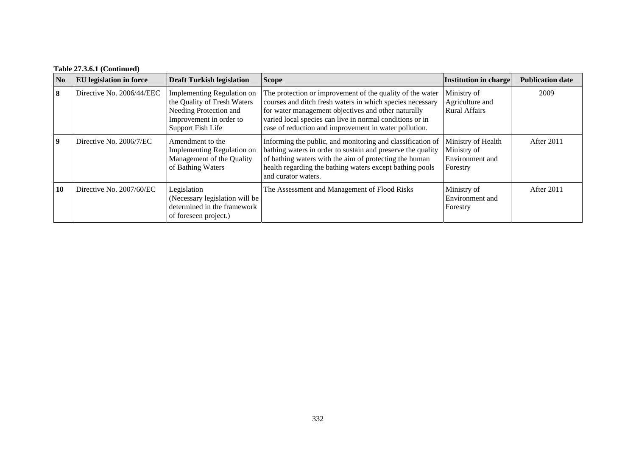| N <sub>0</sub> | <b>EU</b> legislation in force | <b>Draft Turkish legislation</b>                                                                                                    | <b>Scope</b>                                                                                                                                                                                                                                                                                       | Institution in charge                                            | <b>Publication date</b> |
|----------------|--------------------------------|-------------------------------------------------------------------------------------------------------------------------------------|----------------------------------------------------------------------------------------------------------------------------------------------------------------------------------------------------------------------------------------------------------------------------------------------------|------------------------------------------------------------------|-------------------------|
| 8              | Directive No. 2006/44/EEC      | Implementing Regulation on<br>the Quality of Fresh Waters<br>Needing Protection and<br>Improvement in order to<br>Support Fish Life | The protection or improvement of the quality of the water<br>courses and ditch fresh waters in which species necessary<br>for water management objectives and other naturally<br>varied local species can live in normal conditions or in<br>case of reduction and improvement in water pollution. | Ministry of<br>Agriculture and<br><b>Rural Affairs</b>           | 2009                    |
| 9              | Directive No. 2006/7/EC        | Amendment to the<br>Implementing Regulation on<br>Management of the Quality<br>of Bathing Waters                                    | Informing the public, and monitoring and classification of<br>bathing waters in order to sustain and preserve the quality<br>of bathing waters with the aim of protecting the human<br>health regarding the bathing waters except bathing pools<br>and curator waters.                             | Ministry of Health<br>Ministry of<br>Environment and<br>Forestry | After 2011              |
| 10             | Directive No. 2007/60/EC       | Legislation<br>(Necessary legislation will be<br>determined in the framework<br>of foreseen project.)                               | The Assessment and Management of Flood Risks                                                                                                                                                                                                                                                       | Ministry of<br>Environment and<br>Forestry                       | After 2011              |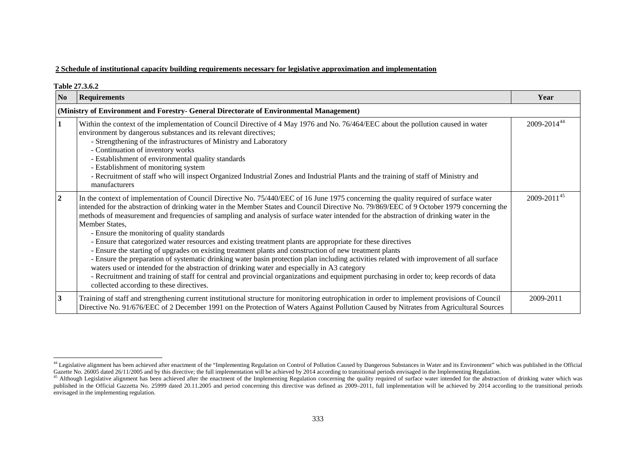#### **2 Schedule of institutional capacity building requirements necessary for legislative approximation and implementation**

|                  | <b>Table 27.3.6.2</b>                                                                                                                                                                                                                                                                                                                                                                                                                                                                                                                                                                                                                                                                                                                                                                                                                                                                                                                                                                                                                                                                                                                                       |                         |
|------------------|-------------------------------------------------------------------------------------------------------------------------------------------------------------------------------------------------------------------------------------------------------------------------------------------------------------------------------------------------------------------------------------------------------------------------------------------------------------------------------------------------------------------------------------------------------------------------------------------------------------------------------------------------------------------------------------------------------------------------------------------------------------------------------------------------------------------------------------------------------------------------------------------------------------------------------------------------------------------------------------------------------------------------------------------------------------------------------------------------------------------------------------------------------------|-------------------------|
| N <sub>0</sub>   | <b>Requirements</b>                                                                                                                                                                                                                                                                                                                                                                                                                                                                                                                                                                                                                                                                                                                                                                                                                                                                                                                                                                                                                                                                                                                                         | Year                    |
|                  | (Ministry of Environment and Forestry- General Directorate of Environmental Management)                                                                                                                                                                                                                                                                                                                                                                                                                                                                                                                                                                                                                                                                                                                                                                                                                                                                                                                                                                                                                                                                     |                         |
|                  | Within the context of the implementation of Council Directive of 4 May 1976 and No. 76/464/EEC about the pollution caused in water<br>environment by dangerous substances and its relevant directives;<br>- Strengthening of the infrastructures of Ministry and Laboratory<br>- Continuation of inventory works<br>- Establishment of environmental quality standards<br>- Establishment of monitoring system<br>- Recruitment of staff who will inspect Organized Industrial Zones and Industrial Plants and the training of staff of Ministry and<br>manufacturers                                                                                                                                                                                                                                                                                                                                                                                                                                                                                                                                                                                       | 2009-2014 <sup>44</sup> |
| $\boldsymbol{2}$ | In the context of implementation of Council Directive No. 75/440/EEC of 16 June 1975 concerning the quality required of surface water<br>intended for the abstraction of drinking water in the Member States and Council Directive No. 79/869/EEC of 9 October 1979 concerning the<br>methods of measurement and frequencies of sampling and analysis of surface water intended for the abstraction of drinking water in the<br>Member States,<br>- Ensure the monitoring of quality standards<br>- Ensure that categorized water resources and existing treatment plants are appropriate for these directives<br>- Ensure the starting of upgrades on existing treatment plants and construction of new treatment plants<br>- Ensure the preparation of systematic drinking water basin protection plan including activities related with improvement of all surface<br>waters used or intended for the abstraction of drinking water and especially in A3 category<br>- Recruitment and training of staff for central and provincial organizations and equipment purchasing in order to; keep records of data<br>collected according to these directives. | $2009 - 2011^{45}$      |
| $\mathbf{3}$     | Training of staff and strengthening current institutional structure for monitoring eutrophication in order to implement provisions of Council<br>Directive No. 91/676/EEC of 2 December 1991 on the Protection of Waters Against Pollution Caused by Nitrates from Agricultural Sources                                                                                                                                                                                                                                                                                                                                                                                                                                                                                                                                                                                                                                                                                                                                                                                                                                                                     | 2009-2011               |

<span id="page-47-0"></span><sup>&</sup>lt;sup>44</sup> Legislative alignment has been achieved after enactment of the "Implementing Regulation on Control of Pollution Caused by Dangerous Substances in Water and its Environment" which was published in the Official Gazette No. 26005 dated 26/11/2005 and by this directive; the full implementation will be achieved by 2014 according to transitional periods envisaged in the Implementing Regulation.

<span id="page-47-1"></span><sup>&</sup>lt;sup>45</sup> Although Legislative alignment has been achieved after the enactment of the Implementing Regulation concerning the quality required of surface water intended for the abstraction of drinking water which was published in the Official Gazzetta No. 25999 dated 20.11.2005 and period concerning this directive was defined as 2009-2011, full implementation will be achieved by 2014 according to the transitional periods envisaged in the implementing regulation.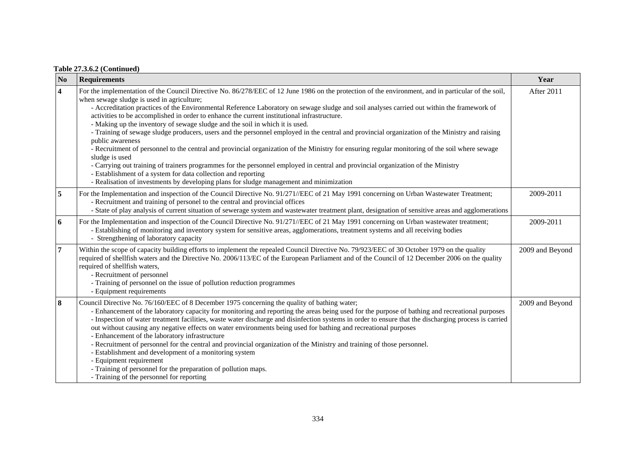| N <sub>0</sub>          | <b>Requirements</b>                                                                                                                                                                                                                                                                                                                                                                                                                                                                                                                                                                                                                                                                                                                                                                                                                                                                                                                                                                                                                                                                                                                                                      | Year            |
|-------------------------|--------------------------------------------------------------------------------------------------------------------------------------------------------------------------------------------------------------------------------------------------------------------------------------------------------------------------------------------------------------------------------------------------------------------------------------------------------------------------------------------------------------------------------------------------------------------------------------------------------------------------------------------------------------------------------------------------------------------------------------------------------------------------------------------------------------------------------------------------------------------------------------------------------------------------------------------------------------------------------------------------------------------------------------------------------------------------------------------------------------------------------------------------------------------------|-----------------|
| $\overline{\mathbf{4}}$ | For the implementation of the Council Directive No. 86/278/EEC of 12 June 1986 on the protection of the environment, and in particular of the soil,<br>when sewage sludge is used in agriculture;<br>- Accreditation practices of the Environmental Reference Laboratory on sewage sludge and soil analyses carried out within the framework of<br>activities to be accomplished in order to enhance the current institutional infrastructure.<br>- Making up the inventory of sewage sludge and the soil in which it is used.<br>- Training of sewage sludge producers, users and the personnel employed in the central and provincial organization of the Ministry and raising<br>public awareness<br>- Recruitment of personnel to the central and provincial organization of the Ministry for ensuring regular monitoring of the soil where sewage<br>sludge is used<br>- Carrying out training of trainers programmes for the personnel employed in central and provincial organization of the Ministry<br>- Establishment of a system for data collection and reporting<br>- Realisation of investments by developing plans for sludge management and minimization | After 2011      |
| 5                       | For the Implementation and inspection of the Council Directive No. 91/271//EEC of 21 May 1991 concerning on Urban Wastewater Treatment;<br>- Recruitment and training of personel to the central and provincial offices<br>- State of play analysis of current situation of sewerage system and wastewater treatment plant, designation of sensitive areas and agglomerations                                                                                                                                                                                                                                                                                                                                                                                                                                                                                                                                                                                                                                                                                                                                                                                            | 2009-2011       |
| 6                       | For the Implementation and inspection of the Council Directive No. 91/271//EEC of 21 May 1991 concerning on Urban wastewater treatment;<br>- Establishing of monitoring and inventory system for sensitive areas, agglomerations, treatment systems and all receiving bodies<br>- Strengthening of laboratory capacity                                                                                                                                                                                                                                                                                                                                                                                                                                                                                                                                                                                                                                                                                                                                                                                                                                                   | 2009-2011       |
| 7                       | Within the scope of capacity building efforts to implement the repealed Council Directive No. 79/923/EEC of 30 October 1979 on the quality<br>required of shellfish waters and the Directive No. 2006/113/EC of the European Parliament and of the Council of 12 December 2006 on the quality<br>required of shellfish waters,<br>- Recruitment of personnel<br>- Training of personnel on the issue of pollution reduction programmes<br>- Equipment requirements                                                                                                                                                                                                                                                                                                                                                                                                                                                                                                                                                                                                                                                                                                       | 2009 and Beyond |
| 8                       | Council Directive No. 76/160/EEC of 8 December 1975 concerning the quality of bathing water;<br>- Enhancement of the laboratory capacity for monitoring and reporting the areas being used for the purpose of bathing and recreational purposes<br>- Inspection of water treatment facilities, waste water discharge and disinfection systems in order to ensure that the discharging process is carried<br>out without causing any negative effects on water environments being used for bathing and recreational purposes<br>- Enhancement of the laboratory infrastructure<br>- Recruitment of personnel for the central and provincial organization of the Ministry and training of those personnel.<br>- Establishment and development of a monitoring system<br>- Equipment requirement<br>- Training of personnel for the preparation of pollution maps.<br>- Training of the personnel for reporting                                                                                                                                                                                                                                                             | 2009 and Beyond |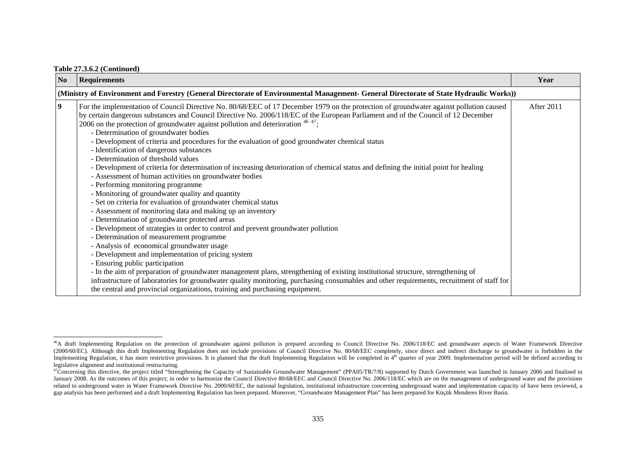| N <sub>0</sub>          | <b>Requirements</b>                                                                                                                                                                                                                                                                                                                                                                                                                                                                                                                                                                                                                                                                                                                                                                                                                                                                                                                                                                                                                                                                                                                                                                                                                                                                                                                                                                                                                                                                                                                                                                                                                                                                                                         | Year       |  |  |  |
|-------------------------|-----------------------------------------------------------------------------------------------------------------------------------------------------------------------------------------------------------------------------------------------------------------------------------------------------------------------------------------------------------------------------------------------------------------------------------------------------------------------------------------------------------------------------------------------------------------------------------------------------------------------------------------------------------------------------------------------------------------------------------------------------------------------------------------------------------------------------------------------------------------------------------------------------------------------------------------------------------------------------------------------------------------------------------------------------------------------------------------------------------------------------------------------------------------------------------------------------------------------------------------------------------------------------------------------------------------------------------------------------------------------------------------------------------------------------------------------------------------------------------------------------------------------------------------------------------------------------------------------------------------------------------------------------------------------------------------------------------------------------|------------|--|--|--|
|                         | (Ministry of Environment and Forestry (General Directorate of Environmental Management- General Directorate of State Hydraulic Works))                                                                                                                                                                                                                                                                                                                                                                                                                                                                                                                                                                                                                                                                                                                                                                                                                                                                                                                                                                                                                                                                                                                                                                                                                                                                                                                                                                                                                                                                                                                                                                                      |            |  |  |  |
| $\overline{\mathbf{9}}$ | For the implementation of Council Directive No. 80/68/EEC of 17 December 1979 on the protection of groundwater against pollution caused<br>by certain dangerous substances and Council Directive No. 2006/118/EC of the European Parliament and of the Council of 12 December<br>2006 on the protection of groundwater against pollution and deterioration $4647$ ;<br>- Determination of groundwater bodies<br>- Development of criteria and procedures for the evaluation of good groundwater chemical status<br>- Identification of dangerous substances<br>- Determination of threshold values<br>- Development of criteria for determination of increasing detorioration of chemical status and defining the initial point for healing<br>- Assessment of human activities on groundwater bodies<br>- Performing monitoring programme<br>- Monitoring of groundwater quality and quantity<br>- Set on criteria for evaluation of groundwater chemical status<br>- Assessment of monitoring data and making up an inventory<br>- Determination of groundwater protected areas<br>- Development of strategies in order to control and prevent groundwater pollution<br>- Determination of measurement programme<br>- Analysis of economical groundwater usage<br>- Development and implementation of pricing system<br>- Ensuring public participation<br>- In the aim of preparation of groundwater management plans, strengthening of existing institutional structure, strengthening of<br>infrastructure of laboratories for groundwater quality monitoring, purchasing consumables and other requirements, recruitment of staff for<br>the central and provincial organizations, training and purchasing equipment. | After 2011 |  |  |  |

<span id="page-49-0"></span><sup>&</sup>lt;sup>46</sup>A draft Implementing Regulation on the protection of groundwater against pollution is prepared according to Council Directive No. 2006/118/EC and groundwater aspects of Water Framework Directive (2000/60/EC). Although this draft Implementing Regulation does not include provisions of Council Directive No. 80/68/EEC completely, since direct and indirect discharge to groundwater is forbidden in the Implementing Regulation, it has more restrictive provisions. It is planned that the draft Implementing Regulation will be completed in  $4<sup>th</sup>$  quarter of year 2009. Implementation period will be defined according to legislative alignment and institutional restructuring.

<span id="page-49-1"></span><sup>&</sup>lt;sup>47</sup>Concerning this directive, the project titled "Strengthening the Capacity of Sustainable Groundwater Management" (PPA05/TR/7/8) supported by Dutch Government was launched in January 2006 and finalised in January 2008. As the outcomes of this project; in order to harmonize the Council Directive 80/68/EEC and Council Directive No. 2006/118/EC which are on the management of underground water and the provisions related to underground water in Water Framework Directive No. 2000/60/EC, the national legislation, institutional infrastructure concerning underground water and implementation capacity of have been reviewed, a gap analysis has been performed and a draft Implementing Regulation has been prepared. Moreover, "Groundwater Management Plan" has been prepared for Küçük Menderes River Basin.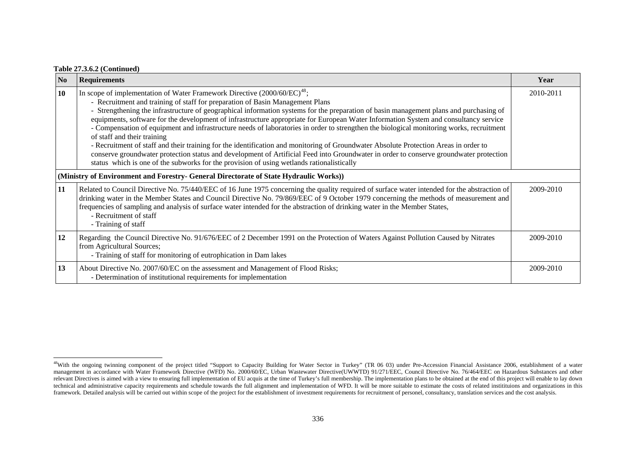|  |  |  | <b>Table 27.3.6.2 (Continued)</b> |
|--|--|--|-----------------------------------|
|--|--|--|-----------------------------------|

| $\overline{\mathbf{N}}$ | <b>Requirements</b>                                                                                                                                                                                                                                                                                                                                                                                                                                                                                                                                                                                                                                                                                                                                                                                                                                                                                                                                                                                        | Year      |
|-------------------------|------------------------------------------------------------------------------------------------------------------------------------------------------------------------------------------------------------------------------------------------------------------------------------------------------------------------------------------------------------------------------------------------------------------------------------------------------------------------------------------------------------------------------------------------------------------------------------------------------------------------------------------------------------------------------------------------------------------------------------------------------------------------------------------------------------------------------------------------------------------------------------------------------------------------------------------------------------------------------------------------------------|-----------|
| <b>10</b>               | In scope of implementation of Water Framework Directive $(2000/60/EC)^{48}$ ;<br>- Recruitment and training of staff for preparation of Basin Management Plans<br>- Strengthening the infrastructure of geographical information systems for the preparation of basin management plans and purchasing of<br>equipments, software for the development of infrastructure appropriate for European Water Information System and consultancy service<br>- Compensation of equipment and infrastructure needs of laboratories in order to strengthen the biological monitoring works, recruitment<br>of staff and their training<br>- Recruitment of staff and their training for the identification and monitoring of Groundwater Absolute Protection Areas in order to<br>conserve groundwater protection status and development of Artificial Feed into Groundwater in order to conserve groundwater protection<br>status which is one of the subworks for the provision of using wetlands rationalistically | 2010-2011 |
|                         | (Ministry of Environment and Forestry- General Directorate of State Hydraulic Works))                                                                                                                                                                                                                                                                                                                                                                                                                                                                                                                                                                                                                                                                                                                                                                                                                                                                                                                      |           |
| 11                      | Related to Council Directive No. 75/440/EEC of 16 June 1975 concerning the quality required of surface water intended for the abstraction of<br>drinking water in the Member States and Council Directive No. 79/869/EEC of 9 October 1979 concerning the methods of measurement and<br>frequencies of sampling and analysis of surface water intended for the abstraction of drinking water in the Member States,<br>- Recruitment of staff<br>- Training of staff                                                                                                                                                                                                                                                                                                                                                                                                                                                                                                                                        | 2009-2010 |
| 12                      | Regarding the Council Directive No. 91/676/EEC of 2 December 1991 on the Protection of Waters Against Pollution Caused by Nitrates<br>from Agricultural Sources;<br>- Training of staff for monitoring of eutrophication in Dam lakes                                                                                                                                                                                                                                                                                                                                                                                                                                                                                                                                                                                                                                                                                                                                                                      | 2009-2010 |
| 13                      | About Directive No. 2007/60/EC on the assessment and Management of Flood Risks;<br>- Determination of institutional requirements for implementation                                                                                                                                                                                                                                                                                                                                                                                                                                                                                                                                                                                                                                                                                                                                                                                                                                                        | 2009-2010 |

<span id="page-50-0"></span><sup>&</sup>lt;sup>48</sup>With the ongoing twinning component of the project titled "Support to Capacity Building for Water Sector in Turkey" (TR 06 03) under Pre-Accession Financial Assistance 2006, establishment of a water management in accordance with Water Framework Directive (WFD) No. 2000/60/EC, Urban Wastewater Directive(UWWTD) 91/271/EEC, Council Directive No. 76/464/EEC on Hazardous Substances and other relevant Directives is aimed with a view to ensuring full implementation of EU acquis at the time of Turkey's full membership. The implementation plans to be obtained at the end of this project will enable to lay down technical and administrative capacity requirements and schedule towards the full alignment and implementation of WFD. It will be more suitable to estimate the costs of related institituions and organizations in this framework. Detailed analysis will be carried out within scope of the project for the establishment of investment requirements for recruitment of personel, consultancy, translation services and the cost analysis.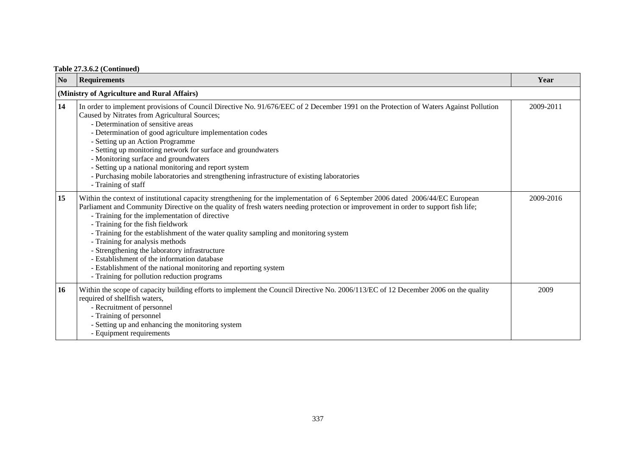| N <sub>0</sub> | <b>Requirements</b>                                                                                                                                                                                                                                                                                                                                                                                                                                                                                                                                                                                                                                                                                       | Year      |
|----------------|-----------------------------------------------------------------------------------------------------------------------------------------------------------------------------------------------------------------------------------------------------------------------------------------------------------------------------------------------------------------------------------------------------------------------------------------------------------------------------------------------------------------------------------------------------------------------------------------------------------------------------------------------------------------------------------------------------------|-----------|
|                | (Ministry of Agriculture and Rural Affairs)                                                                                                                                                                                                                                                                                                                                                                                                                                                                                                                                                                                                                                                               |           |
| 14             | In order to implement provisions of Council Directive No. 91/676/EEC of 2 December 1991 on the Protection of Waters Against Pollution<br>Caused by Nitrates from Agricultural Sources;<br>- Determination of sensitive areas<br>- Determination of good agriculture implementation codes<br>- Setting up an Action Programme<br>- Setting up monitoring network for surface and groundwaters<br>- Monitoring surface and groundwaters<br>- Setting up a national monitoring and report system<br>- Purchasing mobile laboratories and strengthening infrastructure of existing laboratories<br>- Training of staff                                                                                        | 2009-2011 |
| 15             | Within the context of institutional capacity strengthening for the implementation of 6 September 2006 dated 2006/44/EC European<br>Parliament and Community Directive on the quality of fresh waters needing protection or improvement in order to support fish life;<br>- Training for the implementation of directive<br>- Training for the fish fieldwork<br>- Training for the establishment of the water quality sampling and monitoring system<br>- Training for analysis methods<br>- Strengthening the laboratory infrastructure<br>- Establishment of the information database<br>- Establishment of the national monitoring and reporting system<br>- Training for pollution reduction programs | 2009-2016 |
| 16             | Within the scope of capacity building efforts to implement the Council Directive No. 2006/113/EC of 12 December 2006 on the quality<br>required of shellfish waters,<br>- Recruitment of personnel<br>- Training of personnel<br>- Setting up and enhancing the monitoring system<br>- Equipment requirements                                                                                                                                                                                                                                                                                                                                                                                             | 2009      |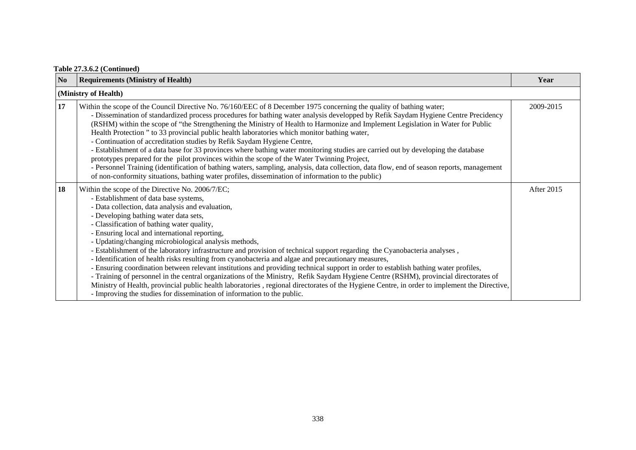| N <sub>0</sub> | <b>Requirements (Ministry of Health)</b>                                                                                                                                                                                                                                                                                                                                                                                                                                                                                                                                                                                                                                                                                                                                                                                                                                                                                                                                                                                                                                                     | Year       |  |  |  |
|----------------|----------------------------------------------------------------------------------------------------------------------------------------------------------------------------------------------------------------------------------------------------------------------------------------------------------------------------------------------------------------------------------------------------------------------------------------------------------------------------------------------------------------------------------------------------------------------------------------------------------------------------------------------------------------------------------------------------------------------------------------------------------------------------------------------------------------------------------------------------------------------------------------------------------------------------------------------------------------------------------------------------------------------------------------------------------------------------------------------|------------|--|--|--|
|                | (Ministry of Health)                                                                                                                                                                                                                                                                                                                                                                                                                                                                                                                                                                                                                                                                                                                                                                                                                                                                                                                                                                                                                                                                         |            |  |  |  |
| 17             | Within the scope of the Council Directive No. 76/160/EEC of 8 December 1975 concerning the quality of bathing water;<br>- Dissemination of standardized process procedures for bathing water analysis developped by Refik Saydam Hygiene Centre Precidency<br>(RSHM) within the scope of "the Strengthening the Ministry of Health to Harmonize and Implement Legislation in Water for Public<br>Health Protection " to 33 provincial public health laboratories which monitor bathing water,<br>- Continuation of accreditation studies by Refik Saydam Hygiene Centre,<br>- Establishment of a data base for 33 provinces where bathing water monitoring studies are carried out by developing the database<br>prototypes prepared for the pilot provinces within the scope of the Water Twinning Project,<br>- Personnel Training (identification of bathing waters, sampling, analysis, data collection, data flow, end of season reports, management<br>of non-conformity situations, bathing water profiles, dissemination of information to the public)                               | 2009-2015  |  |  |  |
| 18             | Within the scope of the Directive No. 2006/7/EC;<br>- Establishment of data base systems,<br>- Data collection, data analysis and evaluation,<br>- Developing bathing water data sets,<br>- Classification of bathing water quality,<br>- Ensuring local and international reporting,<br>- Updating/changing microbiological analysis methods,<br>- Establishment of the laboratory infrastructure and provision of technical support regarding the Cyanobacteria analyses,<br>- Identification of health risks resulting from cyanobacteria and algae and precautionary measures,<br>- Ensuring coordination between relevant institutions and providing technical support in order to establish bathing water profiles,<br>- Training of personnel in the central organizations of the Ministry, Refik Saydam Hygiene Centre (RSHM), provincial directorates of<br>Ministry of Health, provincial public health laboratories, regional directorates of the Hygiene Centre, in order to implement the Directive,<br>- Improving the studies for dissemination of information to the public. | After 2015 |  |  |  |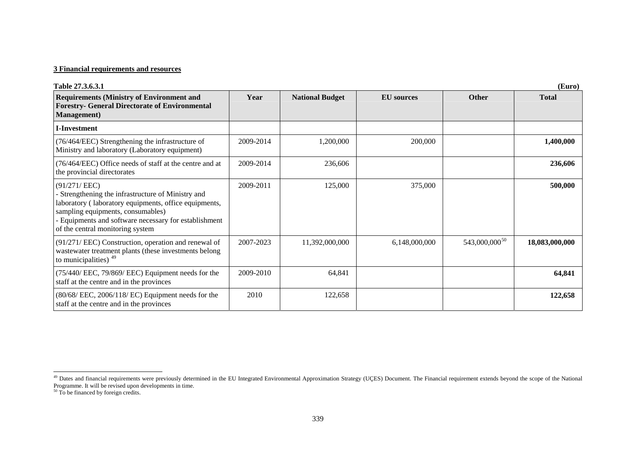#### **3 Financial requirements and resources**

| Table 27.3.6.3.1                                                                                                                                                                                                                                            |           |                        |                   |                           | (Euro)         |
|-------------------------------------------------------------------------------------------------------------------------------------------------------------------------------------------------------------------------------------------------------------|-----------|------------------------|-------------------|---------------------------|----------------|
| <b>Requirements (Ministry of Environment and</b><br><b>Forestry- General Directorate of Environmental</b><br><b>Management</b> )                                                                                                                            | Year      | <b>National Budget</b> | <b>EU</b> sources | <b>Other</b>              | <b>Total</b>   |
| <b>I-Investment</b>                                                                                                                                                                                                                                         |           |                        |                   |                           |                |
| (76/464/EEC) Strengthening the infrastructure of<br>Ministry and laboratory (Laboratory equipment)                                                                                                                                                          | 2009-2014 | 1,200,000              | 200,000           |                           | 1,400,000      |
| (76/464/EEC) Office needs of staff at the centre and at<br>the provincial directorates                                                                                                                                                                      | 2009-2014 | 236,606                |                   |                           | 236,606        |
| (91/271/EEC)<br>Strengthening the infrastructure of Ministry and<br>laboratory (laboratory equipments, office equipments,<br>sampling equipments, consumables)<br>- Equipments and software necessary for establishment<br>of the central monitoring system | 2009-2011 | 125,000                | 375,000           |                           | 500,000        |
| (91/271/ EEC) Construction, operation and renewal of<br>wastewater treatment plants (these investments belong<br>to municipalities) $49$                                                                                                                    | 2007-2023 | 11,392,000,000         | 6,148,000,000     | 543,000,000 <sup>50</sup> | 18,083,000,000 |
| (75/440/ EEC, 79/869/ EEC) Equipment needs for the<br>staff at the centre and in the provinces                                                                                                                                                              | 2009-2010 | 64,841                 |                   |                           | 64,841         |
| $(80/68/$ EEC, $2006/118/$ EC) Equipment needs for the<br>staff at the centre and in the provinces                                                                                                                                                          | 2010      | 122,658                |                   |                           | 122,658        |

<span id="page-53-0"></span><sup>&</sup>lt;sup>49</sup> Dates and financial requirements were previously determined in the EU Integrated Environmental Approximation Strategy (UÇES) Document. The Financial requirement extends beyond the scope of the National Programme. It will be revised upon developments in time.<br><sup>50</sup> To be financed by foreign credits.

<span id="page-53-1"></span>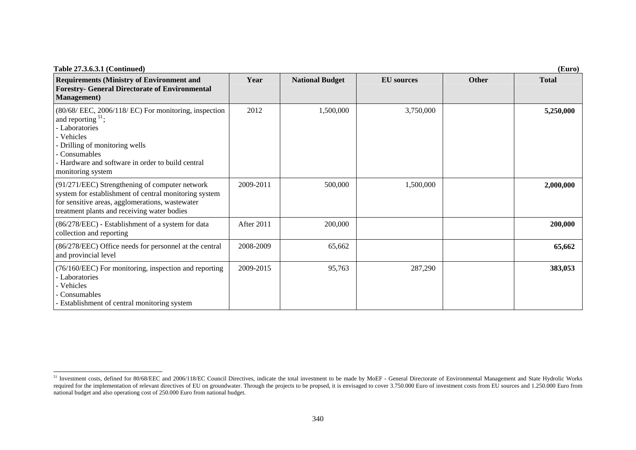| <b>Table 27.3.6.3.1 (Continued)</b>                                                                                                                                                                                                  |            |                        |                   |              | (Euro)       |
|--------------------------------------------------------------------------------------------------------------------------------------------------------------------------------------------------------------------------------------|------------|------------------------|-------------------|--------------|--------------|
| <b>Requirements (Ministry of Environment and</b><br><b>Forestry- General Directorate of Environmental</b><br><b>Management</b> )                                                                                                     | Year       | <b>National Budget</b> | <b>EU</b> sources | <b>Other</b> | <b>Total</b> |
| (80/68/ EEC, 2006/118/ EC) For monitoring, inspection<br>and reporting $51$ ;<br>Laboratories<br>- Vehicles<br>Drilling of monitoring wells<br>Consumables<br>- Hardware and software in order to build central<br>monitoring system | 2012       | 1,500,000              | 3,750,000         |              | 5,250,000    |
| $(91/271/EEC)$ Strengthening of computer network<br>system for establishment of central monitoring system<br>for sensitive areas, agglomerations, wastewater<br>treatment plants and receiving water bodies                          | 2009-2011  | 500,000                | 1,500,000         |              | 2,000,000    |
| (86/278/EEC) - Establishment of a system for data<br>collection and reporting                                                                                                                                                        | After 2011 | 200,000                |                   |              | 200,000      |
| (86/278/EEC) Office needs for personnel at the central<br>and provincial level                                                                                                                                                       | 2008-2009  | 65,662                 |                   |              | 65,662       |
| $(76/160/EEC)$ For monitoring, inspection and reporting<br>Laboratories<br>Vehicles<br>Consumables<br>- Establishment of central monitoring system                                                                                   | 2009-2015  | 95,763                 | 287,290           |              | 383,053      |

<span id="page-54-0"></span><sup>&</sup>lt;sup>51</sup> Investment costs, defined for 80/68/EEC and 2006/118/EC Council Directives, indicate the total investment to be made by MoEF - General Directorate of Environmental Management and State Hydrolic Works required for the implementation of relevant directives of EU on groundwater. Through the projects to be propsed, it is envisaged to cover 3.750.000 Euro of investment costs from EU sources and 1.250.000 Euro from national budget and also operationg cost of 250.000 Euro from national budget.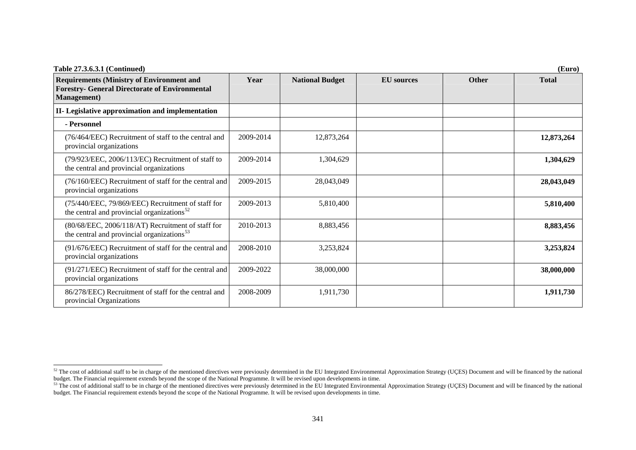| Table 27.3.6.3.1 (Continued)                                                                                                     |           |                        |                   |              | (Euro)       |
|----------------------------------------------------------------------------------------------------------------------------------|-----------|------------------------|-------------------|--------------|--------------|
| <b>Requirements (Ministry of Environment and</b><br><b>Forestry- General Directorate of Environmental</b><br><b>Management</b> ) | Year      | <b>National Budget</b> | <b>EU</b> sources | <b>Other</b> | <b>Total</b> |
| II- Legislative approximation and implementation                                                                                 |           |                        |                   |              |              |
| - Personnel                                                                                                                      |           |                        |                   |              |              |
| (76/464/EEC) Recruitment of staff to the central and<br>provincial organizations                                                 | 2009-2014 | 12,873,264             |                   |              | 12,873,264   |
| (79/923/EEC, 2006/113/EC) Recruitment of staff to<br>the central and provincial organizations                                    | 2009-2014 | 1,304,629              |                   |              | 1,304,629    |
| (76/160/EEC) Recruitment of staff for the central and<br>provincial organizations                                                | 2009-2015 | 28,043,049             |                   |              | 28,043,049   |
| (75/440/EEC, 79/869/EEC) Recruitment of staff for<br>the central and provincial organizations <sup>52</sup>                      | 2009-2013 | 5,810,400              |                   |              | 5,810,400    |
| (80/68/EEC, 2006/118/AT) Recruitment of staff for<br>the central and provincial organizations <sup>53</sup>                      | 2010-2013 | 8,883,456              |                   |              | 8,883,456    |
| (91/676/EEC) Recruitment of staff for the central and<br>provincial organizations                                                | 2008-2010 | 3,253,824              |                   |              | 3,253,824    |
| (91/271/EEC) Recruitment of staff for the central and<br>provincial organizations                                                | 2009-2022 | 38,000,000             |                   |              | 38,000,000   |
| 86/278/EEC) Recruitment of staff for the central and<br>provincial Organizations                                                 | 2008-2009 | 1,911,730              |                   |              | 1,911,730    |

<span id="page-55-0"></span> $52$  The cost of additional staff to be in charge of the mentioned directives were previously determined in the EU Integrated Environmental Approximation Strategy (UÇES) Document and will be financed by the national budget. The Financial requirement extends beyond the scope of the National Programme. It will be revised upon developments in time.<br><sup>53</sup> The cost of additional staff to be in charge of the mentioned directives were previou

<span id="page-55-1"></span>budget. The Financial requirement extends beyond the scope of the National Programme. It will be revised upon developments in time.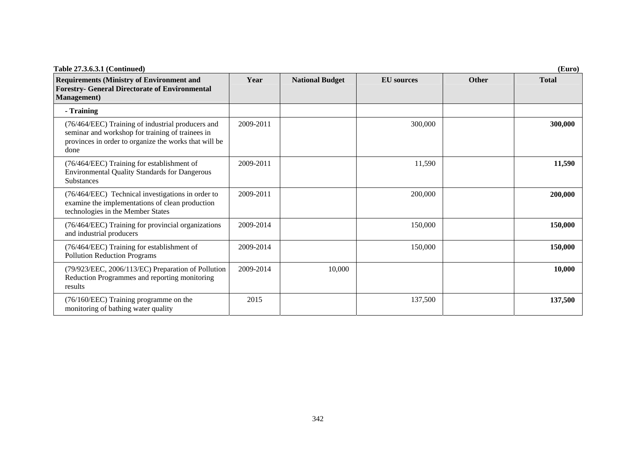| Table 27.3.6.3.1 (Continued)                                                                                                                                           |           |                        |                   |              | (Euro)       |
|------------------------------------------------------------------------------------------------------------------------------------------------------------------------|-----------|------------------------|-------------------|--------------|--------------|
| <b>Requirements (Ministry of Environment and</b><br><b>Forestry- General Directorate of Environmental</b><br><b>Management</b> )                                       | Year      | <b>National Budget</b> | <b>EU</b> sources | <b>Other</b> | <b>Total</b> |
| - Training                                                                                                                                                             |           |                        |                   |              |              |
| (76/464/EEC) Training of industrial producers and<br>seminar and workshop for training of trainees in<br>provinces in order to organize the works that will be<br>done | 2009-2011 |                        | 300,000           |              | 300,000      |
| (76/464/EEC) Training for establishment of<br><b>Environmental Quality Standards for Dangerous</b><br>Substances                                                       | 2009-2011 |                        | 11,590            |              | 11,590       |
| (76/464/EEC) Technical investigations in order to<br>examine the implementations of clean production<br>technologies in the Member States                              | 2009-2011 |                        | 200,000           |              | 200,000      |
| (76/464/EEC) Training for provincial organizations<br>and industrial producers                                                                                         | 2009-2014 |                        | 150,000           |              | 150,000      |
| (76/464/EEC) Training for establishment of<br><b>Pollution Reduction Programs</b>                                                                                      | 2009-2014 |                        | 150,000           |              | 150,000      |
| (79/923/EEC, 2006/113/EC) Preparation of Pollution<br>Reduction Programmes and reporting monitoring<br>results                                                         | 2009-2014 | 10,000                 |                   |              | 10,000       |
| (76/160/EEC) Training programme on the<br>monitoring of bathing water quality                                                                                          | 2015      |                        | 137,500           |              | 137,500      |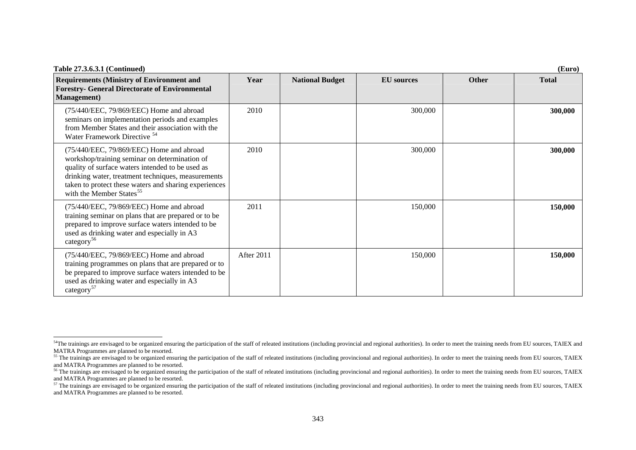| Table 27.3.6.3.1 (Continued)                                                                                                                                                                                                                                                                         |            |                        |                   |              | (Euro)       |
|------------------------------------------------------------------------------------------------------------------------------------------------------------------------------------------------------------------------------------------------------------------------------------------------------|------------|------------------------|-------------------|--------------|--------------|
| <b>Requirements (Ministry of Environment and</b><br><b>Forestry- General Directorate of Environmental</b><br><b>Management</b> )                                                                                                                                                                     | Year       | <b>National Budget</b> | <b>EU</b> sources | <b>Other</b> | <b>Total</b> |
| (75/440/EEC, 79/869/EEC) Home and abroad<br>seminars on implementation periods and examples<br>from Member States and their association with the<br>Water Framework Directive <sup>54</sup>                                                                                                          | 2010       |                        | 300,000           |              | 300,000      |
| (75/440/EEC, 79/869/EEC) Home and abroad<br>workshop/training seminar on determination of<br>quality of surface waters intended to be used as<br>drinking water, treatment techniques, measurements<br>taken to protect these waters and sharing experiences<br>with the Member States <sup>55</sup> | 2010       |                        | 300,000           |              | 300,000      |
| (75/440/EEC, 79/869/EEC) Home and abroad<br>training seminar on plans that are prepared or to be<br>prepared to improve surface waters intended to be<br>used as drinking water and especially in A3<br>category <sup>56</sup>                                                                       | 2011       |                        | 150,000           |              | 150,000      |
| (75/440/EEC, 79/869/EEC) Home and abroad<br>training programmes on plans that are prepared or to<br>be prepared to improve surface waters intended to be<br>used as drinking water and especially in A3<br>category <sup>57</sup>                                                                    | After 2011 |                        | 150,000           |              | 150,000      |

<span id="page-57-0"></span><sup>&</sup>lt;sup>54</sup>The trainings are envisaged to be organized ensuring the participation of the staff of releated institutions (including provincial and regional authorities). In order to meet the training needs from EU sources, TAIEX a MATRA Programmes are planned to be resorted.

<span id="page-57-1"></span><sup>&</sup>lt;sup>55</sup> The trainings are envisaged to be organized ensuring the participation of the staff of releated institutions (including provincional and regional authorities). In order to meet the training needs from EU sources, TAIE and MATRA Programmes are planned to be resorted.

<span id="page-57-2"></span> $\frac{56}{10}$  The trainings are envisaged to be organized ensuring the participation of the staff of releated institutions (including provincional and regional authorities). In order to meet the training needs from EU sourc and MATRA Programmes are planned to be resorted.

<span id="page-57-3"></span> $57$  The trainings are envisaged to be organized ensuring the participation of the staff of releated institutions (including provincional and regional authorities). In order to meet the training needs from EU sources, TAI and MATRA Programmes are planned to be resorted.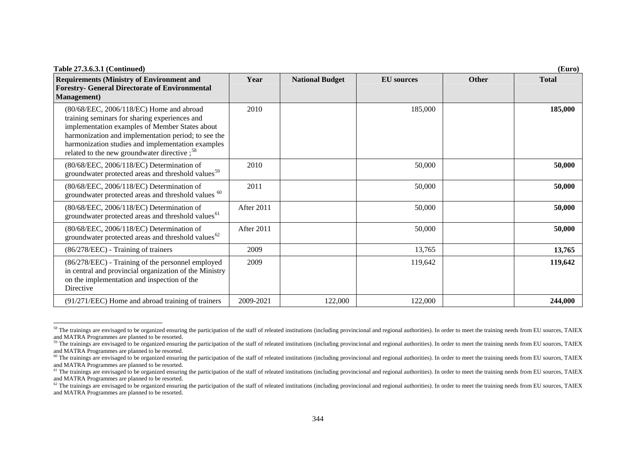| Table 27.3.6.3.1 (Continued)<br>(Euro)                                                                                                                                                                                                                                                                             |            |                        |                   |              |              |
|--------------------------------------------------------------------------------------------------------------------------------------------------------------------------------------------------------------------------------------------------------------------------------------------------------------------|------------|------------------------|-------------------|--------------|--------------|
| <b>Requirements (Ministry of Environment and</b><br><b>Forestry- General Directorate of Environmental</b><br><b>Management</b> )                                                                                                                                                                                   | Year       | <b>National Budget</b> | <b>EU</b> sources | <b>Other</b> | <b>Total</b> |
| (80/68/EEC, 2006/118/EC) Home and abroad<br>training seminars for sharing experiences and<br>implementation examples of Member States about<br>harmonization and implementation period; to see the<br>harmonization studies and implementation examples<br>related to the new groundwater directive; <sup>58</sup> | 2010       |                        | 185,000           |              | 185,000      |
| (80/68/EEC, 2006/118/EC) Determination of<br>groundwater protected areas and threshold values <sup>59</sup>                                                                                                                                                                                                        | 2010       |                        | 50,000            |              | 50,000       |
| (80/68/EEC, 2006/118/EC) Determination of<br>groundwater protected areas and threshold values <sup>60</sup>                                                                                                                                                                                                        | 2011       |                        | 50,000            |              | 50,000       |
| (80/68/EEC, 2006/118/EC) Determination of<br>groundwater protected areas and threshold values <sup>61</sup>                                                                                                                                                                                                        | After 2011 |                        | 50,000            |              | 50,000       |
| (80/68/EEC, 2006/118/EC) Determination of<br>groundwater protected areas and threshold values <sup>62</sup>                                                                                                                                                                                                        | After 2011 |                        | 50,000            |              | 50,000       |
| (86/278/EEC) - Training of trainers                                                                                                                                                                                                                                                                                | 2009       |                        | 13,765            |              | 13,765       |
| (86/278/EEC) - Training of the personnel employed<br>in central and provincial organization of the Ministry<br>on the implementation and inspection of the<br>Directive                                                                                                                                            | 2009       |                        | 119,642           |              | 119,642      |
| (91/271/EEC) Home and abroad training of trainers                                                                                                                                                                                                                                                                  | 2009-2021  | 122,000                | 122,000           |              | 244,000      |

<span id="page-58-0"></span><sup>&</sup>lt;sup>58</sup> The trainings are envisaged to be organized ensuring the participation of the staff of releated institutions (including provincional and regional authorities). In order to meet the training needs from EU sources, TAIE and MATRA Programmes are planned to be resorted.

<span id="page-58-1"></span><sup>&</sup>lt;sup>59</sup> The trainings are envisaged to be organized ensuring the participation of the staff of releated institutions (including provincional and regional authorities). In order to meet the training needs from EU sources, TAIE and MATRA Programmes are planned to be resorted.

<span id="page-58-2"></span><sup>&</sup>lt;sup>60</sup> The trainings are envisaged to be organized ensuring the participation of the staff of releated institutions (including provincional and regional authorities). In order to meet the training needs from EU sources, TAIE and MATRA Programmes are planned to be resorted.

<span id="page-58-3"></span> $61$  The trainings are envisaged to be organized ensuring the participation of the staff of releated institutions (including provincional and regional authorities). In order to meet the training needs from EU sources, TAI and MATRA Programmes are planned to be resorted.

<span id="page-58-4"></span> $62$  The trainings are envisaged to be organized ensuring the participation of the staff of releated institutions (including provincional and regional authorities). In order to meet the training needs from EU sources, TAI and MATRA Programmes are planned to be resorted.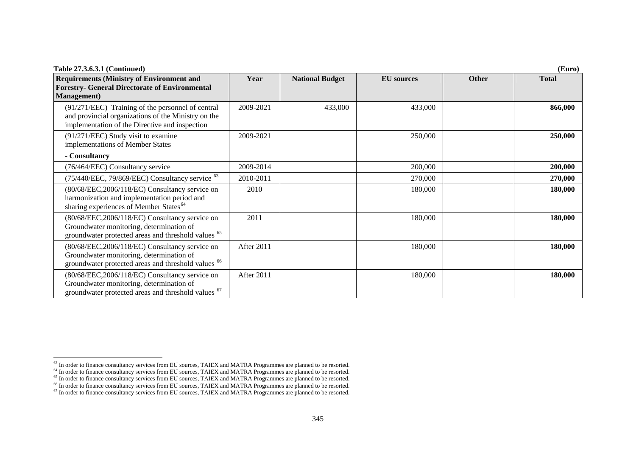| Table 27.3.6.3.1 (Continued)                                                                                                                                 |            |                        |                   |              | (Euro)       |
|--------------------------------------------------------------------------------------------------------------------------------------------------------------|------------|------------------------|-------------------|--------------|--------------|
| <b>Requirements (Ministry of Environment and</b><br><b>Forestry- General Directorate of Environmental</b><br><b>Management</b> )                             | Year       | <b>National Budget</b> | <b>EU</b> sources | <b>Other</b> | <b>Total</b> |
| (91/271/EEC) Training of the personnel of central<br>and provincial organizations of the Ministry on the<br>implementation of the Directive and inspection   | 2009-2021  | 433,000                | 433,000           |              | 866,000      |
| (91/271/EEC) Study visit to examine<br>implementations of Member States                                                                                      | 2009-2021  |                        | 250,000           |              | 250,000      |
| - Consultancy                                                                                                                                                |            |                        |                   |              |              |
| (76/464/EEC) Consultancy service                                                                                                                             | 2009-2014  |                        | 200,000           |              | 200,000      |
| (75/440/EEC, 79/869/EEC) Consultancy service <sup>63</sup>                                                                                                   | 2010-2011  |                        | 270,000           |              | 270,000      |
| (80/68/EEC,2006/118/EC) Consultancy service on<br>harmonization and implementation period and<br>sharing experiences of Member States <sup>64</sup>          | 2010       |                        | 180,000           |              | 180,000      |
| (80/68/EEC,2006/118/EC) Consultancy service on<br>Groundwater monitoring, determination of<br>groundwater protected areas and threshold values <sup>65</sup> | 2011       |                        | 180,000           |              | 180,000      |
| (80/68/EEC,2006/118/EC) Consultancy service on<br>Groundwater monitoring, determination of<br>groundwater protected areas and threshold values <sup>66</sup> | After 2011 |                        | 180,000           |              | 180,000      |
| (80/68/EEC,2006/118/EC) Consultancy service on<br>Groundwater monitoring, determination of<br>groundwater protected areas and threshold values <sup>67</sup> | After 2011 |                        | 180,000           |              | 180,000      |

<span id="page-59-0"></span> $63$  In order to finance consultancy services from EU sources, TAIEX and MATRA Programmes are planned to be resorted.

<span id="page-59-2"></span><span id="page-59-1"></span><sup>&</sup>lt;sup>64</sup> In order to finance consultancy services from EU sources, TAIEX and MATRA Programmes are planned to be resorted.

 $65$  In order to finance consultancy services from EU sources, TAIEX and MATRA Programmes are planned to be resorted.

<span id="page-59-4"></span><span id="page-59-3"></span><sup>&</sup>lt;sup>66</sup> In order to finance consultancy services from EU sources, TAIEX and MATRA Programmes are planned to be resorted.

 $67$  In order to finance consultancy services from EU sources, TAIEX and MATRA Programmes are planned to be resorted.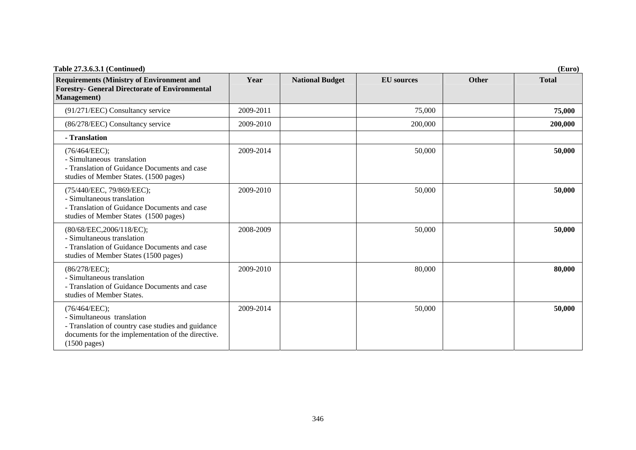| <b>Table 27.3.6.3.1 (Continued)</b>                                                                                                                                               |           |                        |                   |       | (Euro)       |
|-----------------------------------------------------------------------------------------------------------------------------------------------------------------------------------|-----------|------------------------|-------------------|-------|--------------|
| <b>Requirements (Ministry of Environment and</b><br><b>Forestry- General Directorate of Environmental</b><br><b>Management</b> )                                                  | Year      | <b>National Budget</b> | <b>EU</b> sources | Other | <b>Total</b> |
| (91/271/EEC) Consultancy service                                                                                                                                                  | 2009-2011 |                        | 75,000            |       | 75,000       |
| (86/278/EEC) Consultancy service                                                                                                                                                  | 2009-2010 |                        | 200,000           |       | 200,000      |
| - Translation                                                                                                                                                                     |           |                        |                   |       |              |
| (76/464/EEC);<br>- Simultaneous translation<br>- Translation of Guidance Documents and case<br>studies of Member States. (1500 pages)                                             | 2009-2014 |                        | 50,000            |       | 50,000       |
| (75/440/EEC, 79/869/EEC);<br>- Simultaneous translation<br>- Translation of Guidance Documents and case<br>studies of Member States (1500 pages)                                  | 2009-2010 |                        | 50,000            |       | 50,000       |
| (80/68/EEC,2006/118/EC);<br>- Simultaneous translation<br>- Translation of Guidance Documents and case<br>studies of Member States (1500 pages)                                   | 2008-2009 |                        | 50,000            |       | 50,000       |
| (86/278/EEC);<br>- Simultaneous translation<br>- Translation of Guidance Documents and case<br>studies of Member States.                                                          | 2009-2010 |                        | 80,000            |       | 80,000       |
| (76/464/EEC);<br>- Simultaneous translation<br>- Translation of country case studies and guidance<br>documents for the implementation of the directive.<br>$(1500 \text{ pages})$ | 2009-2014 |                        | 50,000            |       | 50,000       |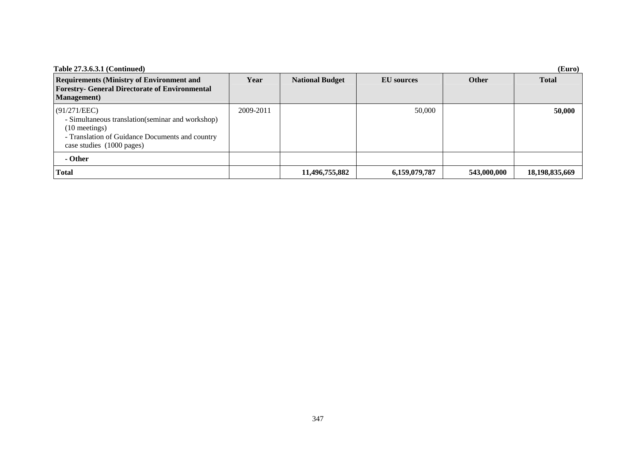| <b>Table 27.3.6.3.1 (Continued)</b>                                                                                                                                  |           |                        |                   |              | (Euro)            |
|----------------------------------------------------------------------------------------------------------------------------------------------------------------------|-----------|------------------------|-------------------|--------------|-------------------|
| <b>Requirements (Ministry of Environment and</b><br><b>Forestry- General Directorate of Environmental</b><br><b>Management</b> )                                     | Year      | <b>National Budget</b> | <b>EU</b> sources | <b>Other</b> | <b>Total</b>      |
| (91/271/EEC)<br>- Simultaneous translation (seminar and workshop)<br>$(10$ meetings)<br>- Translation of Guidance Documents and country<br>case studies (1000 pages) | 2009-2011 |                        | 50,000            |              | 50,000            |
| - Other                                                                                                                                                              |           |                        |                   |              |                   |
| <b>Total</b>                                                                                                                                                         |           | 11,496,755,882         | 6,159,079,787     | 543,000,000  | 18, 198, 835, 669 |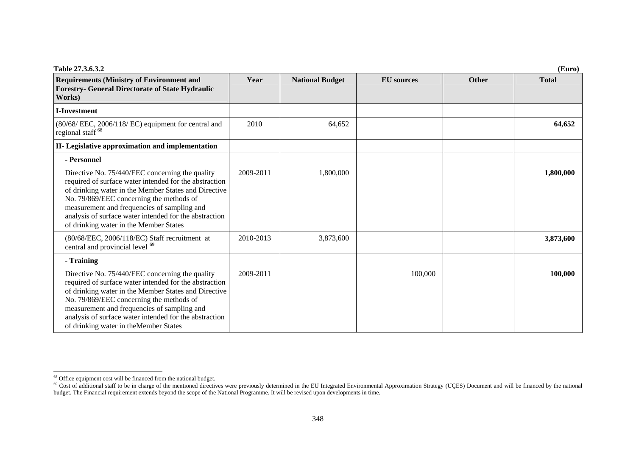| Table 27.3.6.3.2                                                                                                                                                                                                                                                                                                                                                 |           |                        |                   |              | (Euro)       |
|------------------------------------------------------------------------------------------------------------------------------------------------------------------------------------------------------------------------------------------------------------------------------------------------------------------------------------------------------------------|-----------|------------------------|-------------------|--------------|--------------|
| <b>Requirements (Ministry of Environment and</b><br><b>Forestry- General Directorate of State Hydraulic</b><br>Works)                                                                                                                                                                                                                                            | Year      | <b>National Budget</b> | <b>EU</b> sources | <b>Other</b> | <b>Total</b> |
| <b>I-Investment</b>                                                                                                                                                                                                                                                                                                                                              |           |                        |                   |              |              |
| (80/68/ EEC, 2006/118/ EC) equipment for central and<br>regional staff <sup>68</sup>                                                                                                                                                                                                                                                                             | 2010      | 64,652                 |                   |              | 64,652       |
| II- Legislative approximation and implementation                                                                                                                                                                                                                                                                                                                 |           |                        |                   |              |              |
| - Personnel                                                                                                                                                                                                                                                                                                                                                      |           |                        |                   |              |              |
| Directive No. 75/440/EEC concerning the quality<br>required of surface water intended for the abstraction<br>of drinking water in the Member States and Directive<br>No. 79/869/EEC concerning the methods of<br>measurement and frequencies of sampling and<br>analysis of surface water intended for the abstraction<br>of drinking water in the Member States | 2009-2011 | 1,800,000              |                   |              | 1,800,000    |
| (80/68/EEC, 2006/118/EC) Staff recruitment at<br>central and provincial level <sup>69</sup>                                                                                                                                                                                                                                                                      | 2010-2013 | 3,873,600              |                   |              | 3,873,600    |
| - Training                                                                                                                                                                                                                                                                                                                                                       |           |                        |                   |              |              |
| Directive No. 75/440/EEC concerning the quality<br>required of surface water intended for the abstraction<br>of drinking water in the Member States and Directive<br>No. 79/869/EEC concerning the methods of<br>measurement and frequencies of sampling and<br>analysis of surface water intended for the abstraction<br>of drinking water in the Member States | 2009-2011 |                        | 100,000           |              | 100,000      |

<span id="page-62-0"></span><sup>&</sup>lt;sup>68</sup> Office equipment cost will be financed from the national budget.

<span id="page-62-1"></span><sup>&</sup>lt;sup>69</sup> Cost of additional staff to be in charge of the mentioned directives were previously determined in the EU Integrated Environmental Approximation Strategy (UÇES) Document and will be financed by the national budget. The Financial requirement extends beyond the scope of the National Programme. It will be revised upon developments in time.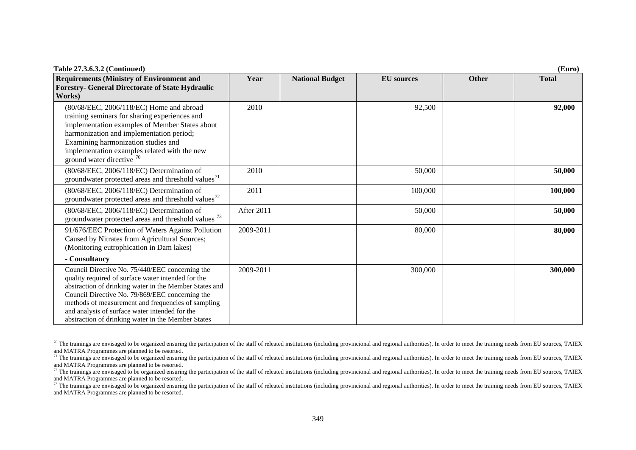| Table 27.3.6.3.2 (Continued)                                                                                                                                                                                                                                                                                                                                                     |            |                        |                   |              | (Euro)       |
|----------------------------------------------------------------------------------------------------------------------------------------------------------------------------------------------------------------------------------------------------------------------------------------------------------------------------------------------------------------------------------|------------|------------------------|-------------------|--------------|--------------|
| <b>Requirements (Ministry of Environment and</b><br><b>Forestry- General Directorate of State Hydraulic</b><br>Works)                                                                                                                                                                                                                                                            | Year       | <b>National Budget</b> | <b>EU</b> sources | <b>Other</b> | <b>Total</b> |
| (80/68/EEC, 2006/118/EC) Home and abroad<br>training seminars for sharing experiences and<br>implementation examples of Member States about<br>harmonization and implementation period;<br>Examining harmonization studies and<br>implementation examples related with the new<br>ground water directive $70$                                                                    | 2010       |                        | 92,500            |              | 92,000       |
| (80/68/EEC, 2006/118/EC) Determination of<br>groundwater protected areas and threshold values <sup>71</sup>                                                                                                                                                                                                                                                                      | 2010       |                        | 50,000            |              | 50,000       |
| (80/68/EEC, 2006/118/EC) Determination of<br>groundwater protected areas and threshold values <sup>72</sup>                                                                                                                                                                                                                                                                      | 2011       |                        | 100,000           |              | 100,000      |
| (80/68/EEC, 2006/118/EC) Determination of<br>groundwater protected areas and threshold values <sup>73</sup>                                                                                                                                                                                                                                                                      | After 2011 |                        | 50,000            |              | 50,000       |
| 91/676/EEC Protection of Waters Against Pollution<br>Caused by Nitrates from Agricultural Sources;<br>(Monitoring eutrophication in Dam lakes)                                                                                                                                                                                                                                   | 2009-2011  |                        | 80,000            |              | 80,000       |
| - Consultancy                                                                                                                                                                                                                                                                                                                                                                    |            |                        |                   |              |              |
| Council Directive No. 75/440/EEC concerning the<br>quality required of surface water intended for the<br>abstraction of drinking water in the Member States and<br>Council Directive No. 79/869/EEC concerning the<br>methods of measurement and frequencies of sampling<br>and analysis of surface water intended for the<br>abstraction of drinking water in the Member States | 2009-2011  |                        | 300,000           |              | 300,000      |

<span id="page-63-0"></span> $70$  The trainings are envisaged to be organized ensuring the participation of the staff of releated institutions (including provincional and regional authorities). In order to meet the training needs from EU sources, TAI and MATRA Programmes are planned to be resorted.

<span id="page-63-1"></span> $71$  The trainings are envisaged to be organized ensuring the participation of the staff of releated institutions (including provincional and regional authorities). In order to meet the training needs from EU sources, TAI and MATRA Programmes are planned to be resorted.

<span id="page-63-2"></span> $\frac{72}{12}$  The trainings are envisaged to be organized ensuring the participation of the staff of releated institutions (including provincional and regional authorities). In order to meet the training needs from EU sourc and MATRA Programmes are planned to be resorted.

<span id="page-63-3"></span><sup>&</sup>lt;sup>73</sup> The trainings are envisaged to be organized ensuring the participation of the staff of releated institutions (including provincional and regional authorities). In order to meet the training needs from EU sources, TAIE and MATRA Programmes are planned to be resorted.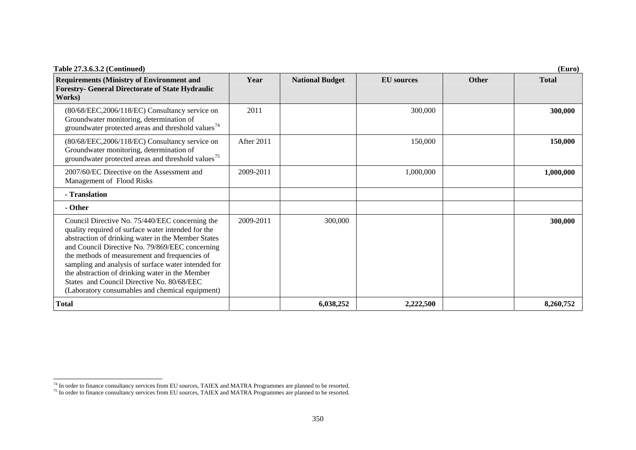| Table 27.3.6.3.2 (Continued)                                                                                                                                                                                                                                                                                                                                                                                                                                               |            |                        |                   |              | (Euro)       |
|----------------------------------------------------------------------------------------------------------------------------------------------------------------------------------------------------------------------------------------------------------------------------------------------------------------------------------------------------------------------------------------------------------------------------------------------------------------------------|------------|------------------------|-------------------|--------------|--------------|
| <b>Requirements (Ministry of Environment and</b><br><b>Forestry- General Directorate of State Hydraulic</b><br>Works)                                                                                                                                                                                                                                                                                                                                                      | Year       | <b>National Budget</b> | <b>EU</b> sources | <b>Other</b> | <b>Total</b> |
| $(80/68/EEC, 2006/118/EC)$ Consultancy service on<br>Groundwater monitoring, determination of<br>groundwater protected areas and threshold values <sup>74</sup>                                                                                                                                                                                                                                                                                                            | 2011       |                        | 300,000           |              | 300,000      |
| (80/68/EEC,2006/118/EC) Consultancy service on<br>Groundwater monitoring, determination of<br>groundwater protected areas and threshold values <sup>75</sup>                                                                                                                                                                                                                                                                                                               | After 2011 |                        | 150,000           |              | 150,000      |
| 2007/60/EC Directive on the Assessment and<br>Management of Flood Risks                                                                                                                                                                                                                                                                                                                                                                                                    | 2009-2011  |                        | 1,000,000         |              | 1,000,000    |
| - Translation                                                                                                                                                                                                                                                                                                                                                                                                                                                              |            |                        |                   |              |              |
| - Other                                                                                                                                                                                                                                                                                                                                                                                                                                                                    |            |                        |                   |              |              |
| Council Directive No. 75/440/EEC concerning the<br>quality required of surface water intended for the<br>abstraction of drinking water in the Member States<br>and Council Directive No. 79/869/EEC concerning<br>the methods of measurement and frequencies of<br>sampling and analysis of surface water intended for<br>the abstraction of drinking water in the Member<br>States and Council Directive No. 80/68/EEC<br>(Laboratory consumables and chemical equipment) | 2009-2011  | 300,000                |                   |              | 300,000      |
| <b>Total</b>                                                                                                                                                                                                                                                                                                                                                                                                                                                               |            | 6,038,252              | 2,222,500         |              | 8,260,752    |

<span id="page-64-0"></span> $<sup>74</sup>$  In order to finance consultancy services from EU sources, TAIEX and MATRA Programmes are planned to be resorted.</sup>

<span id="page-64-1"></span> $<sup>75</sup>$  In order to finance consultancy services from EU sources, TAIEX and MATRA Programmes are planned to be resorted.</sup>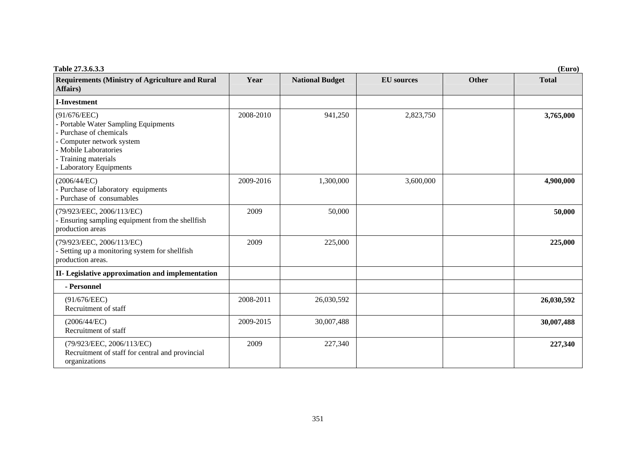| Table 27.3.6.3.3                                                                                                                                                                     |           |                        |                   |       | (Euro)       |
|--------------------------------------------------------------------------------------------------------------------------------------------------------------------------------------|-----------|------------------------|-------------------|-------|--------------|
| <b>Requirements (Ministry of Agriculture and Rural</b><br>Affairs)                                                                                                                   | Year      | <b>National Budget</b> | <b>EU</b> sources | Other | <b>Total</b> |
| <b>I-Investment</b>                                                                                                                                                                  |           |                        |                   |       |              |
| (91/676/EEC)<br>- Portable Water Sampling Equipments<br>Purchase of chemicals<br>Computer network system<br>- Mobile Laboratories<br>- Training materials<br>- Laboratory Equipments | 2008-2010 | 941,250                | 2,823,750         |       | 3,765,000    |
| (2006/44/EC)<br>- Purchase of laboratory equipments<br>Purchase of consumables                                                                                                       | 2009-2016 | 1,300,000              | 3,600,000         |       | 4,900,000    |
| (79/923/EEC, 2006/113/EC)<br>Ensuring sampling equipment from the shellfish<br>production areas                                                                                      | 2009      | 50,000                 |                   |       | 50,000       |
| (79/923/EEC, 2006/113/EC)<br>Setting up a monitoring system for shellfish<br>production areas.                                                                                       | 2009      | 225,000                |                   |       | 225,000      |
| II- Legislative approximation and implementation                                                                                                                                     |           |                        |                   |       |              |
| - Personnel                                                                                                                                                                          |           |                        |                   |       |              |
| (91/676/EEC)<br>Recruitment of staff                                                                                                                                                 | 2008-2011 | 26,030,592             |                   |       | 26,030,592   |
| (2006/44/EC)<br>Recruitment of staff                                                                                                                                                 | 2009-2015 | 30,007,488             |                   |       | 30,007,488   |
| (79/923/EEC, 2006/113/EC)<br>Recruitment of staff for central and provincial<br>organizations                                                                                        | 2009      | 227,340                |                   |       | 227,340      |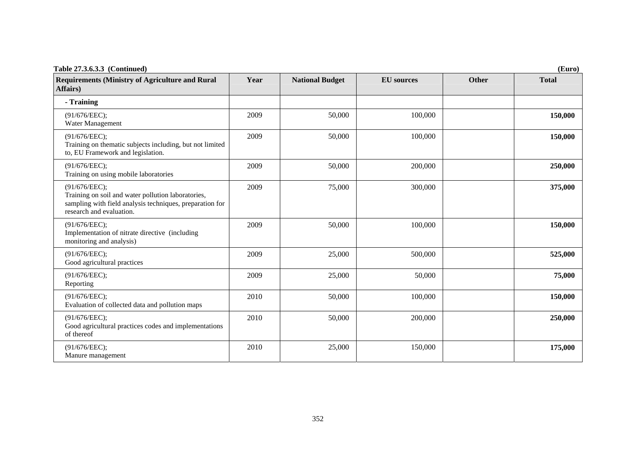| Table 27.3.6.3.3 (Continued)<br>(Euro)                                                                                                                      |      |                        |                   |       |              |
|-------------------------------------------------------------------------------------------------------------------------------------------------------------|------|------------------------|-------------------|-------|--------------|
| <b>Requirements (Ministry of Agriculture and Rural</b><br>Affairs)                                                                                          | Year | <b>National Budget</b> | <b>EU</b> sources | Other | <b>Total</b> |
| - Training                                                                                                                                                  |      |                        |                   |       |              |
| (91/676/EEC);<br>Water Management                                                                                                                           | 2009 | 50,000                 | 100,000           |       | 150,000      |
| (91/676/EEC);<br>Training on thematic subjects including, but not limited<br>to, EU Framework and legislation.                                              | 2009 | 50,000                 | 100,000           |       | 150,000      |
| (91/676/EEC);<br>Training on using mobile laboratories                                                                                                      | 2009 | 50,000                 | 200,000           |       | 250,000      |
| (91/676/EEC);<br>Training on soil and water pollution laboratories,<br>sampling with field analysis techniques, preparation for<br>research and evaluation. | 2009 | 75,000                 | 300,000           |       | 375,000      |
| (91/676/EEC);<br>Implementation of nitrate directive (including<br>monitoring and analysis)                                                                 | 2009 | 50,000                 | 100,000           |       | 150,000      |
| (91/676/EEC);<br>Good agricultural practices                                                                                                                | 2009 | 25,000                 | 500,000           |       | 525,000      |
| (91/676/EEC);<br>Reporting                                                                                                                                  | 2009 | 25,000                 | 50,000            |       | 75,000       |
| (91/676/EEC);<br>Evaluation of collected data and pollution maps                                                                                            | 2010 | 50,000                 | 100,000           |       | 150,000      |
| (91/676/EEC);<br>Good agricultural practices codes and implementations<br>of thereof                                                                        | 2010 | 50,000                 | 200,000           |       | 250,000      |
| (91/676/EEC);<br>Manure management                                                                                                                          | 2010 | 25,000                 | 150,000           |       | 175,000      |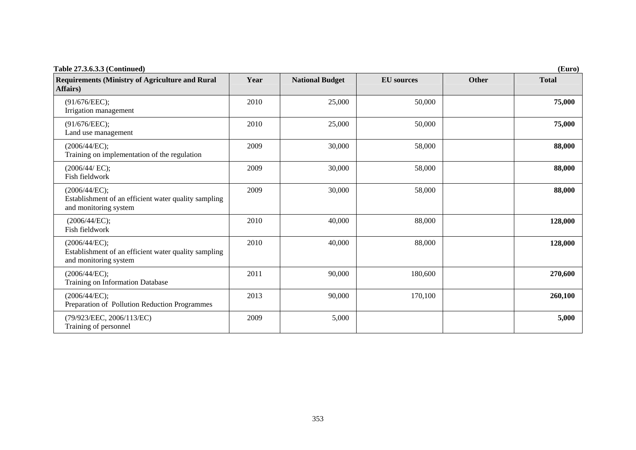| Table 27.3.6.3.3 (Continued)<br>(Euro)                                                         |      |                        |                   |       |              |
|------------------------------------------------------------------------------------------------|------|------------------------|-------------------|-------|--------------|
| <b>Requirements (Ministry of Agriculture and Rural</b><br><b>Affairs</b> )                     | Year | <b>National Budget</b> | <b>EU</b> sources | Other | <b>Total</b> |
| (91/676/EEC);<br>Irrigation management                                                         | 2010 | 25,000                 | 50,000            |       | 75,000       |
| (91/676/EEC);<br>Land use management                                                           | 2010 | 25,000                 | 50,000            |       | 75,000       |
| (2006/44/EC);<br>Training on implementation of the regulation                                  | 2009 | 30,000                 | 58,000            |       | 88,000       |
| (2006/44/EC);<br>Fish fieldwork                                                                | 2009 | 30,000                 | 58,000            |       | 88,000       |
| (2006/44/EC);<br>Establishment of an efficient water quality sampling<br>and monitoring system | 2009 | 30,000                 | 58,000            |       | 88,000       |
| (2006/44/EC);<br>Fish fieldwork                                                                | 2010 | 40,000                 | 88,000            |       | 128,000      |
| (2006/44/EC);<br>Establishment of an efficient water quality sampling<br>and monitoring system | 2010 | 40,000                 | 88,000            |       | 128,000      |
| (2006/44/EC);<br>Training on Information Database                                              | 2011 | 90,000                 | 180,600           |       | 270,600      |
| (2006/44/EC);<br>Preparation of Pollution Reduction Programmes                                 | 2013 | 90,000                 | 170,100           |       | 260,100      |
| (79/923/EEC, 2006/113/EC)<br>Training of personnel                                             | 2009 | 5,000                  |                   |       | 5,000        |

353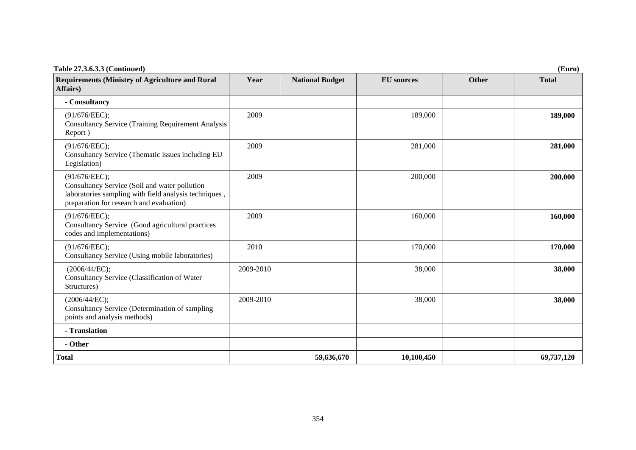| <b>Table 27.3.6.3.3 (Continued)</b><br>(Euro)                                                                                                                       |           |                        |                   |       |              |
|---------------------------------------------------------------------------------------------------------------------------------------------------------------------|-----------|------------------------|-------------------|-------|--------------|
| <b>Requirements (Ministry of Agriculture and Rural</b><br>Affairs)                                                                                                  | Year      | <b>National Budget</b> | <b>EU</b> sources | Other | <b>Total</b> |
| - Consultancy                                                                                                                                                       |           |                        |                   |       |              |
| (91/676/EEC);<br><b>Consultancy Service (Training Requirement Analysis</b><br>Report)                                                                               | 2009      |                        | 189,000           |       | 189,000      |
| (91/676/EEC);<br>Consultancy Service (Thematic issues including EU<br>Legislation)                                                                                  | 2009      |                        | 281,000           |       | 281,000      |
| (91/676/EEC);<br>Consultancy Service (Soil and water pollution<br>laboratories sampling with field analysis techniques,<br>preparation for research and evaluation) | 2009      |                        | 200,000           |       | 200,000      |
| (91/676/EEC);<br>Consultancy Service (Good agricultural practices<br>codes and implementations)                                                                     | 2009      |                        | 160,000           |       | 160,000      |
| (91/676/EEC);<br>Consultancy Service (Using mobile laboratories)                                                                                                    | 2010      |                        | 170,000           |       | 170,000      |
| (2006/44/EC);<br>Consultancy Service (Classification of Water<br>Structures)                                                                                        | 2009-2010 |                        | 38,000            |       | 38,000       |
| (2006/44/EC);<br>Consultancy Service (Determination of sampling<br>points and analysis methods)                                                                     | 2009-2010 |                        | 38,000            |       | 38,000       |
| - Translation                                                                                                                                                       |           |                        |                   |       |              |
| - Other                                                                                                                                                             |           |                        |                   |       |              |
| <b>Total</b>                                                                                                                                                        |           | 59,636,670             | 10,100,450        |       | 69,737,120   |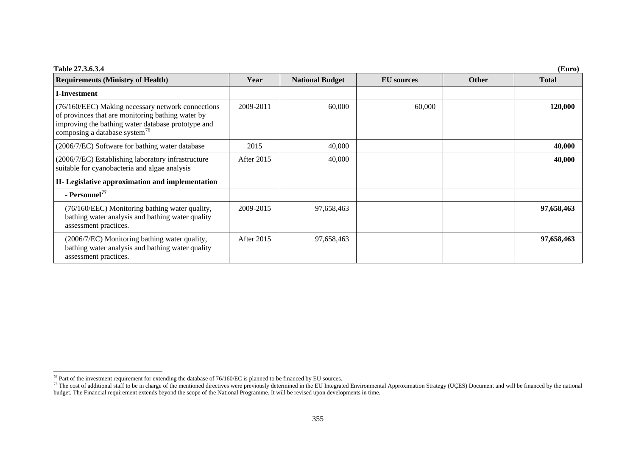| Table 27.3.6.3.4<br>(Euro)                                                                                                                                                                                |                   |                        |                   |              |              |  |
|-----------------------------------------------------------------------------------------------------------------------------------------------------------------------------------------------------------|-------------------|------------------------|-------------------|--------------|--------------|--|
| <b>Requirements (Ministry of Health)</b>                                                                                                                                                                  | Year              | <b>National Budget</b> | <b>EU</b> sources | <b>Other</b> | <b>Total</b> |  |
| <b>I-Investment</b>                                                                                                                                                                                       |                   |                        |                   |              |              |  |
| (76/160/EEC) Making necessary network connections<br>of provinces that are monitoring bathing water by<br>improving the bathing water database prototype and<br>composing a database system <sup>76</sup> | 2009-2011         | 60,000                 | 60,000            |              | 120,000      |  |
| (2006/7/EC) Software for bathing water database                                                                                                                                                           | 2015              | 40,000                 |                   |              | 40,000       |  |
| (2006/7/EC) Establishing laboratory infrastructure<br>suitable for cyanobacteria and algae analysis                                                                                                       | After 2015        | 40,000                 |                   |              | 40,000       |  |
| II- Legislative approximation and implementation                                                                                                                                                          |                   |                        |                   |              |              |  |
| - Personnel <sup>77</sup>                                                                                                                                                                                 |                   |                        |                   |              |              |  |
| (76/160/EEC) Monitoring bathing water quality,<br>bathing water analysis and bathing water quality<br>assessment practices.                                                                               | 2009-2015         | 97,658,463             |                   |              | 97,658,463   |  |
| (2006/7/EC) Monitoring bathing water quality,<br>bathing water analysis and bathing water quality<br>assessment practices.                                                                                | <b>After 2015</b> | 97,658,463             |                   |              | 97,658,463   |  |

<span id="page-69-0"></span><sup>76</sup> Part of the investment requirement for extending the database of  $76/160$ /EC is planned to be financed by EU sources.

<span id="page-69-1"></span><sup>&</sup>lt;sup>77</sup> The cost of additional staff to be in charge of the mentioned directives were previously determined in the EU Integrated Environmental Approximation Strategy (UÇES) Document and will be financed by the national budget. The Financial requirement extends beyond the scope of the National Programme. It will be revised upon developments in time.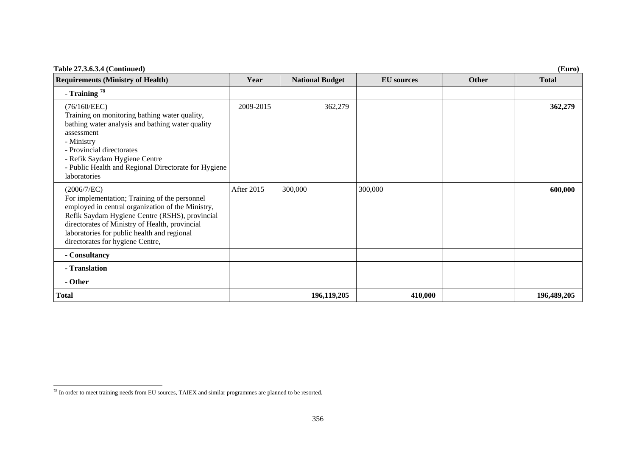| Table 27.3.6.3.4 (Continued)<br>(Euro)                                                                                                                                                                                                                                                                   |            |                        |                   |              |              |  |
|----------------------------------------------------------------------------------------------------------------------------------------------------------------------------------------------------------------------------------------------------------------------------------------------------------|------------|------------------------|-------------------|--------------|--------------|--|
| <b>Requirements (Ministry of Health)</b>                                                                                                                                                                                                                                                                 | Year       | <b>National Budget</b> | <b>EU</b> sources | <b>Other</b> | <b>Total</b> |  |
| - Training $^{78}$                                                                                                                                                                                                                                                                                       |            |                        |                   |              |              |  |
| (76/160/EEC)<br>Training on monitoring bathing water quality,<br>bathing water analysis and bathing water quality<br>assessment<br>- Ministry<br>- Provincial directorates<br>- Refik Saydam Hygiene Centre<br>- Public Health and Regional Directorate for Hygiene<br>laboratories                      | 2009-2015  | 362,279                |                   |              | 362,279      |  |
| (2006/7/EC)<br>For implementation; Training of the personnel<br>employed in central organization of the Ministry,<br>Refik Saydam Hygiene Centre (RSHS), provincial<br>directorates of Ministry of Health, provincial<br>laboratories for public health and regional<br>directorates for hygiene Centre, | After 2015 | 300,000                | 300,000           |              | 600,000      |  |
| - Consultancy                                                                                                                                                                                                                                                                                            |            |                        |                   |              |              |  |
| - Translation                                                                                                                                                                                                                                                                                            |            |                        |                   |              |              |  |
| - Other                                                                                                                                                                                                                                                                                                  |            |                        |                   |              |              |  |
| <b>Total</b>                                                                                                                                                                                                                                                                                             |            | 196,119,205            | 410,000           |              | 196,489,205  |  |

<span id="page-70-0"></span><sup>&</sup>lt;sup>78</sup> In order to meet training needs from EU sources, TAIEX and similar programmes are planned to be resorted.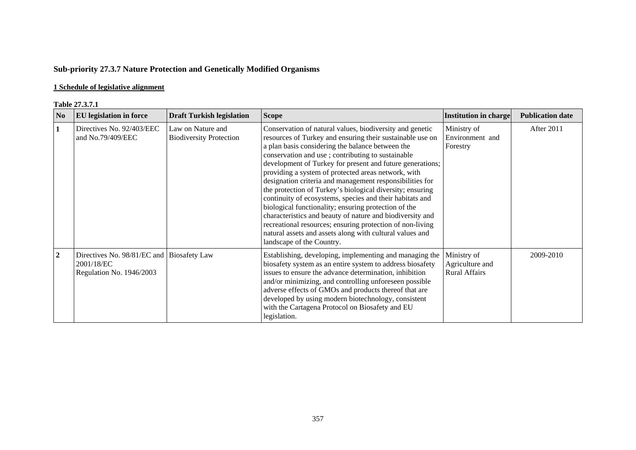# **Sub-priority 27.3.7 Nature Protection and Genetically Modified Organisms**

## **1 Schedule of legislative alignment**

#### **Table 27.3.7.1**

|                  | 1 adie <i>21</i> .9.7.1                                                             |                                                     |                                                                                                                                                                                                                                                                                                                                                                                                                                                                                                                                                                                                                                                                                                                                                                                                                    |                                                        |                         |
|------------------|-------------------------------------------------------------------------------------|-----------------------------------------------------|--------------------------------------------------------------------------------------------------------------------------------------------------------------------------------------------------------------------------------------------------------------------------------------------------------------------------------------------------------------------------------------------------------------------------------------------------------------------------------------------------------------------------------------------------------------------------------------------------------------------------------------------------------------------------------------------------------------------------------------------------------------------------------------------------------------------|--------------------------------------------------------|-------------------------|
| N <sub>0</sub>   | <b>EU</b> legislation in force                                                      | <b>Draft Turkish legislation</b>                    | <b>Scope</b>                                                                                                                                                                                                                                                                                                                                                                                                                                                                                                                                                                                                                                                                                                                                                                                                       | Institution in charge                                  | <b>Publication date</b> |
| $\mathbf{1}$     | Directives No. 92/403/EEC<br>and No.79/409/EEC                                      | Law on Nature and<br><b>Biodiversity Protection</b> | Conservation of natural values, biodiversity and genetic<br>resources of Turkey and ensuring their sustainable use on<br>a plan basis considering the balance between the<br>conservation and use; contributing to sustainable<br>development of Turkey for present and future generations;<br>providing a system of protected areas network, with<br>designation criteria and management responsibilities for<br>the protection of Turkey's biological diversity; ensuring<br>continuity of ecosystems, species and their habitats and<br>biological functionality; ensuring protection of the<br>characteristics and beauty of nature and biodiversity and<br>recreational resources; ensuring protection of non-living<br>natural assets and assets along with cultural values and<br>landscape of the Country. | Ministry of<br>Environment and<br>Forestry             | After 2011              |
| $\boldsymbol{2}$ | Directives No. 98/81/EC and Biosafety Law<br>2001/18/EC<br>Regulation No. 1946/2003 |                                                     | Establishing, developing, implementing and managing the<br>biosafety system as an entire system to address biosafety<br>issues to ensure the advance determination, inhibition<br>and/or minimizing, and controlling unforeseen possible<br>adverse effects of GMOs and products thereof that are<br>developed by using modern biotechnology, consistent<br>with the Cartagena Protocol on Biosafety and EU<br>legislation.                                                                                                                                                                                                                                                                                                                                                                                        | Ministry of<br>Agriculture and<br><b>Rural Affairs</b> | 2009-2010               |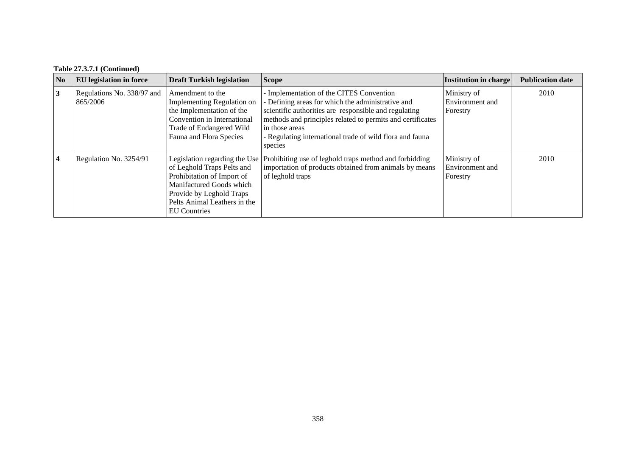# **Table 27.3.7.1 (Continued)**

| No             | <b>EU</b> legislation in force         | <b>Draft Turkish legislation</b>                                                                                                                                         | <b>Scope</b>                                                                                                                                                                                                                                                                                              | Institution in charge                      | <b>Publication date</b> |
|----------------|----------------------------------------|--------------------------------------------------------------------------------------------------------------------------------------------------------------------------|-----------------------------------------------------------------------------------------------------------------------------------------------------------------------------------------------------------------------------------------------------------------------------------------------------------|--------------------------------------------|-------------------------|
| 3              | Regulations No. 338/97 and<br>865/2006 | Amendment to the<br><b>Implementing Regulation on</b><br>the Implementation of the<br>Convention in International<br>Trade of Endangered Wild<br>Fauna and Flora Species | Implementation of the CITES Convention<br>Defining areas for which the administrative and<br>scientific authorities are responsible and regulating<br>methods and principles related to permits and certificates<br>in those areas<br>- Regulating international trade of wild flora and fauna<br>species | Ministry of<br>Environment and<br>Forestry | 2010                    |
| $\overline{4}$ | Regulation No. 3254/91                 | of Leghold Traps Pelts and<br>Prohibitation of Import of<br>Manifactured Goods which<br>Provide by Leghold Traps<br>Pelts Animal Leathers in the<br>EU Countries         | Legislation regarding the Use Prohibiting use of leghold traps method and forbidding<br>importation of products obtained from animals by means<br>of leghold traps                                                                                                                                        | Ministry of<br>Environment and<br>Forestry | 2010                    |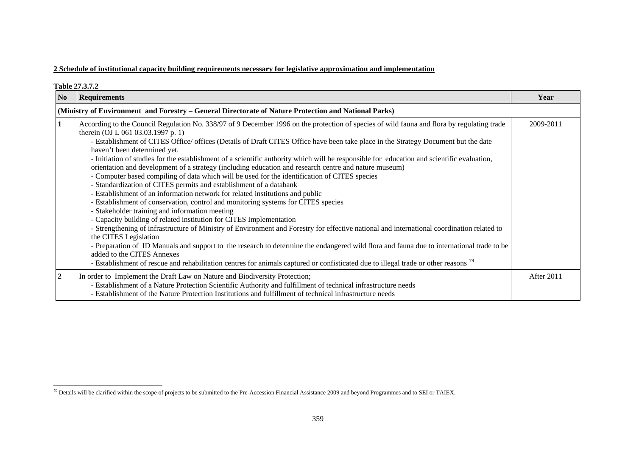# **2 Schedule of institutional capacity building requirements necessary for legislative approximation and implementation**

|                | Table 27.3.7.2                                                                                                                                                                                                                                                                                                                                                                                                                                                                                                                                                                                                                                                                                                                                                                                                                                                                                                                                                                                                                                                                                                                                                                                                                                                                                                                                                                                                                                                                                                                                                                          |            |  |  |  |  |
|----------------|-----------------------------------------------------------------------------------------------------------------------------------------------------------------------------------------------------------------------------------------------------------------------------------------------------------------------------------------------------------------------------------------------------------------------------------------------------------------------------------------------------------------------------------------------------------------------------------------------------------------------------------------------------------------------------------------------------------------------------------------------------------------------------------------------------------------------------------------------------------------------------------------------------------------------------------------------------------------------------------------------------------------------------------------------------------------------------------------------------------------------------------------------------------------------------------------------------------------------------------------------------------------------------------------------------------------------------------------------------------------------------------------------------------------------------------------------------------------------------------------------------------------------------------------------------------------------------------------|------------|--|--|--|--|
| N <sub>0</sub> | <b>Requirements</b>                                                                                                                                                                                                                                                                                                                                                                                                                                                                                                                                                                                                                                                                                                                                                                                                                                                                                                                                                                                                                                                                                                                                                                                                                                                                                                                                                                                                                                                                                                                                                                     | Year       |  |  |  |  |
|                | (Ministry of Environment and Forestry – General Directorate of Nature Protection and National Parks)                                                                                                                                                                                                                                                                                                                                                                                                                                                                                                                                                                                                                                                                                                                                                                                                                                                                                                                                                                                                                                                                                                                                                                                                                                                                                                                                                                                                                                                                                    |            |  |  |  |  |
| $\mathbf{1}$   | According to the Council Regulation No. 338/97 of 9 December 1996 on the protection of species of wild fauna and flora by regulating trade<br>therein (OJ L 061 03.03.1997 p. 1)<br>- Establishment of CITES Office/ offices (Details of Draft CITES Office have been take place in the Strategy Document but the date<br>haven't been determined yet.<br>- Initiation of studies for the establishment of a scientific authority which will be responsible for education and scientific evaluation,<br>orientation and development of a strategy (including education and research centre and nature museum)<br>- Computer based compiling of data which will be used for the identification of CITES species<br>- Standardization of CITES permits and establishment of a databank<br>- Establishment of an information network for related institutions and public<br>- Establishment of conservation, control and monitoring systems for CITES species<br>- Stakeholder training and information meeting<br>- Capacity building of related institution for CITES Implementation<br>- Strengthening of infrastructure of Ministry of Environment and Forestry for effective national and international coordination related to<br>the CITES Legislation<br>- Preparation of ID Manuals and support to the research to determine the endangered wild flora and fauna due to international trade to be<br>added to the CITES Annexes<br>- Establishment of rescue and rehabilitation centres for animals captured or confisticated due to illegal trade or other reasons <sup>79</sup> | 2009-2011  |  |  |  |  |
| $\overline{2}$ | In order to Implement the Draft Law on Nature and Biodiversity Protection;<br>- Establishment of a Nature Protection Scientific Authority and fulfillment of technical infrastructure needs<br>- Establishment of the Nature Protection Institutions and fulfillment of technical infrastructure needs                                                                                                                                                                                                                                                                                                                                                                                                                                                                                                                                                                                                                                                                                                                                                                                                                                                                                                                                                                                                                                                                                                                                                                                                                                                                                  | After 2011 |  |  |  |  |

<span id="page-73-0"></span><sup>&</sup>lt;sup>79</sup> Details will be clarified within the scope of projects to be submitted to the Pre-Accession Financial Assistance 2009 and beyond Programmes and to SEI or TAIEX.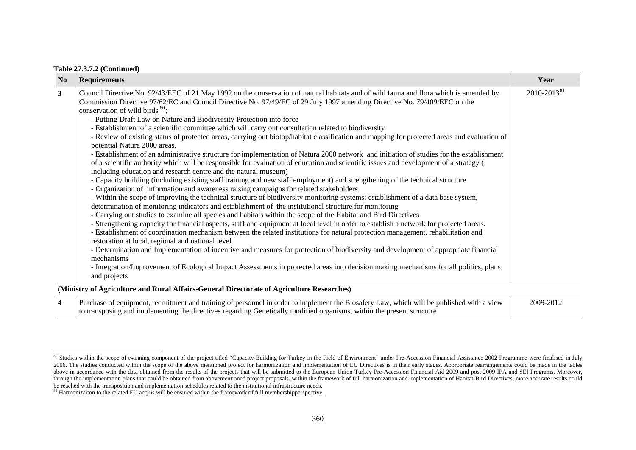### **Table 27.3.7.2 (Continued)**

| N <sub>0</sub>          | <b>Requirements</b>                                                                                                                                                                                                                                                                                                                                                                                                                                                                                                                                                                                                                                                                                                                                                                                                                                                                                                                                                                                                                                                                                                                                                                                                                                                                                                                                                                                                                                                                                                                                                                                                           | Year                    |
|-------------------------|-------------------------------------------------------------------------------------------------------------------------------------------------------------------------------------------------------------------------------------------------------------------------------------------------------------------------------------------------------------------------------------------------------------------------------------------------------------------------------------------------------------------------------------------------------------------------------------------------------------------------------------------------------------------------------------------------------------------------------------------------------------------------------------------------------------------------------------------------------------------------------------------------------------------------------------------------------------------------------------------------------------------------------------------------------------------------------------------------------------------------------------------------------------------------------------------------------------------------------------------------------------------------------------------------------------------------------------------------------------------------------------------------------------------------------------------------------------------------------------------------------------------------------------------------------------------------------------------------------------------------------|-------------------------|
| $\overline{\mathbf{3}}$ | Council Directive No. 92/43/EEC of 21 May 1992 on the conservation of natural habitats and of wild fauna and flora which is amended by<br>Commission Directive 97/62/EC and Council Directive No. 97/49/EC of 29 July 1997 amending Directive No. 79/409/EEC on the<br>conservation of wild birds $^{80}$ ;<br>- Putting Draft Law on Nature and Biodiversity Protection into force<br>- Establishment of a scientific committee which will carry out consultation related to biodiversity<br>- Review of existing status of protected areas, carrying out biotop/habitat classification and mapping for protected areas and evaluation of<br>potential Natura 2000 areas.<br>- Establishment of an administrative structure for implementation of Natura 2000 network and initiation of studies for the establishment<br>of a scientific authority which will be responsible for evaluation of education and scientific issues and development of a strategy (<br>including education and research centre and the natural museum)<br>- Capacity building (including existing staff training and new staff employment) and strengthening of the technical structure<br>- Organization of information and awareness raising campaigns for related stakeholders<br>- Within the scope of improving the technical structure of biodiversity monitoring systems; establishment of a data base system,<br>determination of monitoring indicators and establishment of the institutional structure for monitoring<br>- Carrying out studies to examine all species and habitats within the scope of the Habitat and Bird Directives | 2010-2013 <sup>81</sup> |
|                         | - Strengthening capacity for financial aspects, staff and equipment at local level in order to establish a network for protected areas.<br>- Establishment of coordination mechanism between the related institutions for natural protection management, rehabilitation and<br>restoration at local, regional and national level<br>- Determination and Implementation of incentive and measures for protection of biodiversity and development of appropriate financial<br>mechanisms<br>- Integration/Improvement of Ecological Impact Assessments in protected areas into decision making mechanisms for all politics, plans<br>and projects                                                                                                                                                                                                                                                                                                                                                                                                                                                                                                                                                                                                                                                                                                                                                                                                                                                                                                                                                                               |                         |
|                         | (Ministry of Agriculture and Rural Affairs-General Directorate of Agriculture Researches)                                                                                                                                                                                                                                                                                                                                                                                                                                                                                                                                                                                                                                                                                                                                                                                                                                                                                                                                                                                                                                                                                                                                                                                                                                                                                                                                                                                                                                                                                                                                     |                         |
| $\overline{\mathbf{4}}$ | Purchase of equipment, recruitment and training of personnel in order to implement the Biosafety Law, which will be published with a view<br>to transposing and implementing the directives regarding Genetically modified organisms, within the present structure                                                                                                                                                                                                                                                                                                                                                                                                                                                                                                                                                                                                                                                                                                                                                                                                                                                                                                                                                                                                                                                                                                                                                                                                                                                                                                                                                            | 2009-2012               |

<span id="page-74-0"></span><sup>&</sup>lt;sup>80</sup> Studies within the scope of twinning component of the project titled "Capacity-Building for Turkey in the Field of Environment" under Pre-Accession Financial Assistance 2002 Programme were finalised in July 2006. The studies conducted within the scope of the above mentioned project for harmonization and implementation of EU Directives is in their early stages. Appropriate rearrangements could be made in the tables above in accordance with the data obtained from the results of the projects that will be submitted to the European Union-Turkey Pre-Accession Financial Aid 2009 and post-2009 IPA and SEI Programs. Moreover, through the implementation plans that could be obtained from abovementioned project proposals, within the framework of full harmonization and implementation of Habitat-Bird Directives, more accurate results could be reached with the transposition and implementation schedules related to the institutional infrastructure needs.

<span id="page-74-1"></span><sup>&</sup>lt;sup>81</sup> Harmonizaiton to the related EU acquis will be ensured within the framework of full membershipperspective.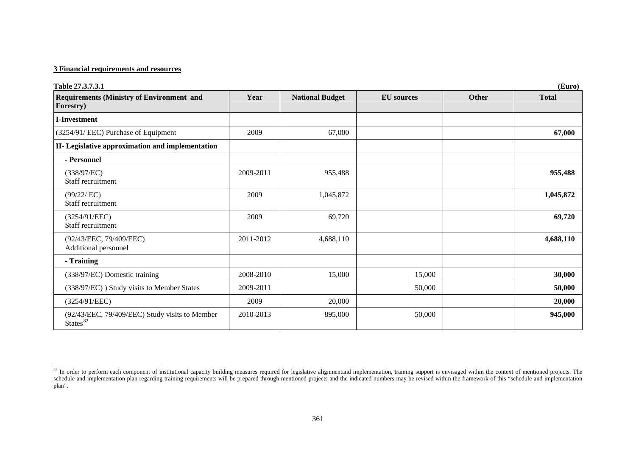### **3 Financial requirements and resources**

| Table 27.3.7.3.1                                                       |           |                        |                   |       | (Euro)       |
|------------------------------------------------------------------------|-----------|------------------------|-------------------|-------|--------------|
| <b>Requirements (Ministry of Environment and</b><br>Forestry)          | Year      | <b>National Budget</b> | <b>EU</b> sources | Other | <b>Total</b> |
| <b>I-Investment</b>                                                    |           |                        |                   |       |              |
| (3254/91/ EEC) Purchase of Equipment                                   | 2009      | 67,000                 |                   |       | 67,000       |
| II- Legislative approximation and implementation                       |           |                        |                   |       |              |
| - Personnel                                                            |           |                        |                   |       |              |
| (338/97/EC)<br>Staff recruitment                                       | 2009-2011 | 955,488                |                   |       | 955,488      |
| (99/22/EC)<br>Staff recruitment                                        | 2009      | 1,045,872              |                   |       | 1,045,872    |
| (3254/91/EEC)<br>Staff recruitment                                     | 2009      | 69,720                 |                   |       | 69,720       |
| (92/43/EEC, 79/409/EEC)<br>Additional personnel                        | 2011-2012 | 4,688,110              |                   |       | 4,688,110    |
| - Training                                                             |           |                        |                   |       |              |
| (338/97/EC) Domestic training                                          | 2008-2010 | 15,000                 | 15,000            |       | 30,000       |
| (338/97/EC) ) Study visits to Member States                            | 2009-2011 |                        | 50,000            |       | 50,000       |
| (3254/91/EEC)                                                          | 2009      | 20,000                 |                   |       | 20,000       |
| (92/43/EEC, 79/409/EEC) Study visits to Member<br>States <sup>82</sup> | 2010-2013 | 895,000                | 50,000            |       | 945,000      |

<span id="page-75-0"></span> $82$  In order to perform each component of institutional capacity building measures required for legislative alignmentand implementation, training support is envisaged within the context of mentioned projects. The schedule and implementation plan regarding training requirements will be prepared through mentioned projects and the indicated numbers may be revised within the framework of this "schedule and implementation plan".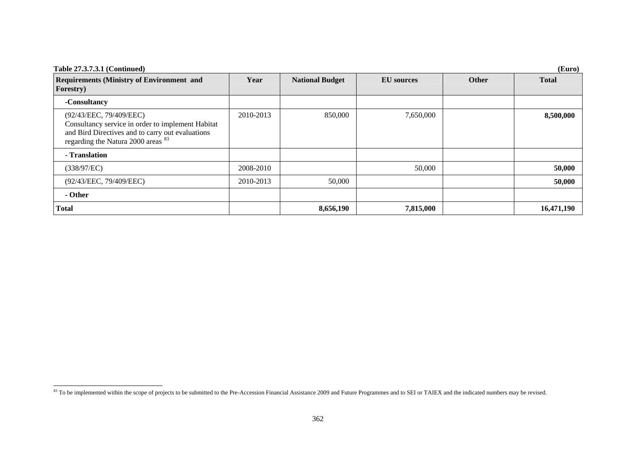| <b>Table 27.3.7.3.1 (Continued)</b><br>(Euro)                                                                                                                                     |           |                        |                   |       |              |  |
|-----------------------------------------------------------------------------------------------------------------------------------------------------------------------------------|-----------|------------------------|-------------------|-------|--------------|--|
| <b>Requirements (Ministry of Environment and</b><br>Forestry)                                                                                                                     | Year      | <b>National Budget</b> | <b>EU</b> sources | Other | <b>Total</b> |  |
| -Consultancy                                                                                                                                                                      |           |                        |                   |       |              |  |
| (92/43/EEC, 79/409/EEC)<br>Consultancy service in order to implement Habitat<br>and Bird Directives and to carry out evaluations<br>regarding the Natura 2000 areas <sup>83</sup> | 2010-2013 | 850,000                | 7,650,000         |       | 8,500,000    |  |
| - Translation                                                                                                                                                                     |           |                        |                   |       |              |  |
| (338/97/EC)                                                                                                                                                                       | 2008-2010 |                        | 50,000            |       | 50,000       |  |
| (92/43/EEC, 79/409/EEC)                                                                                                                                                           | 2010-2013 | 50,000                 |                   |       | 50,000       |  |
| - Other                                                                                                                                                                           |           |                        |                   |       |              |  |
| <b>Total</b>                                                                                                                                                                      |           | 8,656,190              | 7,815,000         |       | 16,471,190   |  |

<span id="page-76-0"></span><sup>&</sup>lt;sup>83</sup> To be implemented within the scope of projects to be submitted to the Pre-Accession Financial Assistance 2009 and Future Programmes and to SEI or TAIEX and the indicated numbers may be revised.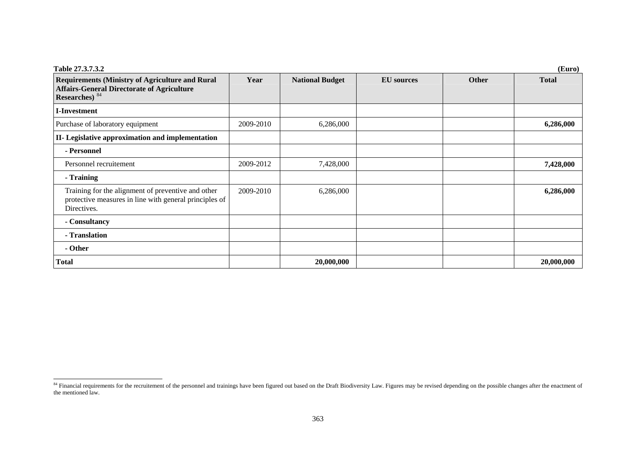| <b>Table 27.3.7.3.2</b>                                                                                                                  |           |                        |                   |       | (Euro)       |
|------------------------------------------------------------------------------------------------------------------------------------------|-----------|------------------------|-------------------|-------|--------------|
| <b>Requirements (Ministry of Agriculture and Rural</b><br><b>Affairs-General Directorate of Agriculture</b><br>Researches) <sup>84</sup> | Year      | <b>National Budget</b> | <b>EU</b> sources | Other | <b>Total</b> |
| I-Investment                                                                                                                             |           |                        |                   |       |              |
| Purchase of laboratory equipment                                                                                                         | 2009-2010 | 6,286,000              |                   |       | 6,286,000    |
| II- Legislative approximation and implementation                                                                                         |           |                        |                   |       |              |
| - Personnel                                                                                                                              |           |                        |                   |       |              |
| Personnel recruitement                                                                                                                   | 2009-2012 | 7,428,000              |                   |       | 7,428,000    |
| - Training                                                                                                                               |           |                        |                   |       |              |
| Training for the alignment of preventive and other<br>protective measures in line with general principles of<br>Directives.              | 2009-2010 | 6,286,000              |                   |       | 6,286,000    |
| - Consultancy                                                                                                                            |           |                        |                   |       |              |
| - Translation                                                                                                                            |           |                        |                   |       |              |
| - Other                                                                                                                                  |           |                        |                   |       |              |
| <b>Total</b>                                                                                                                             |           | 20,000,000             |                   |       | 20,000,000   |

<span id="page-77-0"></span><sup>&</sup>lt;sup>84</sup> Financial requirements for the recruitement of the personnel and trainings have been figured out based on the Draft Biodiversity Law. Figures may be revised depending on the possible changes after the enactment of<br>the